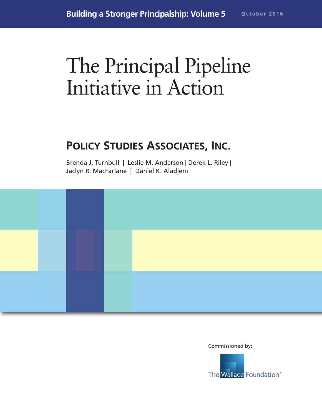# The Principal Pipeline Initiative in Action

# **POLICY STUDIES ASSOCIATES, INC.**

Brenda J. Turnbull | Leslie M. Anderson | Derek L. Riley | Jaclyn R. MacFarlane | Daniel K. Aladjem



Commissioned by:

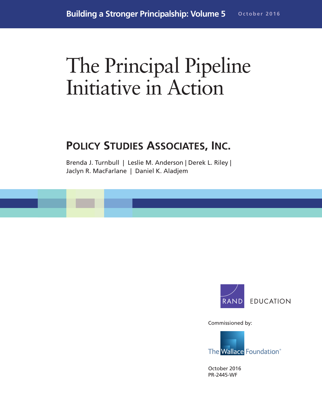# The Principal Pipeline Initiative in Action

# **POLICY STUDIES ASSOCIATES, INC.**

Brenda J. Turnbull | Leslie M. Anderson | Derek L. Riley | Jaclyn R. MacFarlane | Daniel K. Aladjem



Commissioned by:



October 2016 PR-2445-WF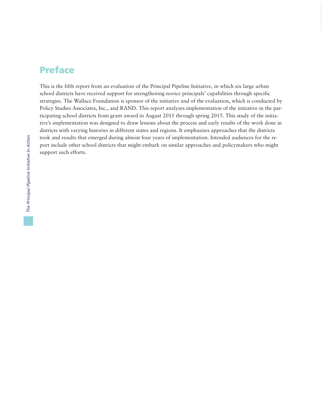## **Preface**

This is the fifth report from an evaluation of the Principal Pipeline Initiative, in which six large urban school districts have received support for strengthening novice principals' capabilities through specific strategies. The Wallace Foundation is sponsor of the initiative and of the evaluation, which is conducted by Policy Studies Associates, Inc., and RAND. This report analyzes implementation of the initiative in the participating school districts from grant award in August 2011 through spring 2015. This study of the initiative's implementation was designed to draw lessons about the process and early results of the work done in districts with varying histories in different states and regions. It emphasizes approaches that the districts took and results that emerged during almost four years of implementation. Intended audiences for the report include other school districts that might embark on similar approaches and policymakers who might support such efforts.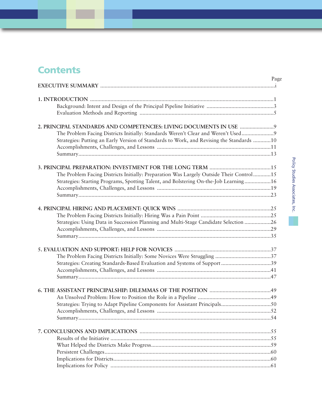# **Contents**

|                                                                                          | Page |
|------------------------------------------------------------------------------------------|------|
|                                                                                          |      |
|                                                                                          |      |
|                                                                                          |      |
|                                                                                          |      |
|                                                                                          |      |
| The Problem Facing Districts Initially: Standards Weren't Clear and Weren't Used         |      |
| Strategies: Putting an Early Version of Standards to Work, and Revising the Standards 10 |      |
|                                                                                          |      |
|                                                                                          |      |
|                                                                                          |      |
|                                                                                          |      |
| The Problem Facing Districts Initially: Preparation Was Largely Outside Their Control15  |      |
| Strategies: Starting Programs, Spotting Talent, and Bolstering On-the-Job Learning16     |      |
|                                                                                          |      |
|                                                                                          |      |
|                                                                                          |      |
|                                                                                          |      |
| Strategies: Using Data in Succession Planning and Multi-Stage Candidate Selection 26     |      |
|                                                                                          |      |
|                                                                                          |      |
|                                                                                          |      |
|                                                                                          |      |
| Strategies: Creating Standards-Based Evaluation and Systems of Support39                 |      |
|                                                                                          |      |
|                                                                                          |      |
|                                                                                          |      |
|                                                                                          |      |
|                                                                                          |      |
|                                                                                          |      |
|                                                                                          |      |
|                                                                                          |      |
|                                                                                          |      |
|                                                                                          |      |
|                                                                                          |      |
|                                                                                          |      |
|                                                                                          |      |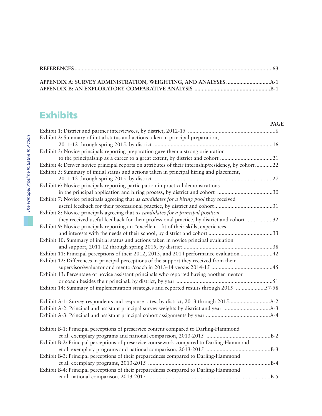## **Exhibits**

| <b>PAGE</b>                                                                                         |
|-----------------------------------------------------------------------------------------------------|
|                                                                                                     |
| Exhibit 2: Summary of initial status and actions taken in principal preparation,                    |
|                                                                                                     |
| Exhibit 3: Novice principals reporting preparation gave them a strong orientation                   |
| to the principalship as a career to a great extent, by district and cohort 21                       |
| Exhibit 4: Denver novice principal reports on attributes of their internship/residency, by cohort22 |
| Exhibit 5: Summary of initial status and actions taken in principal hiring and placement,           |
|                                                                                                     |
| Exhibit 6: Novice principals reporting participation in practical demonstrations                    |
|                                                                                                     |
| Exhibit 7: Novice principals agreeing that as candidates for a hiring pool they received            |
|                                                                                                     |
| Exhibit 8: Novice principals agreeing that as candidates for a principal position                   |
| they received useful feedback for their professional practice, by district and cohort 32            |
| Exhibit 9: Novice principals reporting an "excellent" fit of their skills, experiences,             |
|                                                                                                     |
| Exhibit 10: Summary of initial status and actions taken in novice principal evaluation              |
|                                                                                                     |
| Exhibit 11: Principal perceptions of their 2012, 2013, and 2014 performance evaluation 42           |
| Exhibit 12: Differences in principal perceptions of the support they received from their            |
|                                                                                                     |
| Exhibit 13: Percentage of novice assistant principals who reported having another mentor            |
|                                                                                                     |
| Exhibit 14: Summary of implementation strategies and reported results through 2015 57-58            |
|                                                                                                     |
|                                                                                                     |
| Exhibit A-2: Principal and assistant principal survey weights by district and year A-3              |
|                                                                                                     |
|                                                                                                     |
| Exhibit B-1: Principal perceptions of preservice content compared to Darling-Hammond                |
|                                                                                                     |
| Exhibit B-2: Principal perceptions of preservice coursework compared to Darling-Hammond             |
|                                                                                                     |
| Exhibit B-3: Principal perceptions of their preparedness compared to Darling-Hammond                |
|                                                                                                     |
| Exhibit B-4: Principal perceptions of their preparedness compared to Darling-Hammond                |
|                                                                                                     |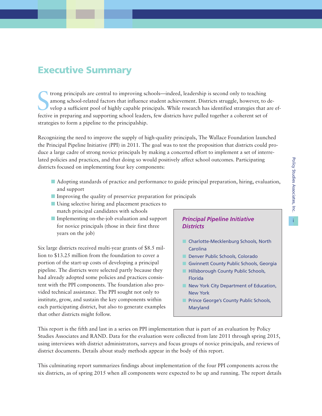### **Executive Summary**

from principals are central to improving schools—indeed, leadership is second only to teaching<br>among school-related factors that influence student achievement. Districts struggle, however, to<br>velop a sufficient pool of hig trong principals are central to improving schools—indeed, leadership is second only to teaching among school-related factors that influence student achievement. Districts struggle, however, to develop a sufficient pool of highly capable principals. While research has identified strategies that are efstrategies to form a pipeline to the principalship.

Recognizing the need to improve the supply of high-quality principals, The Wallace Foundation launched the Principal Pipeline Initiative (PPI) in 2011. The goal was to test the proposition that districts could produce a large cadre of strong novice principals by making a concerted effort to implement a set of interrelated policies and practices, and that doing so would positively affect school outcomes. Participating districts focused on implementing four key components:

- Adopting standards of practice and performance to guide principal preparation, hiring, evaluation, and support
- Improving the quality of preservice preparation for principals
- Using selective hiring and placement practices to match principal candidates with schools
- Implementing on-the-job evaluation and support for novice principals (those in their first three years on the job)

Six large districts received multi-year grants of \$8.5 million to \$13.25 million from the foundation to cover a portion of the start-up costs of developing a principal pipeline. The districts were selected partly because they had already adopted some policies and practices consistent with the PPI components. The foundation also provided technical assistance. The PPI sought not only to institute, grow, and sustain the key components within each participating district, but also to generate examples that other districts might follow.

#### *Principal Pipeline Initiative Districts*

- Charlotte-Mecklenburg Schools, North Carolina
- Denver Public Schools, Colorado
- Gwinnett County Public Schools, Georgia
- Hillsborough County Public Schools, Florida
- New York City Department of Education, New York
- Prince George's County Public Schools, Maryland

This report is the fifth and last in a series on PPI implementation that is part of an evaluation by Policy Studies Associates and RAND. Data for the evaluation were collected from late 2011 through spring 2015, using interviews with district administrators, surveys and focus groups of novice principals, and reviews of district documents. Details about study methods appear in the body of this report.

This culminating report summarizes findings about implementation of the four PPI components across the six districts, as of spring 2015 when all components were expected to be up and running. The report details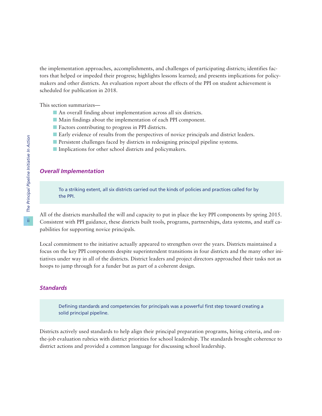the implementation approaches, accomplishments, and challenges of participating districts; identifies factors that helped or impeded their progress; highlights lessons learned; and presents implications for policymakers and other districts. An evaluation report about the effects of the PPI on student achievement is scheduled for publication in 2018.

This section summarizes—

- An overall finding about implementation across all six districts.
- Main findings about the implementation of each PPI component.
- Factors contributing to progress in PPI districts.
- Early evidence of results from the perspectives of novice principals and district leaders.
- Persistent challenges faced by districts in redesigning principal pipeline systems.
- Implications for other school districts and policymakers.

#### *Overall Implementation*

To a striking extent, all six districts carried out the kinds of policies and practices called for by the PPI.

All of the districts marshalled the will and capacity to put in place the key PPI components by spring 2015. Consistent with PPI guidance, these districts built tools, programs, partnerships, data systems, and staff capabilities for supporting novice principals.

Local commitment to the initiative actually appeared to strengthen over the years. Districts maintained a focus on the key PPI components despite superintendent transitions in four districts and the many other initiatives under way in all of the districts. District leaders and project directors approached their tasks not as hoops to jump through for a funder but as part of a coherent design.

#### *Standards*

Defining standards and competencies for principals was a powerful first step toward creating a solid principal pipeline.

Districts actively used standards to help align their principal preparation programs, hiring criteria, and onthe-job evaluation rubrics with district priorities for school leadership. The standards brought coherence to district actions and provided a common language for discussing school leadership.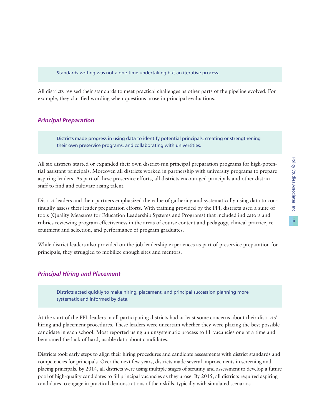Standards-writing was not a one-time undertaking but an iterative process.

All districts revised their standards to meet practical challenges as other parts of the pipeline evolved. For example, they clarified wording when questions arose in principal evaluations.

#### *Principal Preparation*

Districts made progress in using data to identify potential principals, creating or strengthening their own preservice programs, and collaborating with universities.

All six districts started or expanded their own district-run principal preparation programs for high-potential assistant principals. Moreover, all districts worked in partnership with university programs to prepare aspiring leaders. As part of these preservice efforts, all districts encouraged principals and other district staff to find and cultivate rising talent.

District leaders and their partners emphasized the value of gathering and systematically using data to continually assess their leader preparation efforts. With training provided by the PPI, districts used a suite of tools (Quality Measures for Education Leadership Systems and Programs) that included indicators and rubrics reviewing program effectiveness in the areas of course content and pedagogy, clinical practice, recruitment and selection, and performance of program graduates.

While district leaders also provided on-the-job leadership experiences as part of preservice preparation for principals, they struggled to mobilize enough sites and mentors.

#### *Principal Hiring and Placement*

Districts acted quickly to make hiring, placement, and principal succession planning more systematic and informed by data.

At the start of the PPI, leaders in all participating districts had at least some concerns about their districts' hiring and placement procedures. These leaders were uncertain whether they were placing the best possible candidate in each school. Most reported using an unsystematic process to fill vacancies one at a time and bemoaned the lack of hard, usable data about candidates.

Districts took early steps to align their hiring procedures and candidate assessments with district standards and competencies for principals. Over the next few years, districts made several improvements in screening and placing principals. By 2014, all districts were using multiple stages of scrutiny and assessment to develop a future pool of high-quality candidates to fill principal vacancies as they arose. By 2015, all districts required aspiring candidates to engage in practical demonstrations of their skills, typically with simulated scenarios.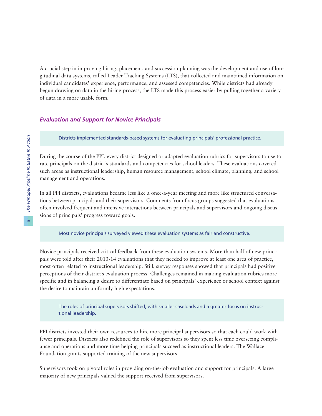A crucial step in improving hiring, placement, and succession planning was the development and use of longitudinal data systems, called Leader Tracking Systems (LTS), that collected and maintained information on individual candidates' experience, performance, and assessed competencies. While districts had already begun drawing on data in the hiring process, the LTS made this process easier by pulling together a variety of data in a more usable form.

#### *Evaluation and Support for Novice Principals*

#### Districts implemented standards-based systems for evaluating principals' professional practice.

During the course of the PPI, every district designed or adapted evaluation rubrics for supervisors to use to rate principals on the district's standards and competencies for school leaders. These evaluations covered such areas as instructional leadership, human resource management, school climate, planning, and school management and operations.

In all PPI districts, evaluations became less like a once-a-year meeting and more like structured conversations between principals and their supervisors. Comments from focus groups suggested that evaluations often involved frequent and intensive interactions between principals and supervisors and ongoing discussions of principals' progress toward goals.

Most novice principals surveyed viewed these evaluation systems as fair and constructive.

Novice principals received critical feedback from these evaluation systems. More than half of new principals were told after their 2013-14 evaluations that they needed to improve at least one area of practice, most often related to instructional leadership. Still, survey responses showed that principals had positive perceptions of their district's evaluation process. Challenges remained in making evaluation rubrics more specific and in balancing a desire to differentiate based on principals' experience or school context against the desire to maintain uniformly high expectations.

The roles of principal supervisors shifted, with smaller caseloads and a greater focus on instructional leadership.

PPI districts invested their own resources to hire more principal supervisors so that each could work with fewer principals. Districts also redefined the role of supervisors so they spent less time overseeing compliance and operations and more time helping principals succeed as instructional leaders. The Wallace Foundation grants supported training of the new supervisors.

Supervisors took on pivotal roles in providing on-the-job evaluation and support for principals. A large majority of new principals valued the support received from supervisors.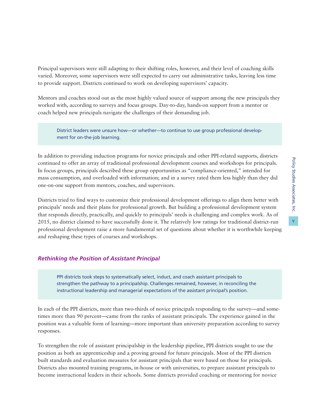Principal supervisors were still adapting to their shifting roles, however, and their level of coaching skills varied. Moreover, some supervisors were still expected to carry out administrative tasks, leaving less time to provide support. Districts continued to work on developing supervisors' capacity.

Mentors and coaches stood out as the most highly valued source of support among the new principals they worked with, according to surveys and focus groups. Day-to-day, hands-on support from a mentor or coach helped new principals navigate the challenges of their demanding job.

District leaders were unsure how—or whether—to continue to use group professional development for on-the-job learning.

In addition to providing induction programs for novice principals and other PPI-related supports, districts continued to offer an array of traditional professional development courses and workshops for principals. In focus groups, principals described these group opportunities as "compliance-oriented," intended for mass consumption, and overloaded with information; and in a survey rated them less highly than they did one-on-one support from mentors, coaches, and supervisors.

Districts tried to find ways to customize their professional development offerings to align them better with principals' needs and their plans for professional growth. But building a professional development system that responds directly, practically, and quickly to principals' needs is challenging and complex work. As of 2015, no district claimed to have successfully done it. The relatively low ratings for traditional district-run professional development raise a more fundamental set of questions about whether it is worthwhile keeping and reshaping these types of courses and workshops.

#### *Rethinking the Position of Assistant Principal*

PPI districts took steps to systematically select, induct, and coach assistant principals to strengthen the pathway to a principalship. Challenges remained, however, in reconciling the instructional leadership and managerial expectations of the assistant principal's position.

In each of the PPI districts, more than two-thirds of novice principals responding to the survey—and sometimes more than 90 percent—came from the ranks of assistant principals. The experience gained in the position was a valuable form of learning—more important than university preparation according to survey responses.

To strengthen the role of assistant principalship in the leadership pipeline, PPI districts sought to use the position as both an apprenticeship and a proving ground for future principals. Most of the PPI districts built standards and evaluation measures for assistant principals that were based on those for principals. Districts also mounted training programs, in-house or with universities, to prepare assistant principals to become instructional leaders in their schools. Some districts provided coaching or mentoring for novice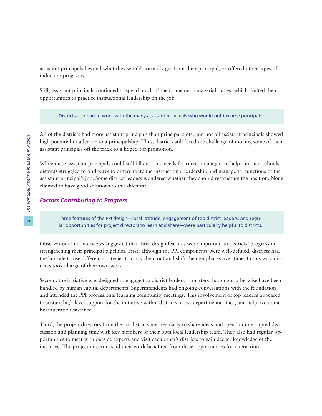assistant principals beyond what they would normally get from their principal, or offered other types of induction programs.

Still, assistant principals continued to spend much of their time on managerial duties, which limited their opportunities to practice instructional leadership on the job.

Districts also had to work with the many assistant principals who would not become principals.

All of the districts had more assistant principals than principal slots, and not all assistant principals showed high potential to advance to a principalship. Thus, districts still faced the challenge of moving some of their assistant principals off the track to a hoped-for promotion.

While these assistant principals could still fill districts' needs for career managers to help run their schools, districts struggled to find ways to differentiate the instructional leadership and managerial functions of the assistant principal's job. Some district leaders wondered whether they should restructure the position. None claimed to have good solutions to this dilemma.

#### *Factors Contributing to Progress*

Three features of the PPI design—local latitude, engagement of top district leaders, and regular opportunities for project directors to learn and share—were particularly helpful to districts.

Observations and interviews suggested that three design features were important to districts' progress in strengthening their principal pipelines. First, although the PPI components were well-defined, districts had the latitude to use different strategies to carry them out and shift their emphases over time. In this way, districts took charge of their own work.

Second, the initiative was designed to engage top district leaders in matters that might otherwise have been handled by human capital departments. Superintendents had ongoing conversations with the foundation and attended the PPI professional learning community meetings. This involvement of top leaders appeared to sustain high-level support for the initiative within districts, cross departmental lines, and help overcome bureaucratic resistance.

Third, the project directors from the six districts met regularly to share ideas and spend uninterrupted discussion and planning time with key members of their own local leadership team. They also had regular opportunities to meet with outside experts and visit each other's districts to gain deeper knowledge of the initiative. The project directors said their work benefited from these opportunities for interaction.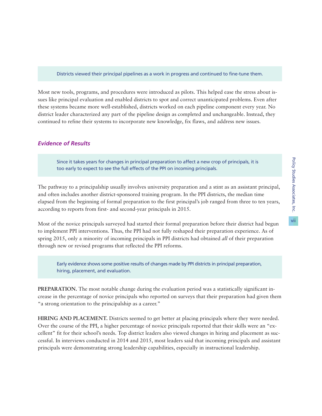Districts viewed their principal pipelines as a work in progress and continued to fine-tune them.

Most new tools, programs, and procedures were introduced as pilots. This helped ease the stress about issues like principal evaluation and enabled districts to spot and correct unanticipated problems. Even after these systems became more well-established, districts worked on each pipeline component every year. No district leader characterized any part of the pipeline design as completed and unchangeable. Instead, they continued to refine their systems to incorporate new knowledge, fix flaws, and address new issues.

#### *Evidence of Results*

Since it takes years for changes in principal preparation to affect a new crop of principals, it is too early to expect to see the full effects of the PPI on incoming principals.

The pathway to a principalship usually involves university preparation and a stint as an assistant principal, and often includes another district-sponsored training program. In the PPI districts, the median time elapsed from the beginning of formal preparation to the first principal's job ranged from three to ten years, according to reports from first- and second-year principals in 2015.

Most of the novice principals surveyed had started their formal preparation before their district had begun to implement PPI interventions. Thus, the PPI had not fully reshaped their preparation experience. As of spring 2015, only a minority of incoming principals in PPI districts had obtained *all* of their preparation through new or revised programs that reflected the PPI reforms.

Early evidence shows some positive results of changes made by PPI districts in principal preparation, hiring, placement, and evaluation.

**PREPARATION.** The most notable change during the evaluation period was a statistically significant increase in the percentage of novice principals who reported on surveys that their preparation had given them "a strong orientation to the principalship as a career."

**HIRING AND PLACEMENT.** Districts seemed to get better at placing principals where they were needed. Over the course of the PPI, a higher percentage of novice principals reported that their skills were an "excellent" fit for their school's needs. Top district leaders also viewed changes in hiring and placement as successful. In interviews conducted in 2014 and 2015, most leaders said that incoming principals and assistant principals were demonstrating strong leadership capabilities, especially in instructional leadership.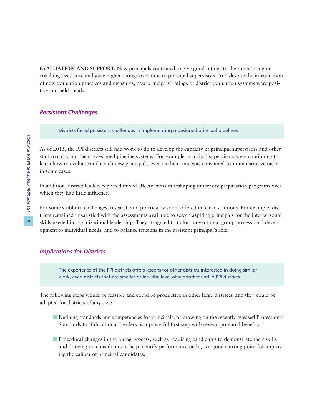**EVALUATION AND SUPPORT.** New principals continued to give good ratings to their mentoring or coaching assistance and gave higher ratings over time to principal supervisors. And despite the introduction of new evaluation practices and measures, new principals' ratings of district evaluation systems were positive and held steady.

#### *Persistent Challenges*

Districts faced persistent challenges in implementing redesigned principal pipelines.

As of 2015, the PPI districts still had work to do to develop the capacity of principal supervisors and other staff to carry out their redesigned pipeline systems. For example, principal supervisors were continuing to learn how to evaluate and coach new principals, even as their time was consumed by administrative tasks in some cases.

In addition, district leaders reported mixed effectiveness in reshaping university preparation programs over which they had little influence.

For some stubborn challenges, research and practical wisdom offered no clear solutions. For example, districts remained unsatisfied with the assessments available to screen aspiring principals for the interpersonal skills needed in organizational leadership. They struggled to tailor conventional group professional development to individual needs, and to balance tensions in the assistant principal's role.

#### *Implications for Districts*

The experience of the PPI districts offers lessons for other districts interested in doing similar work, even districts that are smaller or lack the level of support found in PPI districts.

The following steps would be feasible and could be productive in other large districts, and they could be adapted for districts of any size:

- Defining standards and competencies for principals, or drawing on the recently released Professional Standards for Educational Leaders, is a powerful first step with several potential benefits.
- Procedural changes in the hiring process, such as requiring candidates to demonstrate their skills and drawing on consultants to help identify performance tasks, is a good starting point for improving the caliber of principal candidates.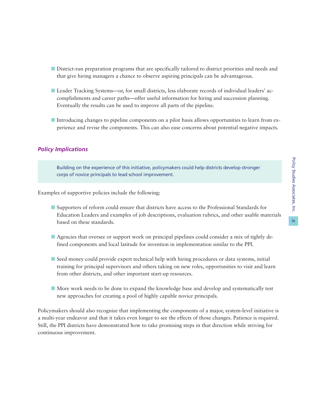- District-run preparation programs that are specifically tailored to district priorities and needs and that give hiring managers a chance to observe aspiring principals can be advantageous.
- Leader Tracking Systems—or, for small districts, less elaborate records of individual leaders' accomplishments and career paths—offer useful information for hiring and succession planning. Eventually the results can be used to improve all parts of the pipeline.
- Introducing changes to pipeline components on a pilot basis allows opportunities to learn from experience and revise the components. This can also ease concerns about potential negative impacts.

#### *Policy Implications*

Building on the experience of this initiative, policymakers could help districts develop stronger corps of novice principals to lead school improvement.

Examples of supportive policies include the following:

- Supporters of reform could ensure that districts have access to the Professional Standards for Education Leaders and examples of job descriptions, evaluation rubrics, and other usable materials based on these standards.
- Agencies that oversee or support work on principal pipelines could consider a mix of tightly defined components and local latitude for invention in implementation similar to the PPI.
- Seed money could provide expert technical help with hiring procedures or data systems, initial training for principal supervisors and others taking on new roles, opportunities to visit and learn from other districts, and other important start-up resources.
- More work needs to be done to expand the knowledge base and develop and systematically test new approaches for creating a pool of highly capable novice principals.

Policymakers should also recognize that implementing the components of a major, system-level initiative is a multi-year endeavor and that it takes even longer to see the effects of those changes. Patience is required. Still, the PPI districts have demonstrated how to take promising steps in that direction while striving for continuous improvement.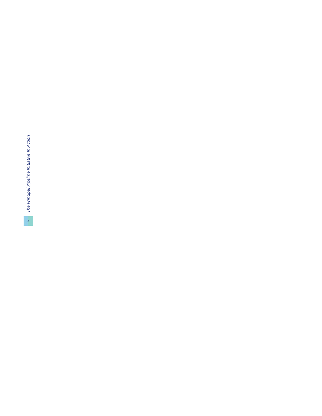*The Principal Pipeline Initiative In Action* x The Principal Pipeline Initiative In Action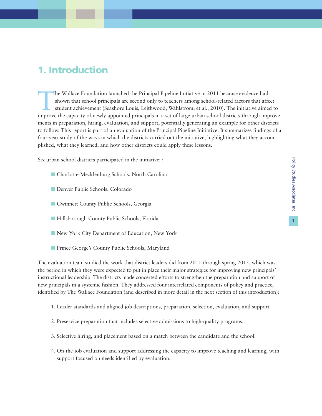## **1. Introduction**

The Wallace Foundation launched the Principal Pipeline Initiative in <sup>2011</sup> because evidence had shown that school principals are second only to teachers among school-related factors that affect student achievement (Seashore Louis, Leithwood, Wahlstrom, et al., 2010). The initiative aimed to improve the capacity of newly appointed principals in a set of large urban school districts through improvements in preparation, hiring, evaluation, and support, potentially generating an example for other districts to follow. This report is part of an evaluation of the Principal Pipeline Initiative. It summarizes findings of a four-year study of the ways in which the districts carried out the initiative, highlighting what they accomplished, what they learned, and how other districts could apply these lessons.

Six urban school districts participated in the initiative: :

- Charlotte-Mecklenburg Schools, North Carolina
- Denver Public Schools, Colorado
- Gwinnett County Public Schools, Georgia
- Hillsborough County Public Schools, Florida
- New York City Department of Education, New York
- Prince George's County Public Schools, Maryland

The evaluation team studied the work that district leaders did from 2011 through spring 2015, which was the period in which they were expected to put in place their major strategies for improving new principals' instructional leadership. The districts made concerted efforts to strengthen the preparation and support of new principals in a systemic fashion. They addressed four interrelated components of policy and practice, identified by The Wallace Foundation (and described in more detail in the next section of this introduction):

- 1. Leader standards and aligned job descriptions, preparation, selection, evaluation, and support.
- 2. Preservice preparation that includes selective admissions to high-quality programs.
- 3. Selective hiring, and placement based on a match between the candidate and the school.
- 4. On-the-job evaluation and support addressing the capacity to improve teaching and learning, with support focused on needs identified by evaluation.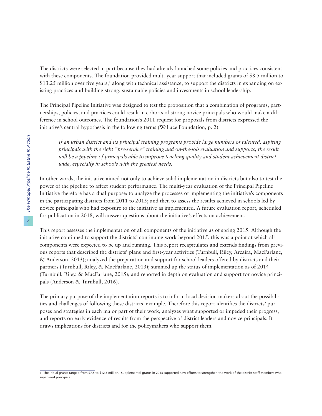The districts were selected in part because they had already launched some policies and practices consistent with these components. The foundation provided multi-year support that included grants of \$8.5 million to \$13.25 million over five years,<sup>1</sup> along with technical assistance, to support the districts in expanding on existing practices and building strong, sustainable policies and investments in school leadership.

The Principal Pipeline Initiative was designed to test the proposition that a combination of programs, partnerships, policies, and practices could result in cohorts of strong novice principals who would make a difference in school outcomes. The foundation's 2011 request for proposals from districts expressed the initiative's central hypothesis in the following terms (Wallace Foundation, p. 2):

*If an urban district and its principal training programs provide large numbers of talented, aspiring principals with the right "pre-service" training and on-the-job evaluation and supports, the result will be a pipeline of principals able to improve teaching quality and student achievement districtwide, especially in schools with the greatest needs.*

In other words, the initiative aimed not only to achieve solid implementation in districts but also to test the power of the pipeline to affect student performance. The multi-year evaluation of the Principal Pipeline Initiative therefore has a dual purpose: to analyze the processes of implementing the initiative's components in the participating districts from 2011 to 2015; and then to assess the results achieved in schools led by novice principals who had exposure to the initiative as implemented. A future evaluation report, scheduled for publication in 2018, will answer questions about the initiative's effects on achievement.

This report assesses the implementation of all components of the initiative as of spring 2015. Although the initiative continued to support the districts' continuing work beyond 2015, this was a point at which all components were expected to be up and running. This report recapitulates and extends findings from previous reports that described the districts' plans and first-year activities (Turnbull, Riley, Arcaira, MacFarlane, & Anderson, 2013); analyzed the preparation and support for school leaders offered by districts and their partners (Turnbull, Riley, & MacFarlane, 2013); summed up the status of implementation as of 2014 (Turnbull, Riley, & MacFarlane, 2015); and reported in depth on evaluation and support for novice principals (Anderson & Turnbull, 2016).

The primary purpose of the implementation reports is to inform local decision makers about the possibilities and challenges of following these districts' example. Therefore this report identifies the districts' purposes and strategies in each major part of their work, analyzes what supported or impeded their progress, and reports on early evidence of results from the perspective of district leaders and novice principals. It draws implications for districts and for the policymakers who support them.

<sup>1</sup> The initial grants ranged from \$7.5 to \$12.5 million. Supplemental grants in 2013 supported new efforts to strengthen the work of the district staff members who supervised principals.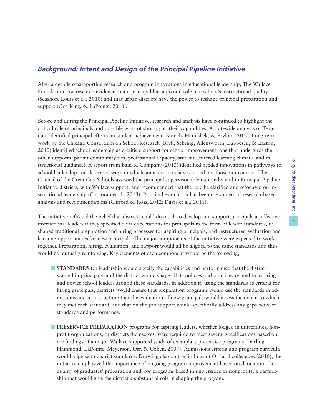#### *Background: Intent and Design of the Principal Pipeline Initiative*

After a decade of supporting research and program innovations in educational leadership, The Wallace Foundation saw research evidence that a principal has a pivotal role in a school's instructional quality (Seashore Louis et al., 2010) and that urban districts have the power to reshape principal preparation and support (Orr, King, & LaPointe, 2010).

Before and during the Principal Pipeline Initiative, research and analysis have continued to highlight the critical role of principals and possible ways of shoring up their capabilities. A statewide analysis of Texas data identified principal effects on student achievement (Branch, Hanushek, & Rivkin, 2012). Long-term work by the Chicago Consortium on School Research (Bryk, Sebring, Allensworth, Luppescu, & Easton, 2010) identified school leadership as a critical support for school improvement, one that undergirds the other supports (parent-community ties, professional capacity, student-centered learning climate, and instructional guidance). A report from Bain & Company (2013) identified needed innovations in pathways to school leadership and described ways in which some districts have carried out those innovations. The Council of the Great City Schools assessed the principal supervisor role nationally and in Principal Pipeline Initiative districts, with Wallace support, and recommended that the role be clarified and refocused on instructional leadership (Corcoran et al., 2013). Principal evaluation has been the subject of research-based analysis and recommendations (Clifford & Ross, 2012; Davis et al., 2011).

The initiative reflected the belief that districts could do much to develop and support principals as effective instructional leaders if they specified clear expectations for principals in the form of leader standards, reshaped traditional preparation and hiring processes for aspiring principals, and restructured evaluation and learning opportunities for new principals. The major components of the initiative were expected to work together. Preparation, hiring, evaluation, and support would all be aligned to the same standards and thus would be mutually reinforcing. Key elements of each component would be the following;

- **STANDARDS** for leadership would specify the capabilities and performance that the district wanted in principals, and the district would shape all its policies and practices related to aspiring and novice school leaders around these standards. In addition to using the standards as criteria for hiring principals, districts would ensure that preparation programs would use the standards in admissions and in instruction; that the evaluation of new principals would assess the extent to which they met each standard; and that on-the-job support would specifically address any gaps between standards and performance.
- **PRESERVICE PREPARATION** programs for aspiring leaders, whether lodged in universities, nonprofit organizations, or districts themselves, were required to meet several specifications based on the findings of a major Wallace-supported study of exemplary preservice programs (Darling-Hammond, LaPointe, Meyerson, Orr, & Cohen, 2007). Admissions criteria and program curricula would align with district standards. Drawing also on the findings of Orr and colleagues (2010), the initiative emphasized the importance of ongoing program improvement based on data about the quality of graduates' preparation and, for programs based in universities or nonprofits, a partnership that would give the district a substantial role in shaping the program.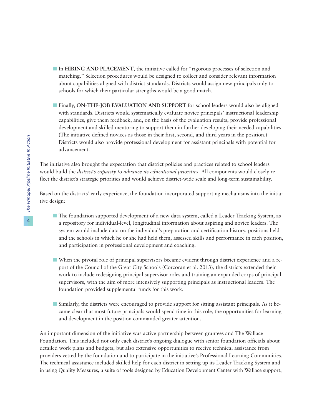- In **HIRING AND PLACEMENT**, the initiative called for "rigorous processes of selection and matching." Selection procedures would be designed to collect and consider relevant information about capabilities aligned with district standards. Districts would assign new principals only to schools for which their particular strengths would be a good match.
- Finally, **ON-THE-JOB EVALUATION AND SUPPORT** for school leaders would also be aligned with standards. Districts would systematically evaluate novice principals' instructional leadership capabilities, give them feedback, and, on the basis of the evaluation results, provide professional development and skilled mentoring to support them in further developing their needed capabilities. (The initiative defined novices as those in their first, second, and third years in the position.) Districts would also provide professional development for assistant principals with potential for advancement.

The initiative also brought the expectation that district policies and practices related to school leaders would build the *district's capacity to advance its educational priorities*. All components would closely reflect the district's strategic priorities and would achieve district-wide scale and long-term sustainability.

Based on the districts' early experience, the foundation incorporated supporting mechanisms into the initiative design:

- The foundation supported development of a new data system, called a Leader Tracking System, as a repository for individual-level, longitudinal information about aspiring and novice leaders. The system would include data on the individual's preparation and certification history, positions held and the schools in which he or she had held them, assessed skills and performance in each position, and participation in professional development and coaching.
- When the pivotal role of principal supervisors became evident through district experience and a report of the Council of the Great City Schools (Corcoran et al. 2013), the districts extended their work to include redesigning principal supervisor roles and training an expanded corps of principal supervisors, with the aim of more intensively supporting principals as instructional leaders. The foundation provided supplemental funds for this work.
- Similarly, the districts were encouraged to provide support for sitting assistant principals. As it became clear that most future principals would spend time in this role, the opportunities for learning and development in the position commanded greater attention.

An important dimension of the initiative was active partnership between grantees and The Wallace Foundation. This included not only each district's ongoing dialogue with senior foundation officials about detailed work plans and budgets, but also extensive opportunities to receive technical assistance from providers vetted by the foundation and to participate in the initiative's Professional Learning Communities. The technical assistance included skilled help for each district in setting up its Leader Tracking System and in using Quality Measures, a suite of tools designed by Education Development Center with Wallace support,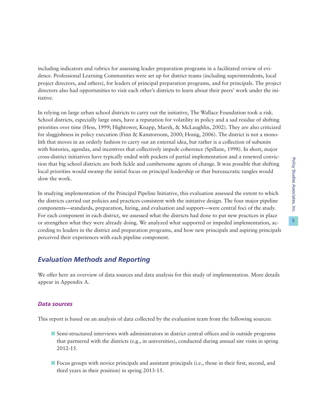including indicators and rubrics for assessing leader preparation programs in a facilitated review of evidence. Professional Learning Communities were set up for district teams (including superintendents, local project directors, and others), for leaders of principal preparation programs, and for principals. The project directors also had opportunities to visit each other's districts to learn about their peers' work under the initiative.

In relying on large urban school districts to carry out the initiative, The Wallace Foundation took a risk. School districts, especially large ones, have a reputation for volatility in policy and a sad residue of shifting priorities over time (Hess, 1999; Hightower, Knapp, Marsh, & McLaughlin, 2002). They are also criticized for sluggishness in policy execution (Finn & Kanstoroom, 2000; Honig, 2006). The district is not a monolith that moves in an orderly fashion to carry out an external idea, but rather is a collection of subunits with histories, agendas, and incentives that collectively impede coherence (Spillane, 1998). In short, major cross-district initiatives have typically ended with pockets of partial implementation and a renewed conviction that big school districts are both fickle and cumbersome agents of change. It was possible that shifting local priorities would swamp the initial focus on principal leadership or that bureaucratic tangles would slow the work.

In studying implementation of the Principal Pipeline Initiative, this evaluation assessed the extent to which the districts carried out policies and practices consistent with the initiative design. The four major pipeline components—standards, preparation, hiring, and evaluation and support—were central foci of the study. For each component in each district, we assessed what the districts had done to put new practices in place or strengthen what they were already doing. We analyzed what supported or impeded implementation, according to leaders in the district and preparation programs, and how new principals and aspiring principals perceived their experiences with each pipeline component.

#### *Evaluation Methods and Reporting*

We offer here an overview of data sources and data analysis for this study of implementation. More details appear in Appendix A.

#### *Data sources*

This report is based on an analysis of data collected by the evaluation team from the following sources:

- Semi-structured interviews with administrators in district central offices and in outside programs that partnered with the districts (e.g., in universities), conducted during annual site visits in spring 2012-15.
- Focus groups with novice principals and assistant principals (i.e., those in their first, second, and third years in their position) in spring 2013-15.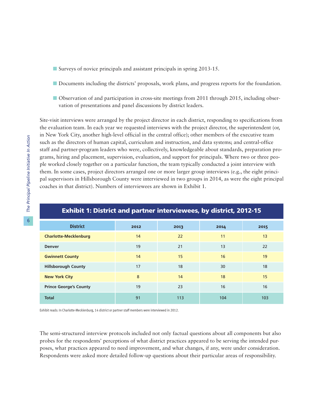- Surveys of novice principals and assistant principals in spring 2013-15.
- Documents including the districts' proposals, work plans, and progress reports for the foundation.
- Observation of and participation in cross-site meetings from 2011 through 2015, including observation of presentations and panel discussions by district leaders.

Site-visit interviews were arranged by the project director in each district, responding to specifications from the evaluation team. In each year we requested interviews with the project director, the superintendent (or, in New York City, another high-level official in the central office); other members of the executive team such as the directors of human capital, curriculum and instruction, and data systems; and central-office staff and partner-program leaders who were, collectively, knowledgeable about standards, preparation programs, hiring and placement, supervision, evaluation, and support for principals. Where two or three people worked closely together on a particular function, the team typically conducted a joint interview with them. In some cases, project directors arranged one or more larger group interviews (e.g., the eight principal supervisors in Hillsborough County were interviewed in two groups in 2014, as were the eight principal coaches in that district). Numbers of interviewees are shown in Exhibit 1.

| <b>District</b>               | 2012 | 2013 | 2014 | 2015 |
|-------------------------------|------|------|------|------|
| <b>Charlotte-Mecklenburg</b>  | 14   | 22   | 11   | 13   |
| <b>Denver</b>                 | 19   | 21   | 13   | 22   |
| <b>Gwinnett County</b>        | 14   | 15   | 16   | 19   |
| <b>Hillsborough County</b>    | 17   | 18   | 30   | 18   |
| <b>New York City</b>          | 8    | 14   | 18   | 15   |
| <b>Prince George's County</b> | 19   | 23   | 16   | 16   |
| <b>Total</b>                  | 91   | 113  | 104  | 103  |

#### **Exhibit 1: District and partner interviewees, by district, 2012-15**

Exhibit reads: In Charlotte-Mecklenburg, 14 district or partner staff members were interviewed in 2012.

The semi-structured interview protocols included not only factual questions about all components but also probes for the respondents' perceptions of what district practices appeared to be serving the intended purposes, what practices appeared to need improvement, and what changes, if any, were under consideration. Respondents were asked more detailed follow-up questions about their particular areas of responsibility.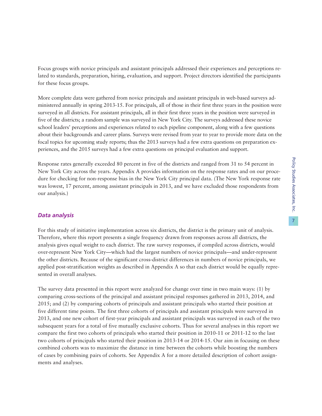Focus groups with novice principals and assistant principals addressed their experiences and perceptions related to standards, preparation, hiring, evaluation, and support. Project directors identified the participants for these focus groups.

More complete data were gathered from novice principals and assistant principals in web-based surveys administered annually in spring 2013-15. For principals, all of those in their first three years in the position were surveyed in all districts. For assistant principals, all in their first three years in the position were surveyed in five of the districts; a random sample was surveyed in New York City. The surveys addressed these novice school leaders' perceptions and experiences related to each pipeline component, along with a few questions about their backgrounds and career plans. Surveys were revised from year to year to provide more data on the focal topics for upcoming study reports; thus the 2013 surveys had a few extra questions on preparation experiences, and the 2015 surveys had a few extra questions on principal evaluation and support.

Response rates generally exceeded 80 percent in five of the districts and ranged from 31 to 54 percent in New York City across the years. Appendix A provides information on the response rates and on our procedure for checking for non-response bias in the New York City principal data. (The New York response rate was lowest, 17 percent, among assistant principals in 2013, and we have excluded those respondents from our analysis.)

#### *Data analysis*

For this study of initiative implementation across six districts, the district is the primary unit of analysis. Therefore, where this report presents a single frequency drawn from responses across all districts, the analysis gives equal weight to each district. The raw survey responses, if compiled across districts, would over-represent New York City—which had the largest numbers of novice principals—and under-represent the other districts. Because of the significant cross-district differences in numbers of novice principals, we applied post-stratification weights as described in Appendix A so that each district would be equally represented in overall analyses.

The survey data presented in this report were analyzed for change over time in two main ways: (1) by comparing cross-sections of the principal and assistant principal responses gathered in 2013, 2014, and 2015; and (2) by comparing cohorts of principals and assistant principals who started their position at five different time points. The first three cohorts of principals and assistant principals were surveyed in 2013, and one new cohort of first-year principals and assistant principals was surveyed in each of the two subsequent years for a total of five mutually exclusive cohorts. Thus for several analyses in this report we compare the first two cohorts of principals who started their position in 2010-11 or 2011-12 to the last two cohorts of principals who started their position in 2013-14 or 2014-15. Our aim in focusing on these combined cohorts was to maximize the distance in time between the cohorts while boosting the numbers of cases by combining pairs of cohorts. See Appendix A for a more detailed description of cohort assignments and analyses.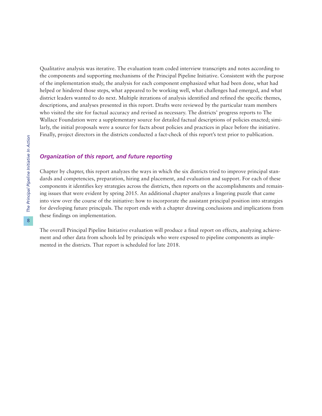Qualitative analysis was iterative. The evaluation team coded interview transcripts and notes according to the components and supporting mechanisms of the Principal Pipeline Initiative. Consistent with the purpose of the implementation study, the analysis for each component emphasized what had been done, what had helped or hindered those steps, what appeared to be working well, what challenges had emerged, and what district leaders wanted to do next. Multiple iterations of analysis identified and refined the specific themes, descriptions, and analyses presented in this report. Drafts were reviewed by the particular team members who visited the site for factual accuracy and revised as necessary. The districts' progress reports to The Wallace Foundation were a supplementary source for detailed factual descriptions of policies enacted; similarly, the initial proposals were a source for facts about policies and practices in place before the initiative. Finally, project directors in the districts conducted a fact-check of this report's text prior to publication.

#### *Organization of this report, and future reporting*

Chapter by chapter, this report analyzes the ways in which the six districts tried to improve principal standards and competencies, preparation, hiring and placement, and evaluation and support. For each of these components it identifies key strategies across the districts, then reports on the accomplishments and remaining issues that were evident by spring 2015. An additional chapter analyzes a lingering puzzle that came into view over the course of the initiative: how to incorporate the assistant principal position into strategies for developing future principals. The report ends with a chapter drawing conclusions and implications from these findings on implementation.

The overall Principal Pipeline Initiative evaluation will produce a final report on effects, analyzing achievement and other data from schools led by principals who were exposed to pipeline components as implemented in the districts. That report is scheduled for late 2018.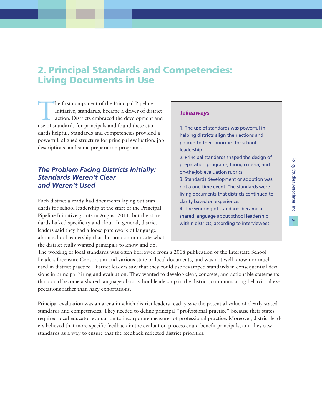## **2. Principal Standards and Competencies: Living Documents in Use**

The first component of the Principal Pipeline Initiative, standards, became a driver of district action. Districts embraced the development and use of standards for principals and found these standards helpful. Standards and competencies provided a powerful, aligned structure for principal evaluation, job descriptions, and some preparation programs.

#### *The Problem Facing Districts Initially: Standards Weren't Clear and Weren't Used*

Each district already had documents laying out standards for school leadership at the start of the Principal Pipeline Initiative grants in August 2011, but the standards lacked specificity and clout. In general, district leaders said they had a loose patchwork of language about school leadership that did not communicate what the district really wanted principals to know and do.

#### *Takeaways*

1. The use of standards was powerful in helping districts align their actions and policies to their priorities for school leadership.

2. Principal standards shaped the design of preparation programs, hiring criteria, and on-the-job evaluation rubrics.

3. Standards development or adoption was not a one-time event. The standards were living documents that districts continued to clarify based on experience.

4. The wording of standards became a shared language about school leadership within districts, according to interviewees.

The wording of local standards was often borrowed from a 2008 publication of the Interstate School Leaders Licensure Consortium and various state or local documents, and was not well known or much used in district practice. District leaders saw that they could use revamped standards in consequential decisions in principal hiring and evaluation. They wanted to develop clear, concrete, and actionable statements that could become a shared language about school leadership in the district, communicating behavioral expectations rather than hazy exhortations.

Principal evaluation was an arena in which district leaders readily saw the potential value of clearly stated standards and competencies. They needed to define principal "professional practice" because their states required local educator evaluation to incorporate measures of professional practice. Moreover, district leaders believed that more specific feedback in the evaluation process could benefit principals, and they saw standards as a way to ensure that the feedback reflected district priorities.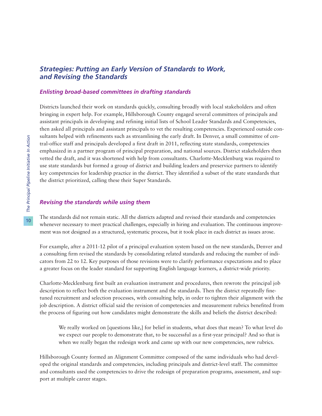#### *Strategies: Putting an Early Version of Standards to Work, and Revising the Standards*

#### *Enlisting broad-based committees in drafting standards*

Districts launched their work on standards quickly, consulting broadly with local stakeholders and often bringing in expert help. For example, Hillsborough County engaged several committees of principals and assistant principals in developing and refining initial lists of School Leader Standards and Competencies, then asked all principals and assistant principals to vet the resulting competencies. Experienced outside consultants helped with refinements such as streamlining the early draft. In Denver, a small committee of central-office staff and principals developed a first draft in 2011, reflecting state standards, competencies emphasized in a partner program of principal preparation, and national sources. District stakeholders then vetted the draft, and it was shortened with help from consultants. Charlotte-Mecklenburg was required to use state standards but formed a group of district and building leaders and preservice partners to identify key competencies for leadership practice in the district. They identified a subset of the state standards that the district prioritized, calling these their Super Standards.

#### *Revising the standards while using them*

The standards did not remain static. All the districts adapted and revised their standards and competencies whenever necessary to meet practical challenges, especially in hiring and evaluation. The continuous improvement was not designed as a structured, systematic process, but it took place in each district as issues arose.

For example, after a 2011-12 pilot of a principal evaluation system based on the new standards, Denver and a consulting firm revised the standards by consolidating related standards and reducing the number of indicators from 22 to 12. Key purposes of those revisions were to clarify performance expectations and to place a greater focus on the leader standard for supporting English language learners, a district-wide priority.

Charlotte-Mecklenburg first built an evaluation instrument and procedures, then rewrote the principal job description to reflect both the evaluation instrument and the standards. Then the district repeatedly finetuned recruitment and selection processes, with consulting help, in order to tighten their alignment with the job description. A district official said the revision of competencies and measurement rubrics benefited from the process of figuring out how candidates might demonstrate the skills and beliefs the district described:

We really worked on [questions like,] for belief in students, what does that mean? To what level do we expect our people to demonstrate that, to be successful as a first-year principal? And so that is when we really began the redesign work and came up with our new competencies, new rubrics.

Hillsborough County formed an Alignment Committee composed of the same individuals who had developed the original standards and competencies, including principals and district-level staff. The committee and consultants used the competencies to drive the redesign of preparation programs, assessment, and support at multiple career stages.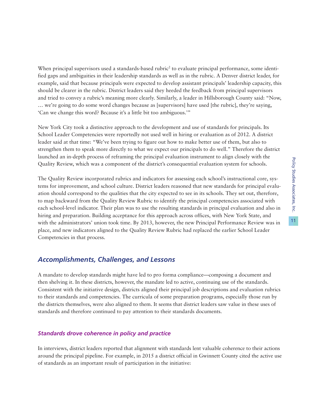When principal supervisors used a standards-based rubric<sup>2</sup> to evaluate principal performance, some identified gaps and ambiguities in their leadership standards as well as in the rubric. A Denver district leader, for example, said that because principals were expected to develop assistant principals' leadership capacity, this should be clearer in the rubric. District leaders said they heeded the feedback from principal supervisors and tried to convey a rubric's meaning more clearly. Similarly, a leader in Hillsborough County said: "Now, … we're going to do some word changes because as [supervisors] have used [the rubric], they're saying, 'Can we change this word? Because it's a little bit too ambiguous.'"

New York City took a distinctive approach to the development and use of standards for principals. Its School Leader Competencies were reportedly not used well in hiring or evaluation as of 2012. A district leader said at that time: "We've been trying to figure out how to make better use of them, but also to strengthen them to speak more directly to what we expect our principals to do well." Therefore the district launched an in-depth process of reframing the principal evaluation instrument to align closely with the Quality Review, which was a component of the district's consequential evaluation system for schools.

The Quality Review incorporated rubrics and indicators for assessing each school's instructional core, systems for improvement, and school culture. District leaders reasoned that new standards for principal evaluation should correspond to the qualities that the city expected to see in its schools. They set out, therefore, to map backward from the Quality Review Rubric to identify the principal competencies associated with each school-level indicator. Their plan was to use the resulting standards in principal evaluation and also in hiring and preparation. Building acceptance for this approach across offices, with New York State, and with the administrators' union took time. By 2013, however, the new Principal Performance Review was in place, and new indicators aligned to the Quality Review Rubric had replaced the earlier School Leader Competencies in that process.

#### *Accomplishments, Challenges, and Lessons*

A mandate to develop standards might have led to pro forma compliance—composing a document and then shelving it. In these districts, however, the mandate led to active, continuing use of the standards. Consistent with the initiative design, districts aligned their principal job descriptions and evaluation rubrics to their standards and competencies. The curricula of some preparation programs, especially those run by the districts themselves, were also aligned to them. It seems that district leaders saw value in these uses of standards and therefore continued to pay attention to their standards documents.

#### *Standards drove coherence in policy and practice*

In interviews, district leaders reported that alignment with standards lent valuable coherence to their actions around the principal pipeline. For example, in 2015 a district official in Gwinnett County cited the active use of standards as an important result of participation in the initiative: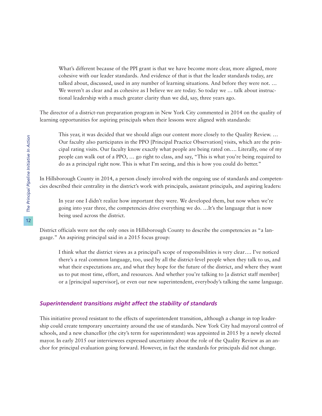What's different because of the PPI grant is that we have become more clear, more aligned, more cohesive with our leader standards. And evidence of that is that the leader standards today, are talked about, discussed, used in any number of learning situations. And before they were not. … We weren't as clear and as cohesive as I believe we are today. So today we ... talk about instructional leadership with a much greater clarity than we did, say, three years ago.

The director of a district-run preparation program in New York City commented in 2014 on the quality of learning opportunities for aspiring principals when their lessons were aligned with standards:

This year, it was decided that we should align our content more closely to the Quality Review. … Our faculty also participates in the PPO [Principal Practice Observation] visits, which are the principal rating visits. Our faculty know exactly what people are being rated on…. Literally, one of my people can walk out of a PPO, … go right to class, and say, "This is what you're being required to do as a principal right now. This is what I'm seeing, and this is how you could do better."

In Hillsborough County in 2014, a person closely involved with the ongoing use of standards and competencies described their centrality in the district's work with principals, assistant principals, and aspiring leaders:

In year one I didn't realize how important they were. We developed them, but now when we're going into year three, the competencies drive everything we do. …It's the language that is now being used across the district.

District officials were not the only ones in Hillsborough County to describe the competencies as "a language." An aspiring principal said in a 2015 focus group:

I think what the district views as a principal's scope of responsibilities is very clear…. I've noticed there's a real common language, too, used by all the district-level people when they talk to us, and what their expectations are, and what they hope for the future of the district, and where they want us to put most time, effort, and resources. And whether you're talking to [a district staff member] or a [principal supervisor], or even our new superintendent, everybody's talking the same language.

#### *Superintendent transitions might affect the stability of standards*

This initiative proved resistant to the effects of superintendent transition, although a change in top leadership could create temporary uncertainty around the use of standards. New York City had mayoral control of schools, and a new chancellor (the city's term for superintendent) was appointed in 2015 by a newly elected mayor. In early 2015 our interviewees expressed uncertainty about the role of the Quality Review as an anchor for principal evaluation going forward. However, in fact the standards for principals did not change.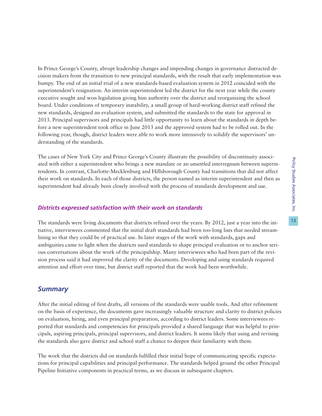In Prince George's County, abrupt leadership changes and impending changes in governance distracted decision makers from the transition to new principal standards, with the result that early implementation was bumpy. The end of an initial trial of a new standards-based evaluation system in 2012 coincided with the superintendent's resignation. An interim superintendent led the district for the next year while the county executive sought and won legislation giving him authority over the district and reorganizing the school board. Under conditions of temporary instability, a small group of hard-working district staff refined the new standards, designed an evaluation system, and submitted the standards to the state for approval in 2013. Principal supervisors and principals had little opportunity to learn about the standards in depth before a new superintendent took office in June 2013 and the approved system had to be rolled out. In the following year, though, district leaders were able to work more intensively to solidify the supervisors' understanding of the standards.

The cases of New York City and Prince George's County illustrate the possibility of discontinuity associated with either a superintendent who brings a new mandate or an unsettled interregnum between superintendents. In contrast, Charlotte-Mecklenburg and Hillsborough County had transitions that did not affect their work on standards. In each of those districts, the person named as interim superintendent and then as superintendent had already been closely involved with the process of standards development and use.

#### *Districts expressed satisfaction with their work on standards*

The standards were living documents that districts refined over the years. By 2012, just a year into the initiative, interviewees commented that the initial draft standards had been too-long lists that needed streamlining so that they could be of practical use. In later stages of the work with standards, gaps and ambiguities came to light when the districts used standards to shape principal evaluation or to anchor serious conversations about the work of the principalship. Many interviewees who had been part of the revision process said it had improved the clarity of the documents. Developing and using standards required attention and effort over time, but district staff reported that the work had been worthwhile.

#### *Summary*

After the initial editing of first drafts, all versions of the standards were usable tools. And after refinement on the basis of experience, the documents gave increasingly valuable structure and clarity to district policies on evaluation, hiring, and even principal preparation, according to district leaders. Some interviewees reported that standards and competencies for principals provided a shared language that was helpful to principals, aspiring principals, principal supervisors, and district leaders. It seems likely that using and revising the standards also gave district and school staff a chance to deepen their familiarity with them.

The work that the districts did on standards fulfilled their initial hope of communicating specific expectations for principal capabilities and principal performance. The standards helped ground the other Principal Pipeline Initiative components in practical terms, as we discuss in subsequent chapters.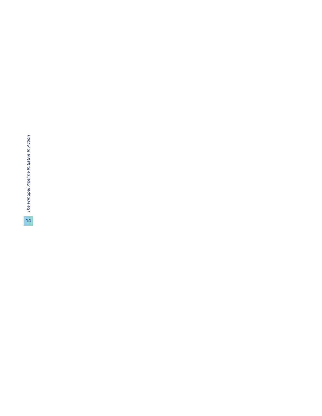*The Principal Pipeline Initiative In Action*  $\overrightarrow{a}$  The Principal Pipeline Initiative In Action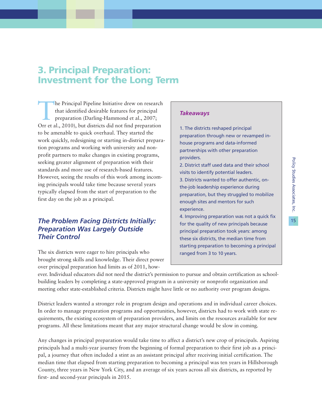### **3. Principal Preparation: Investment for the Long Term**

The Principal Pipeline Initiative drew on research<br>that identified desirable features for principal<br>preparation (Darling-Hammond et al., 2007;<br>Org et al., 2010), but districts did not find preparation that identified desirable features for principal preparation (Darling-Hammond et al., 2007; Orr et al., 2010), but districts did not find preparation to be amenable to quick overhaul. They started the work quickly, redesigning or starting in-district preparation programs and working with university and nonprofit partners to make changes in existing programs, seeking greater alignment of preparation with their standards and more use of research-based features. However, seeing the results of this work among incoming principals would take time because several years typically elapsed from the start of preparation to the first day on the job as a principal.

#### *The Problem Facing Districts Initially: Preparation Was Largely Outside Their Control*

The six districts were eager to hire principals who brought strong skills and knowledge. Their direct power over principal preparation had limits as of 2011, how-

#### *Takeaways*

1. The districts reshaped principal preparation through new or revamped inhouse programs and data-informed partnerships with other preparation providers.

2. District staff used data and their school visits to identify potential leaders.

3. Districts wanted to offer authentic, onthe-job leadership experience during preparation, but they struggled to mobilize enough sites and mentors for such experience.

4. Improving preparation was not a quick fix for the quality of new principals because principal preparation took years: among these six districts, the median time from starting preparation to becoming a principal ranged from 3 to 10 years.

ever. Individual educators did not need the district's permission to pursue and obtain certification as schoolbuilding leaders by completing a state-approved program in a university or nonprofit organization and meeting other state-established criteria. Districts might have little or no authority over program designs.

District leaders wanted a stronger role in program design and operations and in individual career choices. In order to manage preparation programs and opportunities, however, districts had to work with state requirements, the existing ecosystem of preparation providers, and limits on the resources available for new programs. All these limitations meant that any major structural change would be slow in coming.

Any changes in principal preparation would take time to affect a district's new crop of principals. Aspiring principals had a multi-year journey from the beginning of formal preparation to their first job as a principal, a journey that often included a stint as an assistant principal after receiving initial certification. The median time that elapsed from starting preparation to becoming a principal was ten years in Hillsborough County, three years in New York City, and an average of six years across all six districts, as reported by first- and second-year principals in 2015.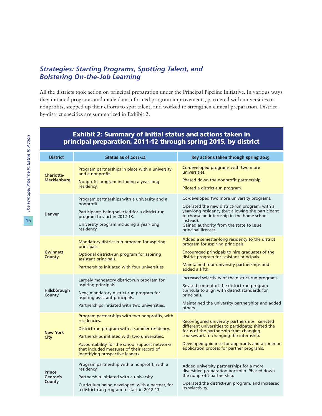#### *Strategies: Starting Programs, Spotting Talent, and Bolstering On-the-Job Learning*

All the districts took action on principal preparation under the Principal Pipeline Initiative. In various ways they initiated programs and made data-informed program improvements, partnered with universities or nonprofits, stepped up their efforts to spot talent, and worked to strengthen clinical preparation. Districtby-district specifics are summarized in Exhibit 2.

| $\mathbf{u}$ is painted in the cool in the cool of $\mathbf{v}$ is the set of $\mathbf{v}$ |                                                                                                                                                                                                                                                                                                     |                                                                                                                                                                                                                                                                                         |  |  |
|--------------------------------------------------------------------------------------------|-----------------------------------------------------------------------------------------------------------------------------------------------------------------------------------------------------------------------------------------------------------------------------------------------------|-----------------------------------------------------------------------------------------------------------------------------------------------------------------------------------------------------------------------------------------------------------------------------------------|--|--|
| <b>District</b>                                                                            | Status as of 2011-12                                                                                                                                                                                                                                                                                | Key actions taken through spring 2015                                                                                                                                                                                                                                                   |  |  |
| <b>Charlotte-</b><br><b>Mecklenburg</b>                                                    | Program partnerships in place with a university<br>and a nonprofit.<br>Nonprofit program including a year-long<br>residency.                                                                                                                                                                        | Co-developed programs with two more<br>universities.<br>Phased down the nonprofit partnership.<br>Piloted a district-run program.                                                                                                                                                       |  |  |
| <b>Denver</b>                                                                              | Program partnerships with a university and a<br>nonprofit.<br>Participants being selected for a district-run<br>program to start in 2012-13.<br>University program including a year-long<br>residency.                                                                                              | Co-developed two more university programs.<br>Operated the new district-run program, with a<br>year-long residency (but allowing the participant<br>to choose an internship in the home school<br>instead).<br>Gained authority from the state to issue<br>principal licenses.          |  |  |
| <b>Gwinnett</b><br>County                                                                  | Mandatory district-run program for aspiring<br>principals.<br>Optional district-run program for aspiring<br>assistant principals.<br>Partnerships initiated with four universities.                                                                                                                 | Added a semester-long residency to the district<br>program for aspiring principals.<br>Encouraged principals to hire graduates of the<br>district program for assistant principals.<br>Maintained four university partnerships and<br>added a fifth.                                    |  |  |
| Hillsborough<br>County                                                                     | Largely mandatory district-run program for<br>aspiring principals.<br>New, mandatory district-run program for<br>aspiring assistant principals.<br>Partnerships initiated with two universities.                                                                                                    | Increased selectivity of the district-run programs.<br>Revised content of the district-run program<br>curricula to align with district standards for<br>principals.<br>Maintained the university partnerships and added<br>others.                                                      |  |  |
| <b>New York</b><br>City                                                                    | Program partnerships with two nonprofits, with<br>residencies.<br>District-run program with a summer residency.<br>Partnerships initiated with two universities.<br>Accountability for the school support networks<br>that included measures of their record of<br>identifying prospective leaders. | Reconfigured university partnerships: selected<br>different universities to participate; shifted the<br>focus of the partnership from changing<br>coursework to changing the internship.<br>Developed guidance for applicants and a common<br>application process for partner programs. |  |  |
| Prince<br>George's<br>County                                                               | Program partnership with a nonprofit, with a<br>residency.<br>Partnership initiated with a university.<br>Curriculum being developed, with a partner, for<br>a district-run program to start in 2012-13.                                                                                            | Added university partnerships for a more<br>diversified preparation portfolio. Phased down<br>the nonprofit partnership.<br>Operated the district-run program, and increased<br>its selectivity.                                                                                        |  |  |

**Exhibit 2: Summary of initial status and actions taken in principal preparation, 2011-12 through spring 2015, by district**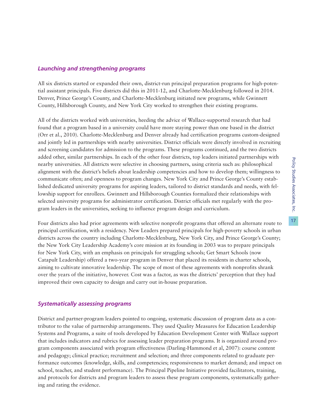17

#### *Launching and strengthening programs*

All six districts started or expanded their own, district-run principal preparation programs for high-potential assistant principals. Five districts did this in 2011-12, and Charlotte-Mecklenburg followed in 2014. Denver, Prince George's County, and Charlotte-Mecklenburg initiated new programs, while Gwinnett County, Hillsborough County, and New York City worked to strengthen their existing programs.

All of the districts worked with universities, heeding the advice of Wallace-supported research that had found that a program based in a university could have more staying power than one based in the district (Orr et al., 2010). Charlotte-Mecklenburg and Denver already had certification programs custom-designed and jointly led in partnerships with nearby universities. District officials were directly involved in recruiting and screening candidates for admission to the programs. These programs continued, and the two districts added other, similar partnerships. In each of the other four districts, top leaders initiated partnerships with nearby universities. All districts were selective in choosing partners, using criteria such as: philosophical alignment with the district's beliefs about leadership competencies and how to develop them; willingness to communicate often; and openness to program changes. New York City and Prince George's County established dedicated university programs for aspiring leaders, tailored to district standards and needs, with fellowship support for enrollees. Gwinnett and Hillsborough Counties formalized their relationships with selected university programs for administrator certification. District officials met regularly with the program leaders in the universities, seeking to influence program design and curriculum.

Four districts also had prior agreements with selective nonprofit programs that offered an alternate route to principal certification, with a residency. New Leaders prepared principals for high-poverty schools in urban districts across the country including Charlotte-Mecklenburg, New York City, and Prince George's County; the New York City Leadership Academy's core mission at its founding in 2003 was to prepare principals for New York City, with an emphasis on principals for struggling schools; Get Smart Schools (now Catapult Leadership) offered a two-year program in Denver that placed its residents in charter schools, aiming to cultivate innovative leadership. The scope of most of these agreements with nonprofits shrank over the years of the initiative, however. Cost was a factor, as was the districts' perception that they had improved their own capacity to design and carry out in-house preparation.

#### *Systematically assessing programs*

District and partner-program leaders pointed to ongoing, systematic discussion of program data as a contributor to the value of partnership arrangements. They used Quality Measures for Education Leadership Systems and Programs, a suite of tools developed by Education Development Center with Wallace support that includes indicators and rubrics for assessing leader preparation programs. It is organized around program components associated with program effectiveness (Darling-Hammond et al, 2007): course content and pedagogy; clinical practice; recruitment and selection; and three components related to graduate performance outcomes (knowledge, skills, and competencies; responsiveness to market demand; and impact on school, teacher, and student performance). The Principal Pipeline Initiative provided facilitators, training, and protocols for districts and program leaders to assess these program components, systematically gathering and rating the evidence.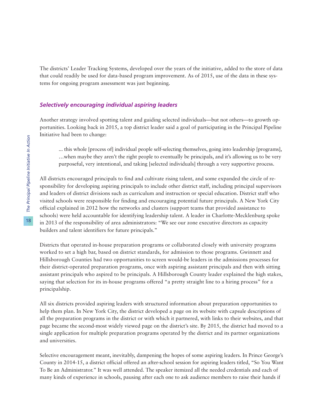The districts' Leader Tracking Systems, developed over the years of the initiative, added to the store of data that could readily be used for data-based program improvement. As of 2015, use of the data in these systems for ongoing program assessment was just beginning.

#### *Selectively encouraging individual aspiring leaders*

Another strategy involved spotting talent and guiding selected individuals—but not others—to growth opportunities. Looking back in 2015, a top district leader said a goal of participating in the Principal Pipeline Initiative had been to change:

... this whole [process of] individual people self-selecting themselves, going into leadership [programs], …when maybe they aren't the right people to eventually be principals, and it's allowing us to be very purposeful, very intentional, and taking [selected individuals] through a very supportive process.

All districts encouraged principals to find and cultivate rising talent, and some expanded the circle of responsibility for developing aspiring principals to include other district staff, including principal supervisors and leaders of district divisions such as curriculum and instruction or special education. District staff who visited schools were responsible for finding and encouraging potential future principals. A New York City official explained in 2012 how the networks and clusters (support teams that provided assistance to schools) were held accountable for identifying leadership talent. A leader in Charlotte-Mecklenburg spoke in 2013 of the responsibility of area administrators: "We see our zone executive directors as capacity builders and talent identifiers for future principals."

Districts that operated in-house preparation programs or collaborated closely with university programs worked to set a high bar, based on district standards, for admission to those programs. Gwinnett and Hillsborough Counties had two opportunities to screen would-be leaders in the admissions processes for their district-operated preparation programs, once with aspiring assistant principals and then with sitting assistant principals who aspired to be principals. A Hillsborough County leader explained the high stakes, saying that selection for its in-house programs offered "a pretty straight line to a hiring process" for a principalship.

All six districts provided aspiring leaders with structured information about preparation opportunities to help them plan. In New York City, the district developed a page on its website with capsule descriptions of all the preparation programs in the district or with which it partnered, with links to their websites, and that page became the second-most widely viewed page on the district's site. By 2015, the district had moved to a single application for multiple preparation programs operated by the district and its partner organizations and universities.

Selective encouragement meant, inevitably, dampening the hopes of some aspiring leaders. In Prince George's County in 2014-15, a district official offered an after-school session for aspiring leaders titled, "So You Want To Be an Administrator." It was well attended. The speaker itemized all the needed credentials and each of many kinds of experience in schools, pausing after each one to ask audience members to raise their hands if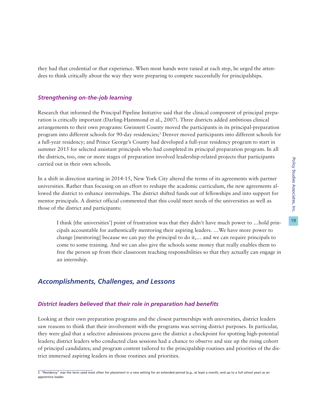they had that credential or that experience. When most hands were raised at each step, he urged the attendees to think critically about the way they were preparing to compete successfully for principalships.

#### *Strengthening on-the-job learning*

Research that informed the Principal Pipeline Initiative said that the clinical component of principal preparation is critically important (Darling-Hammond et al., 2007). Three districts added ambitious clinical arrangements to their own programs: Gwinnett County moved the participants in its principal-preparation program into different schools for 90-day residencies; <sup>3</sup> Denver moved participants into different schools for a full-year residency; and Prince George's County had developed a full-year residency program to start in summer 2015 for selected assistant principals who had completed its principal preparation program. In all the districts, too, one or more stages of preparation involved leadership-related projects that participants carried out in their own schools.

In a shift in direction starting in 2014-15, New York City altered the terms of its agreements with partner universities. Rather than focusing on an effort to reshape the academic curriculum, the new agreements allowed the district to enhance internships. The district shifted funds out of fellowships and into support for mentor principals. A district official commented that this could meet needs of the universities as well as those of the district and participants:

I think [the universities'] point of frustration was that they didn't have much power to …hold principals accountable for authentically mentoring their aspiring leaders. …We have more power to change [mentoring] because we can pay the principal to do it,… and we can require principals to come to some training. And we can also give the schools some money that really enables them to free the person up from their classroom teaching responsibilities so that they actually can engage in an internship.

#### *Accomplishments, Challenges, and Lessons*

#### *District leaders believed that their role in preparation had benefits*

Looking at their own preparation programs and the closest partnerships with universities, district leaders saw reasons to think that their involvement with the programs was serving district purposes. In particular, they were glad that a selective admissions process gave the district a checkpoint for spotting high-potential leaders; district leaders who conducted class sessions had a chance to observe and size up the rising cohort of principal candidates; and program content tailored to the principalship routines and priorities of the district immersed aspiring leaders in those routines and priorities.

<sup>3 &</sup>quot;Residency" was the term used most often for placement in a new setting for an extended period (e.g., at least a month, and up to a full school year) as an apprentice leader.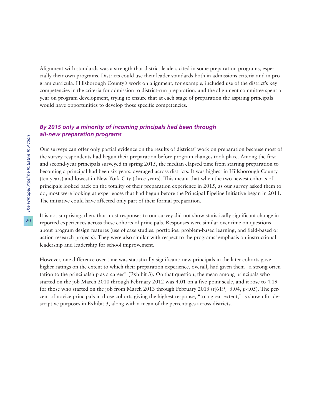Alignment with standards was a strength that district leaders cited in some preparation programs, especially their own programs. Districts could use their leader standards both in admissions criteria and in program curricula. Hillsborough County's work on alignment, for example, included use of the district's key competencies in the criteria for admission to district-run preparation, and the alignment committee spent a year on program development, trying to ensure that at each stage of preparation the aspiring principals would have opportunities to develop those specific competencies.

#### *By 2015 only a minority of incoming principals had been through all-new preparation programs*

Our surveys can offer only partial evidence on the results of districts' work on preparation because most of the survey respondents had begun their preparation before program changes took place. Among the firstand second-year principals surveyed in spring 2015, the median elapsed time from starting preparation to becoming a principal had been six years, averaged across districts. It was highest in Hillsborough County (ten years) and lowest in New York City (three years). This meant that when the two newest cohorts of principals looked back on the totality of their preparation experience in 2015, as our survey asked them to do, most were looking at experiences that had begun before the Principal Pipeline Initiative began in 2011. The initiative could have affected only part of their formal preparation.

It is not surprising, then, that most responses to our survey did not show statistically significant change in reported experiences across these cohorts of principals. Responses were similar over time on questions about program design features (use of case studies, portfolios, problem-based learning, and field-based or action research projects). They were also similar with respect to the programs' emphasis on instructional leadership and leadership for school improvement.

However, one difference over time was statistically significant: new principals in the later cohorts gave higher ratings on the extent to which their preparation experience, overall, had given them "a strong orientation to the principalship as a career" (Exhibit 3). On that question, the mean among principals who started on the job March 2010 through February 2012 was 4.01 on a five-point scale, and it rose to 4.19 for those who started on the job from March 2013 through February 2015 (*t*[619]=5.04, *p*<.05). The percent of novice principals in those cohorts giving the highest response, "to a great extent," is shown for descriptive purposes in Exhibit 3, along with a mean of the percentages across districts.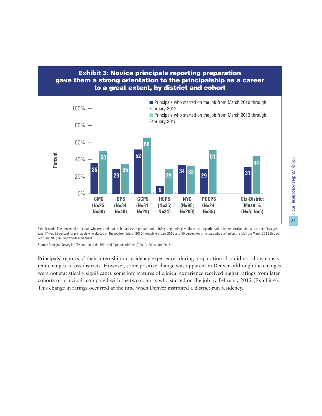

Exhibit reads: The percent of principals who reported that their leadership preparation training program(s) gave them a strong orientation to the principalship as a career "to a great extent" was 36 percent for principals who started on the job from March 2010 through February 2012 and 50 percent for principals who started on the job from March 2013 through February 2015 in Charlotte-Mecklenburg.

21

Inc.

Policy

Studies

Associates,

Source: Principal Survey for "Evaluation of the Principal Pipeline Initiative," 2013, 2014, and 2015.

Principals' reports of their internship or residency experiences during preparation also did not show consistent changes across districts. However, some positive change was apparent in Denver (although the changes were not statistically significant): some key features of clinical experience received higher ratings from later cohorts of principals compared with the two cohorts who started on the job by February 2012 (Exhibit 4). This change in ratings occurred at the time when Denver instituted a district-run residency.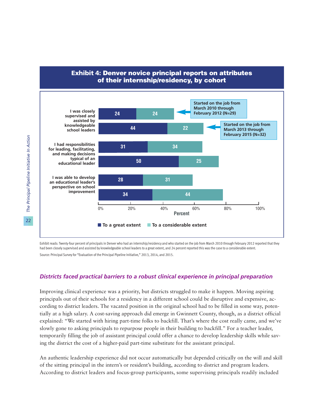# **Exhibit 4: Denver novice principal reports on attributes of their internship/residency, by cohort**



Exhibit reads: Twenty-four percent of principals in Denver who had an internship/residency and who started on the job from March 2010 through February 2012 reported that they had been closely supervised and assisted by knowledgeable school leaders to a great extent, and 24 percent reported this was the case to a considerable extent. Source: Principal Survey for "Evaluation of the Principal Pipeline Initiative," 2013, 2014, and 2015.

### *Districts faced practical barriers to a robust clinical experience in principal preparation*

Improving clinical experience was a priority, but districts struggled to make it happen. Moving aspiring principals out of their schools for a residency in a different school could be disruptive and expensive, according to district leaders. The vacated position in the original school had to be filled in some way, potentially at a high salary. A cost-saving approach did emerge in Gwinnett County, though, as a district official explained: "We started with hiring part-time folks to backfill. That's where the cost really came, and we've slowly gone to asking principals to repurpose people in their building to backfill." For a teacher leader, temporarily filling the job of assistant principal could offer a chance to develop leadership skills while saving the district the cost of a higher-paid part-time substitute for the assistant principal.

An authentic leadership experience did not occur automatically but depended critically on the will and skill of the sitting principal in the intern's or resident's building, according to district and program leaders. According to district leaders and focus-group participants, some supervising principals readily included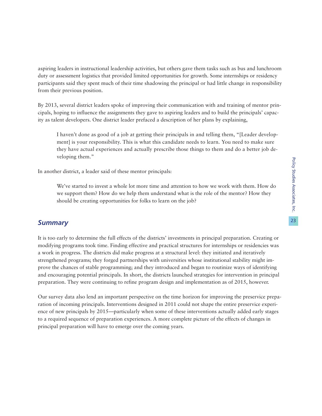aspiring leaders in instructional leadership activities, but others gave them tasks such as bus and lunchroom duty or assessment logistics that provided limited opportunities for growth. Some internships or residency participants said they spent much of their time shadowing the principal or had little change in responsibility from their previous position.

By 2013, several district leaders spoke of improving their communication with and training of mentor principals, hoping to influence the assignments they gave to aspiring leaders and to build the principals' capacity as talent developers. One district leader prefaced a description of her plans by explaining,

I haven't done as good of a job at getting their principals in and telling them, "[Leader development] is your responsibility. This is what this candidate needs to learn. You need to make sure they have actual experiences and actually prescribe those things to them and do a better job developing them."

In another district, a leader said of these mentor principals:

We've started to invest a whole lot more time and attention to how we work with them. How do we support them? How do we help them understand what is the role of the mentor? How they should be creating opportunities for folks to learn on the job?

## *Summary*

It is too early to determine the full effects of the districts' investments in principal preparation. Creating or modifying programs took time. Finding effective and practical structures for internships or residencies was a work in progress. The districts did make progress at a structural level: they initiated and iteratively strengthened programs; they forged partnerships with universities whose institutional stability might improve the chances of stable programming; and they introduced and began to routinize ways of identifying and encouraging potential principals. In short, the districts launched strategies for intervention in principal preparation. They were continuing to refine program design and implementation as of 2015, however.

Our survey data also lend an important perspective on the time horizon for improving the preservice preparation of incoming principals. Interventions designed in 2011 could not shape the entire preservice experience of new principals by 2015—particularly when some of these interventions actually added early stages to a required sequence of preparation experiences. A more complete picture of the effects of changes in principal preparation will have to emerge over the coming years.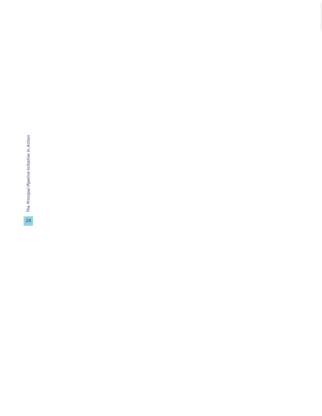*The Principal Pipeline Initiative In Action* 24 The Principal Pipeline Initiative In Action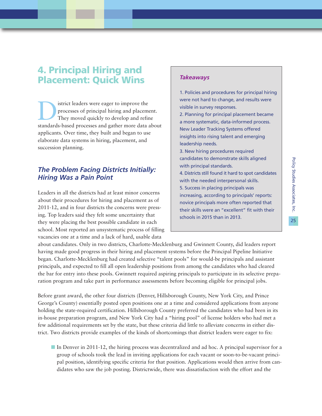# **4. Principal Hiring and Placement: Quick Wins**

Instrict leaders were eager to improve the<br>processes of principal hiring and placem<br>They moved quickly to develop and refit<br>standards based processes and other more data processes of principal hiring and placement. They moved quickly to develop and refine standards-based processes and gather more data about applicants. Over time, they built and began to use elaborate data systems in hiring, placement, and succession planning.

# *The Problem Facing Districts Initially: Hiring Was a Pain Point*

Leaders in all the districts had at least minor concerns about their procedures for hiring and placement as of 2011-12, and in four districts the concerns were pressing. Top leaders said they felt some uncertainty that they were placing the best possible candidate in each school. Most reported an unsystematic process of filling vacancies one at a time and a lack of hard, usable data

## *Takeaways*

1. Policies and procedures for principal hiring were not hard to change, and results were visible in survey responses.

2. Planning for principal placement became a more systematic, data-informed process. New Leader Tracking Systems offered insights into rising talent and emerging leadership needs.

3. New hiring procedures required candidates to demonstrate skills aligned with principal standards. 4. Districts still found it hard to spot candidates

with the needed interpersonal skills. 5. Success in placing principals was increasing, according to principals' reports: novice principals more often reported that their skills were an "excellent" fit with their schools in 2015 than in 2013.

about candidates. Only in two districts, Charlotte-Mecklenburg and Gwinnett County, did leaders report having made good progress in their hiring and placement systems before the Principal Pipeline Initiative began. Charlotte-Mecklenburg had created selective "talent pools" for would-be principals and assistant principals, and expected to fill all open leadership positions from among the candidates who had cleared the bar for entry into these pools. Gwinnett required aspiring principals to participate in its selective preparation program and take part in performance assessments before becoming eligible for principal jobs.

Before grant award, the other four districts (Denver, Hillsborough County, New York City, and Prince George's County) essentially posted open positions one at a time and considered applications from anyone holding the state-required certification. Hillsborough County preferred the candidates who had been in its in-house preparation program, and New York City had a "hiring pool" of license holders who had met a few additional requirements set by the state, but these criteria did little to alleviate concerns in either district. Two districts provide examples of the kinds of shortcomings that district leaders were eager to fix:

■ In Denver in 2011-12, the hiring process was decentralized and ad hoc. A principal supervisor for a group of schools took the lead in inviting applications for each vacant or soon-to-be-vacant principal position, identifying specific criteria for that position. Applications would then arrive from candidates who saw the job posting. Districtwide, there was dissatisfaction with the effort and the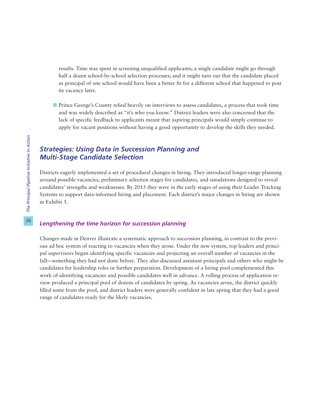results. Time was spent in screening unqualified applicants; a single candidate might go through half a dozen school-by-school selection processes; and it might turn out that the candidate placed as principal of one school would have been a better fit for a different school that happened to post its vacancy later.

■ Prince George's County relied heavily on interviews to assess candidates, a process that took time and was widely described as "it's who you know." District leaders were also concerned that the lack of specific feedback to applicants meant that aspiring principals would simply continue to apply for vacant positions without having a good opportunity to develop the skills they needed.

# *Strategies: Using Data in Succession Planning and Multi-Stage Candidate Selection*

Districts eagerly implemented a set of procedural changes in hiring. They introduced longer-range planning around possible vacancies, preliminary selection stages for candidates, and simulations designed to reveal candidates' strengths and weaknesses. By 2015 they were in the early stages of using their Leader Tracking Systems to support data-informed hiring and placement. Each district's major changes in hiring are shown in Exhibit 5.

### *Lengthening the time horizon for succession planning*

Changes made in Denver illustrate a systematic approach to succession planning, in contrast to the previous ad hoc system of reacting to vacancies when they arose. Under the new system, top leaders and principal supervisors began identifying specific vacancies and projecting an overall number of vacancies in the fall—something they had not done before. They also discussed assistant principals and others who might be candidates for leadership roles or further preparation. Development of a hiring pool complemented this work of identifying vacancies and possible candidates well in advance. A rolling process of application review produced a principal pool of dozens of candidates by spring. As vacancies arose, the district quickly filled some from the pool, and district leaders were generally confident in late spring that they had a good range of candidates ready for the likely vacancies.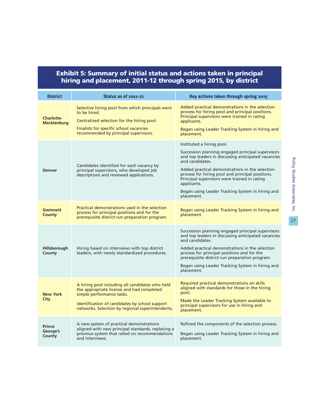# **Exhibit 5: Summary of initial status and actions taken in principal hiring and placement, 2011-12 through spring 2015, by district**

| <b>District</b>                         | Status as of 2011-12                                                                                                                                                                                                            | Key actions taken through spring 2015                                                                                                                                                                                                                                                                                                                                                            |
|-----------------------------------------|---------------------------------------------------------------------------------------------------------------------------------------------------------------------------------------------------------------------------------|--------------------------------------------------------------------------------------------------------------------------------------------------------------------------------------------------------------------------------------------------------------------------------------------------------------------------------------------------------------------------------------------------|
| <b>Charlotte-</b><br><b>Mecklenburg</b> | Selective hiring pool from which principals were<br>to be hired.<br>Centralized selection for the hiring pool.<br>Finalists for specific school vacancies<br>recommended by principal supervisors.                              | Added practical demonstrations in the selection<br>process for hiring pool and principal positions.<br>Principal supervisors were trained in rating<br>applicants.<br>Began using Leader Tracking System in hiring and<br>placement.                                                                                                                                                             |
| <b>Denver</b>                           | Candidates identified for each vacancy by<br>principal supervisors, who developed job<br>descriptions and reviewed applications.                                                                                                | Instituted a hiring pool.<br>Succession planning engaged principal supervisors<br>and top leaders in discussing anticipated vacancies<br>and candidates.<br>Added practical demonstrations in the selection<br>process for hiring pool and principal positions.<br>Principal supervisors were trained in rating<br>applicants.<br>Began using Leader Tracking System in hiring and<br>placement. |
| <b>Gwinnett</b><br>County               | Practical demonstrations used in the selection<br>process for principal positions and for the<br>prerequisite district-run preparation program.                                                                                 | Began using Leader Tracking System in hiring and<br>placement.                                                                                                                                                                                                                                                                                                                                   |
| Hillsborough<br>County                  | Hiring based on interviews with top district<br>leaders, with newly standardized procedures.                                                                                                                                    | Succession planning engaged principal supervisors<br>and top leaders in discussing anticipated vacancies<br>and candidates.<br>Added practical demonstrations in the selection<br>process for principal positions and for the<br>prerequisite district-run preparation program.<br>Began using Leader Tracking System in hiring and<br>placement.                                                |
| <b>New York</b><br><b>City</b>          | A hiring pool including all candidates who held<br>the appropriate license and had completed<br>simple performance tasks.<br>Identification of candidates by school support<br>networks. Selection by regional superintendents. | Required practical demonstrations on skills<br>aligned with standards for those in the hiring<br>pool.<br>Made the Leader Tracking System available to<br>principal supervisors for use in hiring and<br>placement.                                                                                                                                                                              |
| <b>Prince</b><br>George's<br>County     | A new system of practical demonstrations<br>aligned with new principal standards, replacing a<br>previous system that relied on recommendations<br>and interviews.                                                              | Refined the components of the selection process.<br>Began using Leader Tracking System in hiring and<br>placement.                                                                                                                                                                                                                                                                               |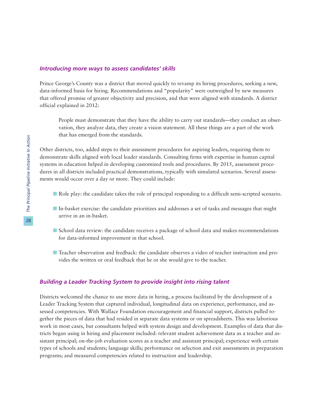#### *Introducing more ways to assess candidates' skills*

Prince George's County was a district that moved quickly to revamp its hiring procedures, seeking a new, data-informed basis for hiring. Recommendations and "popularity" were outweighed by new measures that offered promise of greater objectivity and precision, and that were aligned with standards. A district official explained in 2012:

People must demonstrate that they have the ability to carry out standards—they conduct an observation, they analyze data, they create a vision statement. All these things are a part of the work that has emerged from the standards.

Other districts, too, added steps to their assessment procedures for aspiring leaders, requiring them to demonstrate skills aligned with local leader standards. Consulting firms with expertise in human capital systems in education helped in developing customized tools and procedures. By 2015, assessment procedures in all districts included practical demonstrations, typically with simulated scenarios. Several assessments would occur over a day or more. They could include:

- Role play: the candidate takes the role of principal responding to a difficult semi-scripted scenario.
- In-basket exercise: the candidate prioritizes and addresses a set of tasks and messages that might arrive in an in-basket.
- School data review: the candidate receives a package of school data and makes recommendations for data-informed improvement in that school.
- Teacher observation and feedback: the candidate observes a video of teacher instruction and provides the written or oral feedback that he or she would give to the teacher.

#### *Building a Leader Tracking System to provide insight into rising talent*

Districts welcomed the chance to use more data in hiring, a process facilitated by the development of a Leader Tracking System that captured individual, longitudinal data on experience, performance, and assessed competencies. With Wallace Foundation encouragement and financial support, districts pulled together the pieces of data that had resided in separate data systems or on spreadsheets. This was laborious work in most cases, but consultants helped with system design and development. Examples of data that districts began using in hiring and placement included: relevant student achievement data as a teacher and assistant principal; on-the-job evaluation scores as a teacher and assistant principal; experience with certain types of schools and students; language skills; performance on selection and exit assessments in preparation programs; and measured competencies related to instruction and leadership.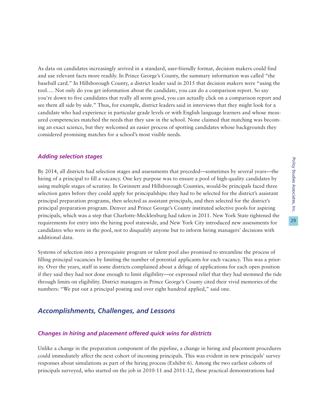As data on candidates increasingly arrived in a standard, user-friendly format, decision makers could find and use relevant facts more readily. In Prince George's County, the summary information was called "the baseball card." In Hillsborough County, a district leader said in 2015 that decision makers were "using the tool…. Not only do you get information about the candidate, you can do a comparison report. So say you're down to five candidates that really all seem good, you can actually click on a comparison report and see them all side by side." Thus, for example, district leaders said in interviews that they might look for a candidate who had experience in particular grade levels or with English language learners and whose measured competencies matched the needs that they saw in the school. None claimed that matching was becoming an exact science, but they welcomed an easier process of spotting candidates whose backgrounds they considered promising matches for a school's most visible needs.

## *Adding selection stages*

By 2014, all districts had selection stages and assessments that preceded—sometimes by several years—the hiring of a principal to fill a vacancy. One key purpose was to ensure a pool of high-quality candidates by using multiple stages of scrutiny. In Gwinnett and Hillsborough Counties, would-be principals faced three selection gates before they could apply for principalships: they had to be selected for the district's assistant principal preparation programs, then selected as assistant principals, and then selected for the district's principal preparation program. Denver and Prince George's County instituted selective pools for aspiring principals, which was a step that Charlotte-Mecklenburg had taken in 2011. New York State tightened the requirements for entry into the hiring pool statewide, and New York City introduced new assessments for candidates who were in the pool, not to disqualify anyone but to inform hiring managers' decisions with additional data.

Systems of selection into a prerequisite program or talent pool also promised to streamline the process of filling principal vacancies by limiting the number of potential applicants for each vacancy. This was a priority. Over the years, staff in some districts complained about a deluge of applications for each open position if they said they had not done enough to limit eligibility—or expressed relief that they had stemmed the tide through limits on eligibility. District managers in Prince George's County cited their vivid memories of the numbers: "We put out a principal posting and over eight hundred applied," said one.

# *Accomplishments, Challenges, and Lessons*

### *Changes in hiring and placement offered quick wins for districts*

Unlike a change in the preparation component of the pipeline, a change in hiring and placement procedures could immediately affect the next cohort of incoming principals. This was evident in new principals' survey responses about simulations as part of the hiring process (Exhibit 6). Among the two earliest cohorts of principals surveyed, who started on the job in 2010-11 and 2011-12, these practical demonstrations had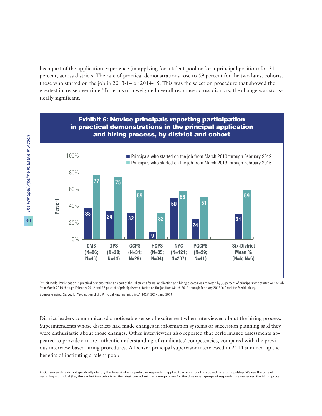been part of the application experience (in applying for a talent pool or for a principal position) for 31 percent, across districts. The rate of practical demonstrations rose to 59 percent for the two latest cohorts, those who started on the job in 2013-14 or 2014-15. This was the selection procedure that showed the greatest increase over time. <sup>4</sup> In terms of a weighted overall response across districts, the change was statistically significant.



Exhibit reads: Participation in practical demonstrations as part of their district's formal application and hiring process was reported by 38 percent of principals who started on the job from March 2010 through February 2012 and 77 percent of principals who started on the job from March 2013 through February 2015 in Charlotte-Mecklenburg. Source: Principal Survey for "Evaluation of the Principal Pipeline Initiative," 2013, 2014, and 2015.

District leaders communicated a noticeable sense of excitement when interviewed about the hiring process. Superintendents whose districts had made changes in information systems or succession planning said they were enthusiastic about those changes. Other interviewees also reported that performance assessments appeared to provide a more authentic understanding of candidates' competencies, compared with the previous interview-based hiring procedures. A Denver principal supervisor interviewed in 2014 summed up the benefits of instituting a talent pool:

<sup>4</sup> Our survey data do not specifically identify the time(s) when a particular respondent applied to a hiring pool or applied for a principalship. We use the time of becoming a principal (i.e., the earliest two cohorts vs. the latest two cohorts) as a rough proxy for the time when groups of respondents experienced the hiring process.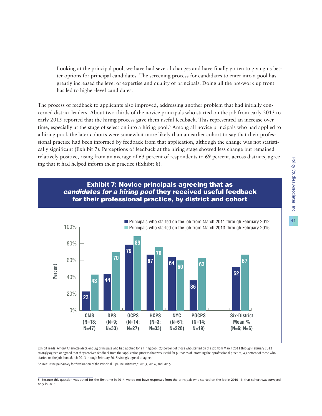Looking at the principal pool, we have had several changes and have finally gotten to giving us better options for principal candidates. The screening process for candidates to enter into a pool has greatly increased the level of expertise and quality of principals. Doing all the pre-work up front has led to higher-level candidates.

The process of feedback to applicants also improved, addressing another problem that had initially concerned district leaders. About two-thirds of the novice principals who started on the job from early 2013 to early 2015 reported that the hiring process gave them useful feedback. This represented an increase over time, especially at the stage of selection into a hiring pool. <sup>5</sup> Among all novice principals who had applied to a hiring pool, the later cohorts were somewhat more likely than an earlier cohort to say that their professional practice had been informed by feedback from that application, although the change was not statistically significant (Exhibit 7). Perceptions of feedback at the hiring stage showed less change but remained relatively positive, rising from an average of 63 percent of respondents to 69 percent, across districts, agreeing that it had helped inform their practice (Exhibit 8).

**Exhibit 7: Novice principals agreeing that as**



Exhibit reads: Among Charlotte-Mecklenburg principals who had applied for a hiring pool, 23 percent of those who started on the job from March 2011 through February 2012 strongly agreed or agreed that they received feedback from that application process that was useful for purposes of informing their professional practice; 43 percent of those who started on the job from March 2013 through February 2015 strongly agreed or agreed.

Source: Principal Survey for "Evaluation of the Principal Pipeline Initiative," 2013, 2014, and 2015.

5 Because this question was asked for the first time in 2014, we do not have responses from the principals who started on the job in 2010-11; that cohort was surveyed only in 2013.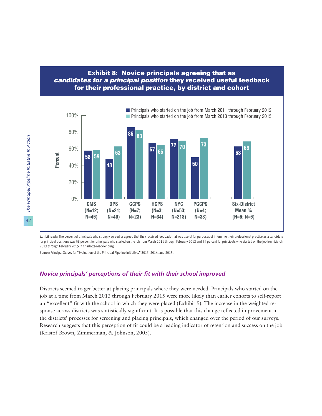# **Exhibit 8: Novice principals agreeing that as** *candidates for a principal position* **they received useful feedback for their professional practice, by district and cohort**



Exhibit reads: The percent of principals who strongly agreed or agreed that they received feedback that was useful for purposes of informing their professional practice as a candidate for principal positions was 58 percent for principals who started on the job from March 2011 through February 2012 and 59 percent for principals who started on the job from March 2013 through February 2015 in Charlotte-Mecklenburg.

Source: Principal Survey for "Evaluation of the Principal Pipeline Initiative," 2013, 2014, and 2015.

#### *Novice principals' perceptions of their fit with their school improved*

Districts seemed to get better at placing principals where they were needed. Principals who started on the job at a time from March 2013 through February 2015 were more likely than earlier cohorts to self-report an "excellent" fit with the school in which they were placed (Exhibit 9). The increase in the weighted response across districts was statistically significant. It is possible that this change reflected improvement in the districts' processes for screening and placing principals, which changed over the period of our surveys. Research suggests that this perception of fit could be a leading indicator of retention and success on the job (Kristof-Brown, Zimmerman, & Johnson, 2005).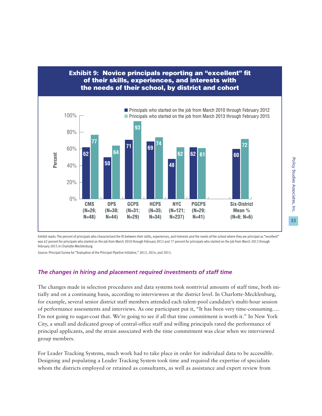# **Exhibit 9: Novice principals reporting an "excellent" fit of their skills, experiences, and interests with the needs of their school, by district and cohort**



Exhibit reads: The percent of principals who characterized the fit between their skills, experiences, and interests and the needs of the school where they are principal as "excellent" was 62 percent for principals who started on the job from March 2010 through February 2012 and 77 percent for principals who started on the job from March 2013 through February 2015 in Charlotte-Mecklenburg.

Source: Principal Surveyfor "Evaluation of the Principal Pipeline Initiative," 2013, 2014, and 2015.

### *The changes in hiring and placement required investments of staff time*

The changes made in selection procedures and data systems took nontrivial amounts of staff time, both initially and on a continuing basis, according to interviewees at the district level. In Charlotte-Mecklenburg, for example, several senior district staff members attended each talent-pool candidate's multi-hour session of performance assessments and interviews. As one participant put it, "It has been very time-consuming…. I'm not going to sugar-coat that. We're going to see if all that time commitment is worth it." In New York City, a small and dedicated group of central-office staff and willing principals rated the performance of principal applicants, and the strain associated with the time commitment was clear when we interviewed group members.

For Leader Tracking Systems, much work had to take place in order for individual data to be accessible. Designing and populating a Leader Tracking System took time and required the expertise of specialists whom the districts employed or retained as consultants, as well as assistance and expert review from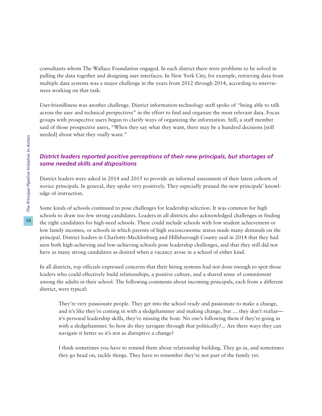consultants whom The Wallace Foundation engaged. In each district there were problems to be solved in pulling the data together and designing user interfaces. In New York City, for example, retrieving data from multiple data systems was a major challenge in the years from 2012 through 2014, according to interviewees working on that task.

User-friendliness was another challenge. District information-technology staff spoke of "being able to talk across the user and technical perspectives" in the effort to find and organize the most relevant data. Focus groups with prospective users began to clarify ways of organizing the information. Still, a staff member said of those prospective users, "When they say what they want, there may be a hundred decisions [still needed] about what they *really* want."

# *District leaders reported positive perceptions of their new principals, but shortages of some needed skills and dispositions*

District leaders were asked in 2014 and 2015 to provide an informal assessment of their latest cohorts of novice principals. In general, they spoke very positively. They especially praised the new principals' knowledge of instruction.

Some kinds of schools continued to pose challenges for leadership selection. It was common for high schools to draw too few strong candidates. Leaders in all districts also acknowledged challenges in finding the right candidates for high-need schools. These could include schools with low student achievement or low family incomes, or schools in which parents of high socioeconomic status made many demands on the principal. District leaders in Charlotte-Mecklenburg and Hillsborough County said in 2014 that they had seen both high-achieving and low-achieving schools pose leadership challenges, and that they still did not have as many strong candidates as desired when a vacancy arose in a school of either kind.

In all districts, top officials expressed concerns that their hiring systems had not done enough to spot those leaders who could effectively build relationships, a positive culture, and a shared sense of commitment among the adults in their school. The following comments about incoming principals, each from a different district, were typical:

They're very passionate people. They get into the school ready and passionate to make a change, and it's like they're coming in with a sledgehammer and making change, but … they don't realize it's personal leadership skills, they're missing the boat. No one's following them if they're going in with a sledgehammer. So how do they navigate through that politically?... Are there ways they can navigate it better so it's not as disruptive a change?

I think sometimes you have to remind them about relationship building. They go in, and sometimes they go head on, tackle things. They have to remember they're not part of the family yet.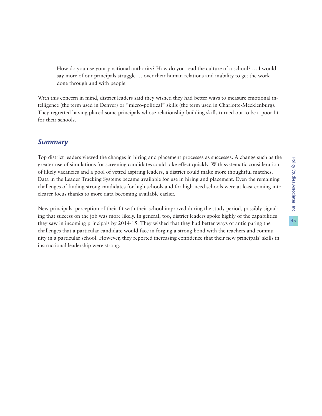How do you use your positional authority? How do you read the culture of a school? … I would say more of our principals struggle … over their human relations and inability to get the work done through and with people.

With this concern in mind, district leaders said they wished they had better ways to measure emotional intelligence (the term used in Denver) or "micro-political" skills (the term used in Charlotte-Mecklenburg). They regretted having placed some principals whose relationship-building skills turned out to be a poor fit for their schools.

## *Summary*

Top district leaders viewed the changes in hiring and placement processes as successes. A change such as the greater use of simulations for screening candidates could take effect quickly. With systematic consideration of likely vacancies and a pool of vetted aspiring leaders, a district could make more thoughtful matches. Data in the Leader Tracking Systems became available for use in hiring and placement. Even the remaining challenges of finding strong candidates for high schools and for high-need schools were at least coming into clearer focus thanks to more data becoming available earlier.

New principals' perception of their fit with their school improved during the study period, possibly signaling that success on the job was more likely. In general, too, district leaders spoke highly of the capabilities they saw in incoming principals by 2014-15. They wished that they had better ways of anticipating the challenges that a particular candidate would face in forging a strong bond with the teachers and community in a particular school. However, they reported increasing confidence that their new principals' skills in instructional leadership were strong.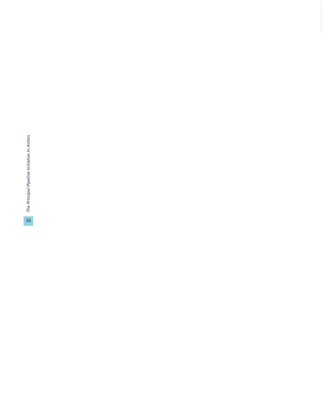*The Principal Pipeline Initiative In Action* 36 The Principal Pipeline Initiative In Action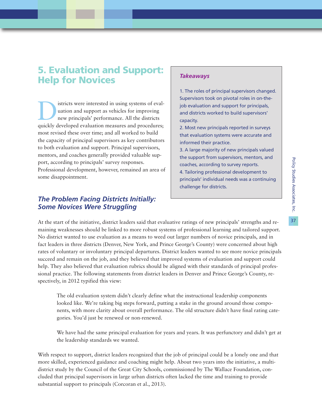# **5. Evaluation and Support: Help for Novices**

istricts were interested in using systems of evaluation and support as vehicles for improving new principals' performance. All the districts quickly developed evaluation measures and procedures; most revised these over time; and all worked to build the capacity of principal supervisors as key contributors to both evaluation and support. Principal supervisors, mentors, and coaches generally provided valuable support, according to principals' survey responses. Professional development, however, remained an area of some disappointment.

# *The Problem Facing Districts Initially: Some Novices Were Struggling*

### *Takeaways*

1. The roles of principal supervisors changed. Supervisors took on pivotal roles in on-thejob evaluation and support for principals, and districts worked to build supervisors' capacity.

2. Most new principals reported in surveys that evaluation systems were accurate and informed their practice.

3. A large majority of new principals valued the support from supervisors, mentors, and coaches, according to survey reports. 4. Tailoring professional development to principals' individual needs was a continuing challenge for districts.

37 Policy Studies Associates, Inc.

At the start of the initiative, district leaders said that evaluative ratings of new principals' strengths and remaining weaknesses should be linked to more robust systems of professional learning and tailored support. No district wanted to use evaluation as a means to weed out larger numbers of novice principals, and in fact leaders in three districts (Denver, New York, and Prince George's County) were concerned about high rates of voluntary or involuntary principal departures. District leaders wanted to see more novice principals succeed and remain on the job, and they believed that improved systems of evaluation and support could help. They also believed that evaluation rubrics should be aligned with their standards of principal professional practice. The following statements from district leaders in Denver and Prince George's County, respectively, in 2012 typified this view:

The old evaluation system didn't clearly define what the instructional leadership components looked like. We're taking big steps forward, putting a stake in the ground around those components, with more clarity about overall performance. The old structure didn't have final rating categories. You'd just be renewed or non-renewed.

We have had the same principal evaluation for years and years. It was perfunctory and didn't get at the leadership standards we wanted.

With respect to support, district leaders recognized that the job of principal could be a lonely one and that more skilled, experienced guidance and coaching might help. About two years into the initiative, a multidistrict study by the Council of the Great City Schools, commissioned by The Wallace Foundation, concluded that principal supervisors in large urban districts often lacked the time and training to provide substantial support to principals (Corcoran et al., 2013).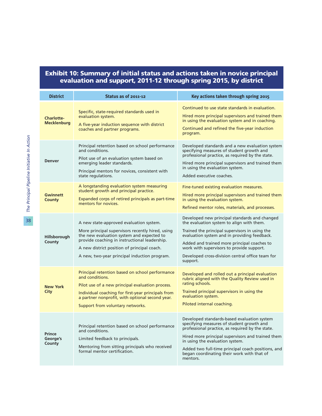## **Exhibit 10: Summary of initial status and actions taken in novice principal evaluation and support, 2011-12 through spring 2015, by district**

| <b>District</b>                         | Status as of 2011-12                                                                                                                                                                                                                                                                     | Key actions taken through spring 2015                                                                                                                                                                                                                                                                                                                    |
|-----------------------------------------|------------------------------------------------------------------------------------------------------------------------------------------------------------------------------------------------------------------------------------------------------------------------------------------|----------------------------------------------------------------------------------------------------------------------------------------------------------------------------------------------------------------------------------------------------------------------------------------------------------------------------------------------------------|
| <b>Charlotte-</b><br><b>Mecklenburg</b> | Specific, state-required standards used in<br>evaluation system.<br>A five-year induction sequence with district<br>coaches and partner programs.                                                                                                                                        | Continued to use state standards in evaluation.<br>Hired more principal supervisors and trained them<br>in using the evaluation system and in coaching.<br>Continued and refined the five-year induction<br>program.                                                                                                                                     |
| <b>Denver</b>                           | Principal retention based on school performance<br>and conditions.<br>Pilot use of an evaluation system based on<br>emerging leader standards.<br>Principal mentors for novices, consistent with<br>state regulations.                                                                   | Developed standards and a new evaluation system<br>specifying measures of student growth and<br>professional practice, as required by the state.<br>Hired more principal supervisors and trained them<br>in using the evaluation system.<br>Added executive coaches.                                                                                     |
| <b>Gwinnett</b><br>County               | A longstanding evaluation system measuring<br>student growth and principal practice.<br>Expanded corps of retired principals as part-time<br>mentors for novices.                                                                                                                        | Fine-tuned existing evaluation measures.<br>Hired more principal supervisors and trained them<br>in using the evaluation system.<br>Refined mentor roles, materials, and processes.                                                                                                                                                                      |
| <b>Hillsborough</b><br>County           | A new state-approved evaluation system.<br>More principal supervisors recently hired, using<br>the new evaluation system and expected to<br>provide coaching in instructional leadership.<br>A new district position of principal coach.<br>A new, two-year principal induction program. | Developed new principal standards and changed<br>the evaluation system to align with them.<br>Trained the principal supervisors in using the<br>evaluation system and in providing feedback.<br>Added and trained more principal coaches to<br>work with supervisors to provide support.<br>Developed cross-division central office team for<br>support. |
| <b>New York</b><br><b>City</b>          | Principal retention based on school performance<br>and conditions.<br>Pilot use of a new principal evaluation process.<br>Individual coaching for first-year principals from<br>a partner nonprofit, with optional second year.<br>Support from voluntary networks.                      | Developed and rolled out a principal evaluation<br>rubric aligned with the Quality Review used in<br>rating schools.<br>Trained principal supervisors in using the<br>evaluation system.<br>Piloted internal coaching.                                                                                                                                   |
| Prince<br>George's<br>County            | Principal retention based on school performance<br>and conditions.<br>Limited feedback to principals.<br>Mentoring from sitting principals who received<br>formal mentor certification.                                                                                                  | Developed standards-based evaluation system<br>specifying measures of student growth and<br>professional practice, as required by the state.<br>Hired more principal supervisors and trained them<br>in using the evaluation system.<br>Added two full-time principal coach positions, and<br>began coordinating their work with that of<br>mentors.     |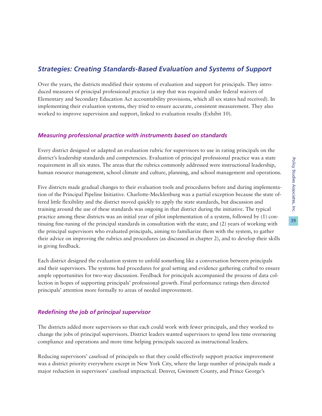# *Strategies: Creating Standards-Based Evaluation and Systems of Support*

Over the years, the districts modified their systems of evaluation and support for principals. They introduced measures of principal professional practice (a step that was required under federal waivers of Elementary and Secondary Education Act accountability provisions, which all six states had received). In implementing their evaluation systems, they tried to ensure accurate, consistent measurement. They also worked to improve supervision and support, linked to evaluation results (Exhibit 10).

## *Measuring professional practice with instruments based on standards*

Every district designed or adapted an evaluation rubric for supervisors to use in rating principals on the district's leadership standards and competencies. Evaluation of principal professional practice was a state requirement in all six states. The areas that the rubrics commonly addressed were instructional leadership, human resource management, school climate and culture, planning, and school management and operations.

Five districts made gradual changes to their evaluation tools and procedures before and during implementation of the Principal Pipeline Initiative. Charlotte-Mecklenburg was a partial exception because the state offered little flexibility and the district moved quickly to apply the state standards, but discussion and training around the use of these standards was ongoing in that district during the initiative. The typical practice among these districts was an initial year of pilot implementation of a system, followed by (1) continuing fine-tuning of the principal standards in consultation with the state; and (2) years of working with the principal supervisors who evaluated principals, aiming to familiarize them with the system, to gather their advice on improving the rubrics and procedures (as discussed in chapter 2), and to develop their skills in giving feedback.

Each district designed the evaluation system to unfold something like a conversation between principals and their supervisors. The systems had procedures for goal setting and evidence gathering crafted to ensure ample opportunities for two-way discussion. Feedback for principals accompanied the process of data collection in hopes of supporting principals' professional growth. Final performance ratings then directed principals' attention more formally to areas of needed improvement.

### *Redefining the job of principal supervisor*

The districts added more supervisors so that each could work with fewer principals, and they worked to change the jobs of principal supervisors. District leaders wanted supervisors to spend less time overseeing compliance and operations and more time helping principals succeed as instructional leaders.

Reducing supervisors' caseload of principals so that they could effectively support practice improvement was a district priority everywhere except in New York City, where the large number of principals made a major reduction in supervisors' caseload impractical. Denver, Gwinnett County, and Prince George's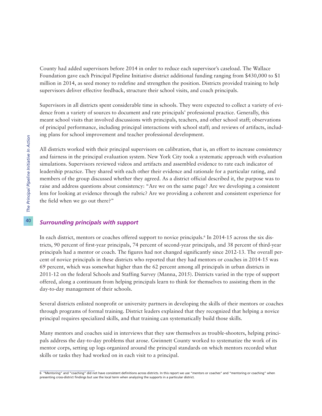County had added supervisors before 2014 in order to reduce each supervisor's caseload. The Wallace Foundation gave each Principal Pipeline Initiative district additional funding ranging from \$430,000 to \$1 million in 2014, as seed money to redefine and strengthen the position. Districts provided training to help supervisors deliver effective feedback, structure their school visits, and coach principals.

Supervisors in all districts spent considerable time in schools. They were expected to collect a variety of evidence from a variety of sources to document and rate principals' professional practice. Generally, this meant school visits that involved discussions with principals, teachers, and other school staff; observations of principal performance, including principal interactions with school staff; and reviews of artifacts, including plans for school improvement and teacher professional development.

All districts worked with their principal supervisors on calibration, that is, an effort to increase consistency and fairness in the principal evaluation system. New York City took a systematic approach with evaluation simulations. Supervisors reviewed videos and artifacts and assembled evidence to rate each indicator of leadership practice. They shared with each other their evidence and rationale for a particular rating, and members of the group discussed whether they agreed. As a district official described it, the purpose was to raise and address questions about consistency: "Are we on the same page? Are we developing a consistent lens for looking at evidence through the rubric? Are we providing a coherent and consistent experience for the field when we go out there?"

### *Surrounding principals with support*

In each district, mentors or coaches offered support to novice principals. <sup>6</sup> In 2014-15 across the six districts, 90 percent of first-year principals, 74 percent of second-year principals, and 38 percent of third-year principals had a mentor or coach. The figures had not changed significantly since 2012-13. The overall percent of novice principals in these districts who reported that they had mentors or coaches in 2014-15 was 69 percent, which was somewhat higher than the 62 percent among all principals in urban districts in 2011-12 on the federal Schools and Staffing Survey (Manna, 2015). Districts varied in the type of support offered, along a continuum from helping principals learn to think for themselves to assisting them in the day-to-day management of their schools.

Several districts enlisted nonprofit or university partners in developing the skills of their mentors or coaches through programs of formal training. District leaders explained that they recognized that helping a novice principal requires specialized skills, and that training can systematically build those skills.

Many mentors and coaches said in interviews that they saw themselves as trouble-shooters, helping principals address the day-to-day problems that arose. Gwinnett County worked to systematize the work of its mentor corps, setting up logs organized around the principal standards on which mentors recorded what skills or tasks they had worked on in each visit to a principal.

<sup>6</sup> "Mentoring" and "coaching" did not have consistent definitions across districts. In this report we use "mentors or coaches" and "mentoring or coaching" when presenting cross-district findings but use the local term when analyzing the supports in a particular district.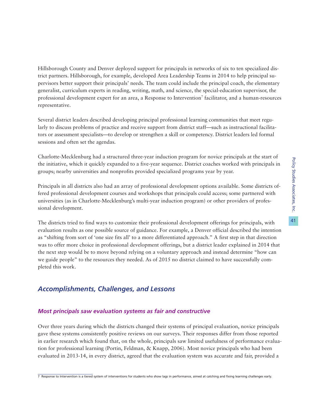Hillsborough County and Denver deployed support for principals in networks of six to ten specialized district partners. Hillsborough, for example, developed Area Leadership Teams in 2014 to help principal supervisors better support their principals' needs. The team could include the principal coach, the elementary generalist, curriculum experts in reading, writing, math, and science, the special-education supervisor, the professional development expert for an area, a Response to Intervention<sup>7</sup> facilitator, and a human-resources representative.

Several district leaders described developing principal professional learning communities that meet regularly to discuss problems of practice and receive support from district staff—such as instructional facilitators or assessment specialists—to develop or strengthen a skill or competency. District leaders led formal sessions and often set the agendas.

Charlotte-Mecklenburg had a structured three-year induction program for novice principals at the start of the initiative, which it quickly expanded to a five-year sequence. District coaches worked with principals in groups; nearby universities and nonprofits provided specialized programs year by year.

Principals in all districts also had an array of professional development options available. Some districts offered professional development courses and workshops that principals could access; some partnered with universities (as in Charlotte-Mecklenburg's multi-year induction program) or other providers of professional development.

The districts tried to find ways to customize their professional development offerings for principals, with evaluation results as one possible source of guidance. For example, a Denver official described the intention as "shifting from sort of 'one size fits all' to a more differentiated approach." A first step in that direction was to offer more choice in professional development offerings, but a district leader explained in 2014 that the next step would be to move beyond relying on a voluntary approach and instead determine "how can we guide people" to the resources they needed. As of 2015 no district claimed to have successfully completed this work.

# *Accomplishments, Challenges, and Lessons*

#### *Most principals saw evaluation systems as fair and constructive*

Over three years during which the districts changed their systems of principal evaluation, novice principals gave these systems consistently positive reviews on our surveys. Their responses differ from those reported in earlier research which found that, on the whole, principals saw limited usefulness of performance evaluation for professional learning (Portin, Feldman, & Knapp, 2006). Most novice principals who had been evaluated in 2013-14, in every district, agreed that the evaluation system was accurate and fair, provided a

 $7$  Response to Intervention is a tiered system of interventions for students who show lags in performance, aimed at catching and fixing learning challenges early.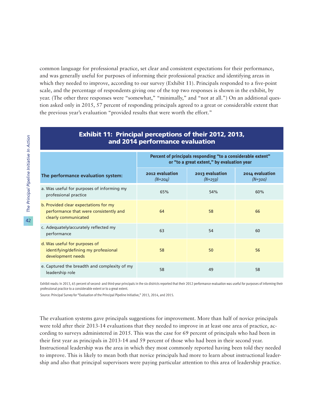common language for professional practice, set clear and consistent expectations for their performance, and was generally useful for purposes of informing their professional practice and identifying areas in which they needed to improve, according to our survey (Exhibit 11). Principals responded to a five-point scale, and the percentage of respondents giving one of the top two responses is shown in the exhibit, by year. (The other three responses were "somewhat," "minimally," and "not at all.") On an additional question asked only in 2015, 57 percent of responding principals agreed to a great or considerable extent that the previous year's evaluation "provided results that were worth the effort."

|                                                                                                         | Percent of principals responding "to a considerable extent"<br>or "to a great extent," by evaluation year |                              |                              |
|---------------------------------------------------------------------------------------------------------|-----------------------------------------------------------------------------------------------------------|------------------------------|------------------------------|
| The performance evaluation system:                                                                      | 2012 evaluation<br>$(N=204)$                                                                              | 2013 evaluation<br>$(N=259)$ | 2014 evaluation<br>$(N=300)$ |
| a. Was useful for purposes of informing my<br>professional practice                                     | 65%                                                                                                       | 54%                          | 60%                          |
| b. Provided clear expectations for my<br>performance that were consistently and<br>clearly communicated | 64                                                                                                        | 58                           | 66                           |
| c. Adequately/accurately reflected my<br>performance                                                    | 63                                                                                                        | 54                           | 60                           |
| d. Was useful for purposes of<br>identifying/defining my professional<br>development needs              | 58                                                                                                        | 50                           | 56                           |
| e. Captured the breadth and complexity of my<br>leadership role                                         | 58                                                                                                        | 49                           | 58                           |

### **Exhibit 11: Principal perceptions of their 2012, 2013, and 2014 performance evaluation**

Exhibit reads: In 2013, 65 percent of second- and third-year principals in the six districts reported that their 2012 performance evaluation was useful for purposes of informing their professional practice to a considerable extent or to a great extent.

Source: Principal Survey for "Evaluation of the Principal Pipeline Initiative," 2013, 2014, and 2015.

The evaluation systems gave principals suggestions for improvement. More than half of novice principals were told after their 2013-14 evaluations that they needed to improve in at least one area of practice, according to surveys administered in 2015. This was the case for 69 percent of principals who had been in their first year as principals in 2013-14 and 59 percent of those who had been in their second year. Instructional leadership was the area in which they most commonly reported having been told they needed to improve. This is likely to mean both that novice principals had more to learn about instructional leadership and also that principal supervisors were paying particular attention to this area of leadership practice.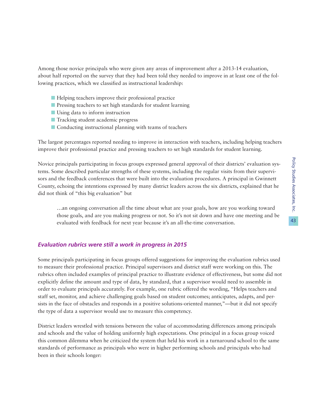Among those novice principals who were given any areas of improvement after a 2013-14 evaluation, about half reported on the survey that they had been told they needed to improve in at least one of the following practices, which we classified as instructional leadership:

- Helping teachers improve their professional practice
- Pressing teachers to set high standards for student learning
- Using data to inform instruction
- Tracking student academic progress
- Conducting instructional planning with teams of teachers

The largest percentages reported needing to improve in interaction with teachers, including helping teachers improve their professional practice and pressing teachers to set high standards for student learning.

Novice principals participating in focus groups expressed general approval of their districts' evaluation systems. Some described particular strengths of these systems, including the regular visits from their supervisors and the feedback conferences that were built into the evaluation procedures. A principal in Gwinnett County, echoing the intentions expressed by many district leaders across the six districts, explained that he did not think of "this big evaluation" but

…an ongoing conversation all the time about what are your goals, how are you working toward those goals, and are you making progress or not. So it's not sit down and have one meeting and be evaluated with feedback for next year because it's an all-the-time conversation.

#### *Evaluation rubrics were still a work in progress in 2015*

Some principals participating in focus groups offered suggestions for improving the evaluation rubrics used to measure their professional practice. Principal supervisors and district staff were working on this. The rubrics often included examples of principal practice to illustrate evidence of effectiveness, but some did not explicitly define the amount and type of data, by standard, that a supervisor would need to assemble in order to evaluate principals accurately. For example, one rubric offered the wording, "Helps teachers and staff set, monitor, and achieve challenging goals based on student outcomes; anticipates, adapts, and persists in the face of obstacles and responds in a positive solutions-oriented manner,"—but it did not specify the type of data a supervisor would use to measure this competency.

District leaders wrestled with tensions between the value of accommodating differences among principals and schools and the value of holding uniformly high expectations. One principal in a focus group voiced this common dilemma when he criticized the system that held his work in a turnaround school to the same standards of performance as principals who were in higher performing schools and principals who had been in their schools longer: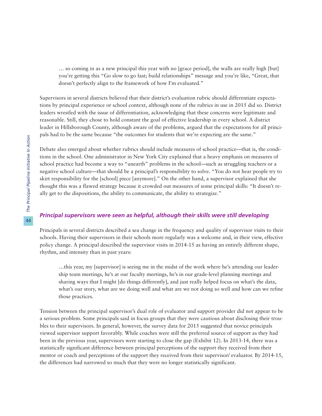… so coming in as a new principal this year with no [grace period], the walls are really high [but] you're getting this "Go slow to go fast; build relationships" message and you're like, "Great, that doesn't perfectly align to the framework of how I'm evaluated."

Supervisors in several districts believed that their district's evaluation rubric should differentiate expectations by principal experience or school context, although none of the rubrics in use in 2015 did so. District leaders wrestled with the issue of differentiation, acknowledging that these concerns were legitimate and reasonable. Still, they chose to hold constant the goal of effective leadership in every school. A district leader in Hillsborough County, although aware of the problems, argued that the expectations for all principals had to be the same because "the outcomes for students that we're expecting are the same."

Debate also emerged about whether rubrics should include measures of school practice—that is, the conditions in the school. One administrator in New York City explained that a heavy emphasis on measures of school practice had become a way to "unearth" problems in the school—such as struggling teachers or a negative school culture—that should be a principal's responsibility to solve. "You do not hear people try to skirt responsibility for the [school] piece [anymore]." On the other hand, a supervisor explained that she thought this was a flawed strategy because it crowded out measures of some principal skills: "It doesn't really get to the dispositions, the ability to communicate, the ability to strategize."

#### *Principal supervisors were seen as helpful, although their skills were still developing*

Principals in several districts described a sea change in the frequency and quality of supervisor visits to their schools. Having their supervisors in their schools more regularly was a welcome and, in their view, effective policy change. A principal described the supervisor visits in 2014-15 as having an entirely different shape, rhythm, and intensity than in past years:

…this year, my [supervisor] is seeing me in the midst of the work where he's attending our leadership team meetings, he's at our faculty meetings, he's in our grade-level planning meetings and sharing ways that I might [do things differently], and just really helped focus on what's the data, what's our story, what are we doing well and what are we not doing so well and how can we refine those practices.

Tension between the principal supervisor's dual role of evaluator and support provider did not appear to be a serious problem. Some principals said in focus groups that they were cautious about disclosing their troubles to their supervisors. In general, however, the survey data for 2015 suggested that novice principals viewed supervisor support favorably. While coaches were still the preferred source of support as they had been in the previous year, supervisors were starting to close the gap (Exhibit 12). In 2013-14, there was a statistically significant difference between principal perceptions of the support they received from their mentor or coach and perceptions of the support they received from their supervisor/ evaluator. By 2014-15, the differences had narrowed so much that they were no longer statistically significant.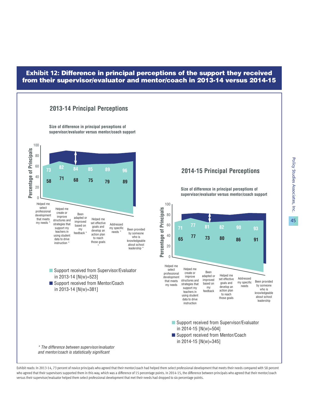# **Exhibit 12: Difference in principal perceptions of the support they received from their supervisor/evaluator and mentor/coach in 2013-14 versus 2014-15**

# **2013-14 Principal Perceptions**

**Size of difference in principal perceptions of supervisor/evaluator versus mentor/coach support**



*and mentor/coach is statistically significant*

Exhibit reads: In 2013-14, 73 percent of novice principals who agreed that their mentor/coach had helped them select professional development that meets their needs compared with 58 percent who agreed that their supervisors supported them in this way, which was a difference of 15 percentage points. In 2014-15, the difference between principals who agreed that their mentor/coach versus their supervisor/evaluator helped them select professional development that met their needs had dropped to six percentage points.

Been adapted or improved based on my feedback

Helped me set effective goals and develop an action plan to reach those goals

Addressed my specific needs

Been provided by someone who is knowledgeable about school leadership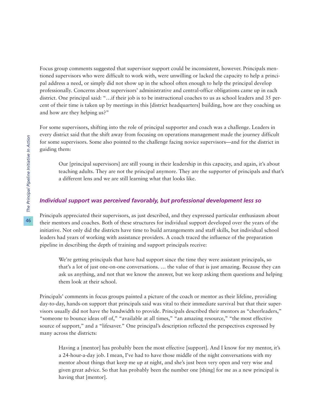Focus group comments suggested that supervisor support could be inconsistent, however. Principals mentioned supervisors who were difficult to work with, were unwilling or lacked the capacity to help a principal address a need, or simply did not show up in the school often enough to help the principal develop professionally. Concerns about supervisors' administrative and central-office obligations came up in each district. One principal said: "...if their job is to be instructional coaches to us as school leaders and 35 percent of their time is taken up by meetings in this [district headquarters] building, how are they coaching us and how are they helping us?"

For some supervisors, shifting into the role of principal supporter and coach was a challenge. Leaders in every district said that the shift away from focusing on operations management made the journey difficult for some supervisors. Some also pointed to the challenge facing novice supervisors—and for the district in guiding them:

Our [principal supervisors] are still young in their leadership in this capacity, and again, it's about teaching adults. They are not the principal anymore. They are the supporter of principals and that's a different lens and we are still learning what that looks like.

### *Individual support was perceived favorably, but professional development less so*

Principals appreciated their supervisors, as just described, and they expressed particular enthusiasm about their mentors and coaches. Both of these structures for individual support developed over the years of the initiative. Not only did the districts have time to build arrangements and staff skills, but individual school leaders had years of working with assistance providers. A coach traced the influence of the preparation pipeline in describing the depth of training and support principals receive:

We're getting principals that have had support since the time they were assistant principals, so that's a lot of just one-on-one conversations. … the value of that is just amazing. Because they can ask us anything, and not that we know the answer, but we keep asking them questions and helping them look at their school.

Principals' comments in focus groups painted a picture of the coach or mentor as their lifeline, providing day-to-day, hands-on support that principals said was vital to their immediate survival but that their supervisors usually did not have the bandwidth to provide. Principals described their mentors as "cheerleaders," "someone to bounce ideas off of," "available at all times," "an amazing resource," "the most effective source of support," and a "lifesaver." One principal's description reflected the perspectives expressed by many across the districts:

Having a [mentor] has probably been the most effective [support]. And I know for my mentor, it's a 24-hour-a-day job. I mean, I've had to have those middle of the night conversations with my mentor about things that keep me up at night, and she's just been very open and very wise and given great advice. So that has probably been the number one [thing] for me as a new principal is having that [mentor].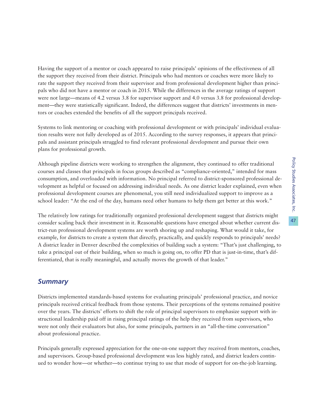Having the support of a mentor or coach appeared to raise principals' opinions of the effectiveness of all the support they received from their district. Principals who had mentors or coaches were more likely to rate the support they received from their supervisor and from professional development higher than principals who did not have a mentor or coach in 2015. While the differences in the average ratings of support were not large—means of 4.2 versus 3.8 for supervisor support and 4.0 versus 3.8 for professional development—they were statistically significant. Indeed, the differences suggest that districts' investments in mentors or coaches extended the benefits of all the support principals received.

Systems to link mentoring or coaching with professional development or with principals' individual evaluation results were not fully developed as of 2015. According to the survey responses, it appears that principals and assistant principals struggled to find relevant professional development and pursue their own plans for professional growth.

Although pipeline districts were working to strengthen the alignment, they continued to offer traditional courses and classes that principals in focus groups described as "compliance-oriented," intended for mass consumption, and overloaded with information. No principal referred to district-sponsored professional development as helpful or focused on addressing individual needs. As one district leader explained, even when professional development courses are phenomenal, you still need individualized support to improve as a school leader: "At the end of the day, humans need other humans to help them get better at this work."

The relatively low ratings for traditionally organized professional development suggest that districts might consider scaling back their investment in it. Reasonable questions have emerged about whether current district-run professional development systems are worth shoring up and reshaping. What would it take, for example, for districts to create a system that directly, practically, and quickly responds to principals' needs? A district leader in Denver described the complexities of building such a system: "That's just challenging, to take a principal out of their building, when so much is going on, to offer PD that is just-in-time, that's differentiated, that is really meaningful, and actually moves the growth of that leader."

# *Summary*

Districts implemented standards-based systems for evaluating principals' professional practice, and novice principals received critical feedback from those systems. Their perceptions of the systems remained positive over the years. The districts' efforts to shift the role of principal supervisors to emphasize support with instructional leadership paid off in rising principal ratings of the help they received from supervisors, who were not only their evaluators but also, for some principals, partners in an "all-the-time conversation" about professional practice.

Principals generally expressed appreciation for the one-on-one support they received from mentors, coaches, and supervisors. Group-based professional development was less highly rated, and district leaders continued to wonder how—or whether—to continue trying to use that mode of support for on-the-job learning.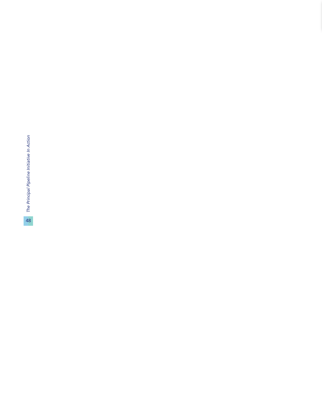*The Principal Pipeline Initiative In Action* the Principal Pipeline Initiative In Action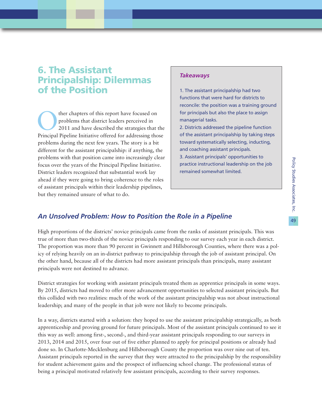# **6. The Assistant Principalship: Dilemmas of the Position**

ther chapters of this report have focused on problems that district leaders perceived in 2011 and have described the strategies that the Principal Pipeline Initiative offered for addressing those problems during the next few years. The story is a bit different for the assistant principalship: if anything, the problems with that position came into increasingly clear focus over the years of the Principal Pipeline Initiative. District leaders recognized that substantial work lay ahead if they were going to bring coherence to the roles of assistant principals within their leadership pipelines, but they remained unsure of what to do.

### *Takeaways*

1. The assistant principalship had two functions that were hard for districts to reconcile: the position was a training ground for principals but also the place to assign managerial tasks.

2. Districts addressed the pipeline function of the assistant principalship by taking steps toward systematically selecting, inducting, and coaching assistant principals.

3. Assistant principals' opportunities to practice instructional leadership on the job remained somewhat limited.

# *An Unsolved Problem: How to Position the Role in a Pipeline*

High proportions of the districts' novice principals came from the ranks of assistant principals. This was true of more than two-thirds of the novice principals responding to our survey each year in each district. The proportion was more than 90 percent in Gwinnett and Hillsborough Counties, where there was a policy of relying heavily on an in-district pathway to principalship through the job of assistant principal. On the other hand, because all of the districts had more assistant principals than principals, many assistant principals were not destined to advance.

District strategies for working with assistant principals treated them as apprentice principals in some ways. By 2015, districts had moved to offer more advancement opportunities to selected assistant principals. But this collided with two realities: much of the work of the assistant principalship was not about instructional leadership; and many of the people in that job were not likely to become principals.

In a way, districts started with a solution: they hoped to use the assistant principalship strategically, as both apprenticeship and proving ground for future principals. Most of the assistant principals continued to see it this way as well: among first-, second-, and third-year assistant principals responding to our surveys in 2013, 2014 and 2015, over four out of five either planned to apply for principal positions or already had done so. In Charlotte-Mecklenburg and Hillsborough County the proportion was over nine out of ten. Assistant principals reported in the survey that they were attracted to the principalship by the responsibility for student achievement gains and the prospect of influencing school change. The professional status of being a principal motivated relatively few assistant principals, according to their survey responses.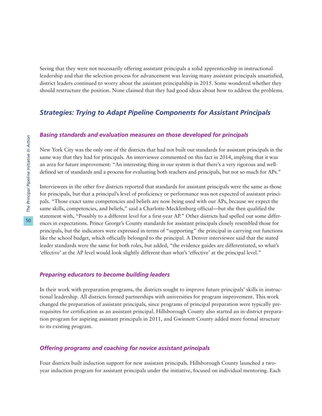Seeing that they were not necessarily offering assistant principals a solid apprenticeship in instructional leadership and that the selection process for advancement was leaving many assistant principals unsatisfied, district leaders continued to worry about the assistant principalship in 2015. Some wondered whether they should restructure the position. None claimed that they had good ideas about how to address the problems.

# *Strategies: Trying to Adapt Pipeline Components for Assistant Principals*

#### *Basing standards and evaluation measures on those developed for principals*

New York City was the only one of the districts that had not built out standards for assistant principals in the same way that they had for principals. An interviewee commented on this fact in 2014, implying that it was an area for future improvement: "An interesting thing in our system is that there's a very rigorous and welldefined set of standards and a process for evaluating both teachers and principals, but not so much for APs."

Interviewees in the other five districts reported that standards for assistant principals were the same as those for principals, but that a principal's level of proficiency or performance was not expected of assistant principals. "Those exact same competencies and beliefs are now being used with our APs, because we expect the same skills, competencies, and beliefs," said a Charlotte-Mecklenburg official—but she then qualified the statement with, "Possibly to a different level for a first-year AP." Other districts had spelled out some differences in expectations. Prince George's County standards for assistant principals closely resembled those for principals, but the indicators were expressed in terms of "supporting" the principal in carrying out functions like the school budget, which officially belonged to the principal. A Denver interviewee said that the stated leader standards were the same for both roles, but added, "the evidence guides are differentiated, so what's 'effective' at the AP level would look slightly different than what's 'effective' at the principal level."

#### *Preparing educators to become building leaders*

In their work with preparation programs, the districts sought to improve future principals' skills in instructional leadership. All districts formed partnerships with universities for program improvement. This work changed the preparation of assistant principals, since programs of principal preparation were typically prerequisites for certification as an assistant principal. Hillsborough County also started an in-district preparation program for aspiring assistant principals in 2011, and Gwinnett County added more formal structure to its existing program.

#### *Offering programs and coaching for novice assistant principals*

Four districts built induction support for new assistant principals. Hillsborough County launched a twoyear induction program for assistant principals under the initiative, focused on individual mentoring. Each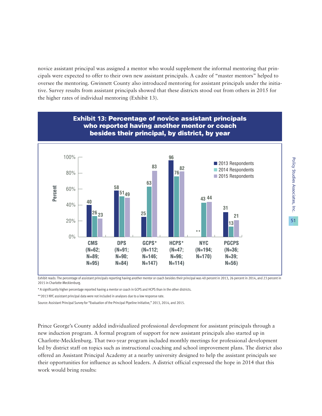novice assistant principal was assigned a mentor who would supplement the informal mentoring that principals were expected to offer to their own new assistant principals. A cadre of "master mentors" helped to oversee the mentoring. Gwinnett County also introduced mentoring for assistant principals under the initiative. Survey results from assistant principals showed that these districts stood out from others in 2015 for the higher rates of individual mentoring (Exhibit 13).



Exhibit reads: The percentage of assistant principals reporting having another mentor orcoach besides their principal was 40 percent in 2013, 26 percent in 2014, and 23 percent in 2015 in Charlotte-Mecklenburg.

\* A significantly higher percentage reported having a mentor orcoach in GCPS and HCPS than in the other districts.

\*\*2013 NYC assistant principal data were not included in analyses due to a low response rate.

Source: Assistant Principal Survey for "Evaluation of the Principal Pipeline Initiative," 2013, 2014, and 2015.

Prince George's County added individualized professional development for assistant principals through a new induction program. A formal program of support for new assistant principals also started up in Charlotte-Mecklenburg. That two-year program included monthly meetings for professional development led by district staff on topics such as instructional coaching and school improvement plans. The district also offered an Assistant Principal Academy at a nearby university designed to help the assistant principals see their opportunities for influence as school leaders. A district official expressed the hope in 2014 that this work would bring results: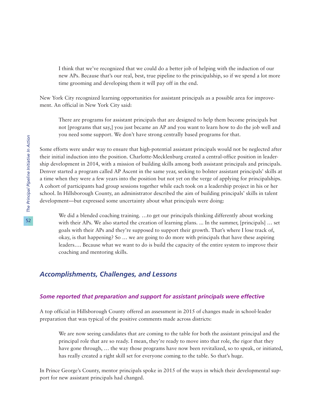I think that we've recognized that we could do a better job of helping with the induction of our new APs. Because that's our real, best, true pipeline to the principalship, so if we spend a lot more time grooming and developing them it will pay off in the end.

New York City recognized learning opportunities for assistant principals as a possible area for improvement. An official in New York City said:

There are programs for assistant principals that are designed to help them become principals but not [programs that say,] you just became an AP and you want to learn how to do the job well and you need some support. We don't have strong centrally based programs for that.

Some efforts were under way to ensure that high-potential assistant principals would not be neglected after their initial induction into the position. Charlotte-Mecklenburg created a central-office position in leadership development in 2014, with a mission of building skills among both assistant principals and principals. Denver started a program called AP Ascent in the same year, seeking to bolster assistant principals' skills at a time when they were a few years into the position but not yet on the verge of applying for principalships. A cohort of participants had group sessions together while each took on a leadership project in his or her school. In Hillsborough County, an administrator described the aim of building principals' skills in talent development—but expressed some uncertainty about what principals were doing:

We did a blended coaching training. …to get our principals thinking differently about working with their APs. We also started the creation of learning plans. ... In the summer, [principals] … set goals with their APs and they're supposed to support their growth. That's where I lose track of, okay, is that happening? So … we are going to do more with principals that have these aspiring leaders…. Because what we want to do is build the capacity of the entire system to improve their coaching and mentoring skills.

# *Accomplishments, Challenges, and Lessons*

#### *Some reported that preparation and support for assistant principals were effective*

A top official in Hillsborough County offered an assessment in 2015 of changes made in school-leader preparation that was typical of the positive comments made across districts:

We are now seeing candidates that are coming to the table for both the assistant principal and the principal role that are so ready. I mean, they're ready to move into that role, the rigor that they have gone through, … the way those programs have now been revitalized, so to speak, or initiated, has really created a right skill set for everyone coming to the table. So that's huge.

In Prince George's County, mentor principals spoke in 2015 of the ways in which their developmental support for new assistant principals had changed.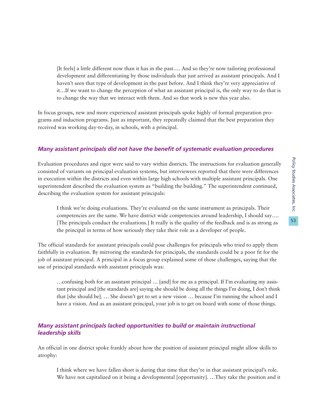[It feels] a little different now than it has in the past…. And so they're now tailoring professional development and differentiating by those individuals that just arrived as assistant principals. And I haven't seen that type of development in the past before. And I think they're very appreciative of it…If we want to change the perception of what an assistant principal is, the only way to do that is to change the way that we interact with them. And so that work is new this year also.

In focus groups, new and more experienced assistant principals spoke highly of formal preparation programs and induction programs. Just as important, they repeatedly claimed that the best preparation they received was working day-to-day, in schools, with a principal.

### *Many assistant principals did not have the benefit of systematic evaluation procedures*

Evaluation procedures and rigor were said to vary within districts. The instructions for evaluation generally consisted of variants on principal evaluation systems, but interviewees reported that there were differences in execution within the districts and even within large high schools with multiple assistant principals. One superintendent described the evaluation system as "building the building." The superintendent continued, describing the evaluation system for assistant principals:

I think we're doing evaluations. They're evaluated on the same instrument as principals. Their competencies are the same. We have district wide competencies around leadership, I should say…. [The principals conduct the evaluations.] It really is the quality of the feedback and is as strong as the principal in terms of how seriously they take their role as a developer of people.

The official standards for assistant principals could pose challenges for principals who tried to apply them faithfully in evaluation. By mirroring the standards for principals, the standards could be a poor fit for the job of assistant principal. A principal in a focus group explained some of those challenges, saying that the use of principal standards with assistant principals was:

…confusing both for an assistant principal … [and] for me as a principal. If I'm evaluating my assistant principal and [the standards are] saying she should be doing all the things I'm doing, I don't think that [she should be]. … She doesn't get to set a new vision … because I'm running the school and I have a vision. And as an assistant principal, your job is to get on board with some of those things.

### *Many assistant principals lacked opportunities to build or maintain instructional leadership skills*

An official in one district spoke frankly about how the position of assistant principal might allow skills to atrophy:

I think where we have fallen short is during that time that they're in that assistant principal's role. We have not capitalized on it being a developmental [opportunity]. …They take the position and it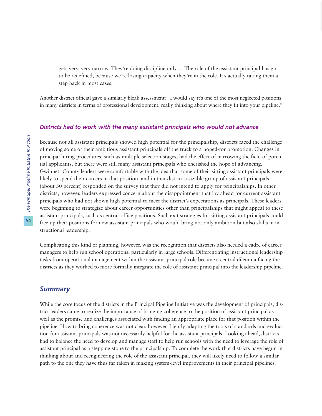gets very, very narrow. They're doing discipline only.… The role of the assistant principal has got to be redefined, because we're losing capacity when they're in the role. It's actually taking them a step back in most cases.

Another district official gave a similarly bleak assessment: "I would say it's one of the most neglected positions in many districts in terms of professional development, really thinking about where they fit into your pipeline."

#### *Districts had to work with the many assistant principals who would not advance*

Because not all assistant principals showed high potential for the principalship, districts faced the challenge of moving some of their ambitious assistant principals off the track to a hoped-for promotion. Changes in principal hiring procedures, such as multiple selection stages, had the effect of narrowing the field of potential applicants, but there were still many assistant principals who cherished the hope of advancing. Gwinnett County leaders were comfortable with the idea that some of their sitting assistant principals were likely to spend their careers in that position, and in that district a sizable group of assistant principals (about 30 percent) responded on the survey that they did not intend to apply for principalships. In other districts, however, leaders expressed concern about the disappointment that lay ahead for current assistant principals who had not shown high potential to meet the district's expectations as principals. These leaders were beginning to strategize about career opportunities other than principalships that might appeal to these assistant principals, such as central-office positions. Such exit strategies for sitting assistant principals could free up their positions for new assistant principals who would bring not only ambition but also skills in instructional leadership.

Complicating this kind of planning, however, was the recognition that districts also needed a cadre of career managers to help run school operations, particularly in large schools. Differentiating instructional leadership tasks from operational management within the assistant principal role became a central dilemma facing the districts as they worked to more formally integrate the role of assistant principal into the leadership pipeline.

### *Summary*

While the core focus of the districts in the Principal Pipeline Initiative was the development of principals, district leaders came to realize the importance of bringing coherence to the position of assistant principal as well as the promise and challenges associated with finding an appropriate place for that position within the pipeline. How to bring coherence was not clear, however. Lightly adapting the tools of standards and evaluation for assistant principals was not necessarily helpful for the assistant principals. Looking ahead, districts had to balance the need to develop and manage staff to help run schools with the need to leverage the role of assistant principal as a stepping stone to the principalship. To complete the work that districts have begun in thinking about and reengineering the role of the assistant principal, they will likely need to follow a similar path to the one they have thus far taken in making system-level improvements in their principal pipelines.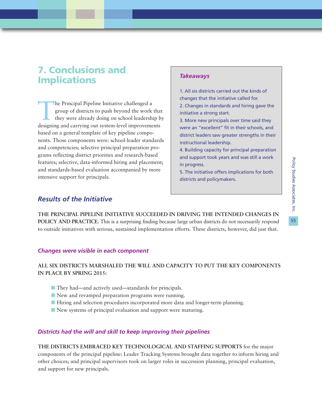# **7. Conclusions and Implications**

The Principal Pipeline Initiative challenged a<br>group of districts to push beyond the work<br>they were already doing on school leadersh<br>designing and carrying out system-level improvement group of districts to push beyond the work that they were already doing on school leadership by designing and carrying out system-level improvements based on a general template of key pipeline components. Those components were: school-leader standards and competencies; selective principal preparation programs reflecting district priorities and research-based features; selective, data-informed hiring and placement; and standards-based evaluation accompanied by more intensive support for principals.

### *Takeaways*

1. All six districts carried out the kinds of changes that the initiative called for. 2. Changes in standards and hiring gave the

initiative a strong start.

3. More new principals over time said they were an "excellent" fit in their schools, and district leaders saw greater strengths in their instructional leadership.

4. Building capacity for principal preparation and support took years and was still a work in progress.

5. The initiative offers implications for both districts and policymakers.

# *Results of the Initiative*

**THE PRINCIPAL PIPELINE INITIATIVE SUCCEEDED IN DRIVING THE INTENDED CHANGES IN POLICY AND PRACTICE.** This is a surprising finding because large urban districts do not necessarily respond to outside initiatives with serious, sustained implementation efforts. These districts, however, did just that.

#### *Changes were visible in each component*

## **ALL SIX DISTRICTS MARSHALED THE WILL AND CAPACITY TO PUT THE KEY COMPONENTS IN PLACE BY SPRING 2015:**

- They had—and actively used—standards for principals.
- New and revamped preparation programs were running.
- Hiring and selection procedures incorporated more data and longer-term planning.
- New systems of principal evaluation and support were maturing.

#### *Districts had the will and skill to keep improving their pipelines*

**THE DISTRICTS EMBRACED KEY TECHNOLOGICAL AND STAFFING SUPPORTS** for the major components of the principal pipeline: Leader Tracking Systems brought data together to inform hiring and other choices; and principal supervisors took on larger roles in succession planning, principal evaluation, and support for new principals.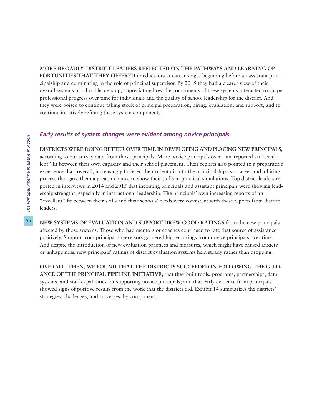#### **MORE BROADLY, DISTRICT LEADERS REFLECTED ON THE PATHWAYS AND LEARNING OP-**

**PORTUNITIES THAT THEY OFFERED** to educators at career stages beginning before an assistant principalship and culminating in the role of principal supervisor. By 2015 they had a clearer view of their overall systems of school leadership, appreciating how the components of these systems interacted to shape professional progress over time for individuals and the quality of school leadership for the district. And they were poised to continue taking stock of principal preparation, hiring, evaluation, and support, and to continue iteratively refining these system components.

### *Early results of system changes were evident among novice principals*

**DISTRICTS WERE DOING BETTER OVER TIME IN DEVELOPING AND PLACING NEW PRINCIPALS,** according to our survey data from those principals. More novice principals over time reported an "excellent" fit between their own capacity and their school placement. Their reports also pointed to a preparation experience that, overall, increasingly fostered their orientation to the principalship as a career and a hiring process that gave them a greater chance to show their skills in practical simulations. Top district leaders reported in interviews in 2014 and 2015 that incoming principals and assistant principals were showing leadership strengths, especially in instructional leadership. The principals' own increasing reports of an "excellent" fit between their skills and their schools' needs were consistent with these reports from district leaders.

**NEW SYSTEMS OF EVALUATION AND SUPPORT DREW GOOD RATINGS** from the new principals affected by those systems. Those who had mentors or coaches continued to rate that source of assistance positively. Support from principal supervisors garnered higher ratings from novice principals over time. And despite the introduction of new evaluation practices and measures, which might have caused anxiety or unhappiness, new principals' ratings of district evaluation systems held steady rather than dropping.

**OVERALL, THEN, WE FOUND THAT THE DISTRICTS SUCCEEDED IN FOLLOWING THE GUID-ANCE OF THE PRINCIPAL PIPELINE INITIATIVE;** that they built tools, programs, partnerships, data systems, and staff capabilities for supporting novice principals; and that early evidence from principals showed signs of positive results from the work that the districts did. Exhibit 14 summarizes the districts' strategies, challenges, and successes, by component.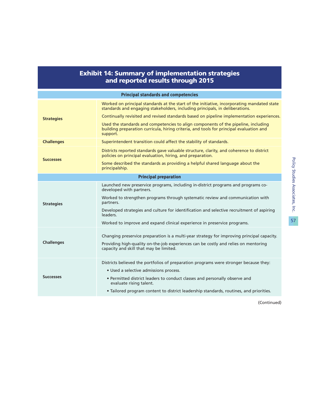|  | Policy Studies Assoc |
|--|----------------------|

## **Exhibit 14: Summary of implementation strategies and reported results through 2015**

|                   | <b>Principal standards and competencies</b>                                                                                                                                               |
|-------------------|-------------------------------------------------------------------------------------------------------------------------------------------------------------------------------------------|
|                   | Worked on principal standards at the start of the initiative, incorporating mandated state<br>standards and engaging stakeholders, including principals, in deliberations.                |
| <b>Strategies</b> | Continually revisited and revised standards based on pipeline implementation experiences.                                                                                                 |
|                   | Used the standards and competencies to align components of the pipeline, including<br>building preparation curricula, hiring criteria, and tools for principal evaluation and<br>support. |
| <b>Challenges</b> | Superintendent transition could affect the stability of standards.                                                                                                                        |
| <b>Successes</b>  | Districts reported standards gave valuable structure, clarity, and coherence to district<br>policies on principal evaluation, hiring, and preparation.                                    |
|                   | Some described the standards as providing a helpful shared language about the<br>principalship.                                                                                           |
|                   | <b>Principal preparation</b>                                                                                                                                                              |
|                   | Launched new preservice programs, including in-district programs and programs co-<br>developed with partners.                                                                             |
| <b>Strategies</b> | Worked to strengthen programs through systematic review and communication with<br>partners.                                                                                               |
|                   | Developed strategies and culture for identification and selective recruitment of aspiring<br>leaders.                                                                                     |
|                   | Worked to improve and expand clinical experience in preservice programs.                                                                                                                  |
|                   | Changing preservice preparation is a multi-year strategy for improving principal capacity.                                                                                                |
| <b>Challenges</b> | Providing high-quality on-the-job experiences can be costly and relies on mentoring<br>capacity and skill that may be limited.                                                            |
|                   | Districts believed the portfolios of preparation programs were stronger because they:                                                                                                     |
|                   | • Used a selective admissions process.                                                                                                                                                    |
| <b>Successes</b>  | • Permitted district leaders to conduct classes and personally observe and<br>evaluate rising talent.                                                                                     |
|                   | • Tailored program content to district leadership standards, routines, and priorities.                                                                                                    |

(Continued)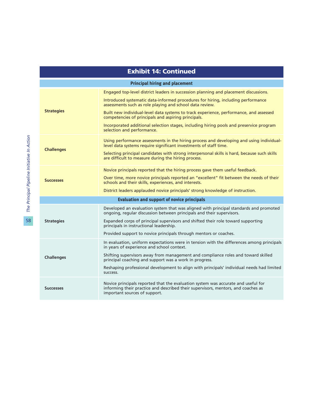| <b>Exhibit 14: Continued</b>          |                                                                                                                                                                                                         |  |  |  |  |
|---------------------------------------|---------------------------------------------------------------------------------------------------------------------------------------------------------------------------------------------------------|--|--|--|--|
| <b>Principal hiring and placement</b> |                                                                                                                                                                                                         |  |  |  |  |
|                                       | Engaged top-level district leaders in succession planning and placement discussions.                                                                                                                    |  |  |  |  |
|                                       | Introduced systematic data-informed procedures for hiring, including performance<br>assessments such as role playing and school data review.                                                            |  |  |  |  |
| <b>Strategies</b>                     | Built new individual-level data systems to track experience, performance, and assessed<br>competencies of principals and aspiring principals.                                                           |  |  |  |  |
|                                       | Incorporated additional selection stages, including hiring pools and preservice program<br>selection and performance.                                                                                   |  |  |  |  |
|                                       | Using performance assessments in the hiring process and developing and using individual-<br>level data systems require significant investments of staff time.                                           |  |  |  |  |
| <b>Challenges</b>                     | Selecting principal candidates with strong interpersonal skills is hard, because such skills<br>are difficult to measure during the hiring process.                                                     |  |  |  |  |
|                                       | Novice principals reported that the hiring process gave them useful feedback.                                                                                                                           |  |  |  |  |
| <b>Successes</b>                      | Over time, more novice principals reported an "excellent" fit between the needs of their<br>schools and their skills, experiences, and interests.                                                       |  |  |  |  |
|                                       | District leaders applauded novice principals' strong knowledge of instruction.                                                                                                                          |  |  |  |  |
|                                       | <b>Evaluation and support of novice principals</b>                                                                                                                                                      |  |  |  |  |
|                                       | Developed an evaluation system that was aligned with principal standards and promoted<br>ongoing, regular discussion between principals and their supervisors.                                          |  |  |  |  |
| <b>Strategies</b>                     | Expanded corps of principal supervisors and shifted their role toward supporting<br>principals in instructional leadership.                                                                             |  |  |  |  |
|                                       | Provided support to novice principals through mentors or coaches.                                                                                                                                       |  |  |  |  |
|                                       | In evaluation, uniform expectations were in tension with the differences among principals<br>in years of experience and school context.                                                                 |  |  |  |  |
| <b>Challenges</b>                     | Shifting supervisors away from management and compliance roles and toward skilled<br>principal coaching and support was a work in progress.                                                             |  |  |  |  |
|                                       | Reshaping professional development to align with principals' individual needs had limited<br>success.                                                                                                   |  |  |  |  |
| <b>Successes</b>                      | Novice principals reported that the evaluation system was accurate and useful for<br>informing their practice and described their supervisors, mentors, and coaches as<br>important sources of support. |  |  |  |  |

I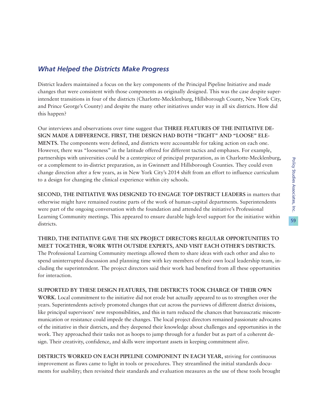# *What Helped the Districts Make Progress*

District leaders maintained a focus on the key components of the Principal Pipeline Initiative and made changes that were consistent with those components as originally designed. This was the case despite superintendent transitions in four of the districts (Charlotte-Mecklenburg, Hillsborough County, New York City, and Prince George's County) and despite the many other initiatives under way in all six districts. How did this happen?

Our interviews and observations over time suggest that **THREE FEATURES OF THE INITIATIVE DE-SIGN MADE A DIFFERENCE. FIRST, THE DESIGN HAD BOTH "TIGHT" AND "LOOSE" ELE-MENTS.** The components were defined, and districts were accountable for taking action on each one. However, there was "looseness" in the latitude offered for different tactics and emphases. For example, partnerships with universities could be a centerpiece of principal preparation, as in Charlotte-Mecklenburg, or a complement to in-district preparation, as in Gwinnett and Hillsborough Counties. They could even change direction after a few years, as in New York City's 2014 shift from an effort to influence curriculum to a design for changing the clinical experience within city schools.

**SECOND, THE INITIATIVE WAS DESIGNED TO ENGAGE TOP DISTRICT LEADERS** in matters that otherwise might have remained routine parts of the work of human-capital departments. Superintendents were part of the ongoing conversation with the foundation and attended the initiative's Professional Learning Community meetings. This appeared to ensure durable high-level support for the initiative within districts.

**THIRD, THE INITIATIVE GAVE THE SIX PROJECT DIRECTORS REGULAR OPPORTUNITIES TO MEET TOGETHER, WORK WITH OUTSIDE EXPERTS, AND VISIT EACH OTHER'S DISTRICTS.** The Professional Learning Community meetings allowed them to share ideas with each other and also to spend uninterrupted discussion and planning time with key members of their own local leadership team, including the superintendent. The project directors said their work had benefited from all these opportunities for interaction.

#### **SUPPORTED BY THESE DESIGN FEATURES, THE DISTRICTS TOOK CHARGE OF THEIR OWN**

**WORK.** Local commitment to the initiative did not erode but actually appeared to us to strengthen over the years. Superintendents actively promoted changes that cut across the purviews of different district divisions, like principal supervisors' new responsibilities, and this in turn reduced the chances that bureaucratic miscommunication or resistance could impede the changes. The local project directors remained passionate advocates of the initiative in their districts, and they deepened their knowledge about challenges and opportunities in the work. They approached their tasks not as hoops to jump through for a funder but as part of a coherent design. Their creativity, confidence, and skills were important assets in keeping commitment alive.

**DISTRICTS WORKED ON EACH PIPELINE COMPONENT IN EACH YEAR,** striving for continuous improvement as flaws came to light in tools or procedures. They streamlined the initial standards documents for usability; then revisited their standards and evaluation measures as the use of these tools brought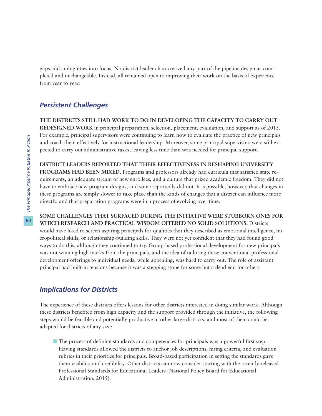gaps and ambiguities into focus. No district leader characterized any part of the pipeline design as completed and unchangeable. Instead, all remained open to improving their work on the basis of experience from year to year.

## *Persistent Challenges*

**THE DISTRICTS STILL HAD WORK TO DO IN DEVELOPING THE CAPACITY TO CARRY OUT REDESIGNED WORK** in principal preparation, selection, placement, evaluation, and support as of 2015. For example, principal supervisors were continuing to learn how to evaluate the practice of new principals and coach them effectively for instructional leadership. Moreover, some principal supervisors were still expected to carry out administrative tasks, leaving less time than was needed for principal support.

**DISTRICT LEADERS REPORTED THAT THEIR EFFECTIVENESS IN RESHAPING UNIVERSITY PROGRAMS HAD BEEN MIXED.** Programs and professors already had curricula that satisfied state requirements, an adequate stream of new enrollees, and a culture that prized academic freedom. They did not have to embrace new program designs, and some reportedly did not. It is possible, however, that changes in these programs are simply slower to take place than the kinds of changes that a district can influence more directly, and that preparation programs were in a process of evolving over time.

**SOME CHALLENGES THAT SURFACED DURING THE INITIATIVE WERE STUBBORN ONES FOR WHICH RESEARCH AND PRACTICAL WISDOM OFFERED NO SOLID SOLUTIONS.** Districts would have liked to screen aspiring principals for qualities that they described as emotional intelligence, micropolitical skills, or relationship-building skills. They were not yet confident that they had found good ways to do this, although they continued to try. Group-based professional development for new principals was not winning high marks from the principals, and the idea of tailoring these conventional professional development offerings to individual needs, while appealing, was hard to carry out. The role of assistant principal had built-in tensions because it was a stepping stone for some but a dead end for others.

### *Implications for Districts*

The experience of these districts offers lessons for other districts interested in doing similar work. Although these districts benefited from high capacity and the support provided through the initiative, the following steps would be feasible and potentially productive in other large districts, and most of them could be adapted for districts of any size:

■ The process of defining standards and competencies for principals was a powerful first step. Having standards allowed the districts to anchor job descriptions, hiring criteria, and evaluation rubrics in their priorities for principals. Broad-based participation in setting the standards gave them visibility and credibility. Other districts can now consider starting with the recently released Professional Standards for Educational Leaders (National Policy Board for Educational Administration, 2015).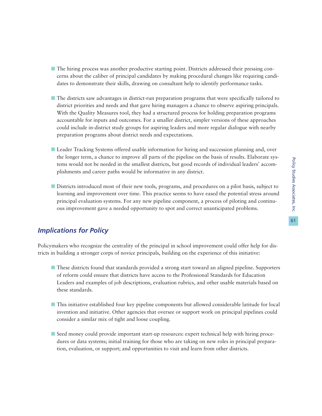- The hiring process was another productive starting point. Districts addressed their pressing concerns about the caliber of principal candidates by making procedural changes like requiring candidates to demonstrate their skills, drawing on consultant help to identify performance tasks.
- The districts saw advantages in district-run preparation programs that were specifically tailored to district priorities and needs and that gave hiring managers a chance to observe aspiring principals. With the Quality Measures tool, they had a structured process for holding preparation programs accountable for inputs and outcomes. For a smaller district, simpler versions of these approaches could include in-district study groups for aspiring leaders and more regular dialogue with nearby preparation programs about district needs and expectations.
- Leader Tracking Systems offered usable information for hiring and succession planning and, over the longer term, a chance to improve all parts of the pipeline on the basis of results. Elaborate systems would not be needed in the smallest districts, but good records of individual leaders' accomplishments and career paths would be informative in any district.
- Districts introduced most of their new tools, programs, and procedures on a pilot basis, subject to learning and improvement over time. This practice seems to have eased the potential stress around principal evaluation systems. For any new pipeline component, a process of piloting and continuous improvement gave a needed opportunity to spot and correct unanticipated problems.

### *Implications for Policy*

Policymakers who recognize the centrality of the principal in school improvement could offer help for districts in building a stronger corps of novice principals, building on the experience of this initiative:

- These districts found that standards provided a strong start toward an aligned pipeline. Supporters of reform could ensure that districts have access to the Professional Standards for Education Leaders and examples of job descriptions, evaluation rubrics, and other usable materials based on these standards.
- This initiative established four key pipeline components but allowed considerable latitude for local invention and initiative. Other agencies that oversee or support work on principal pipelines could consider a similar mix of tight and loose coupling.
- Seed money could provide important start-up resources: expert technical help with hiring procedures or data systems; initial training for those who are taking on new roles in principal preparation, evaluation, or support; and opportunities to visit and learn from other districts.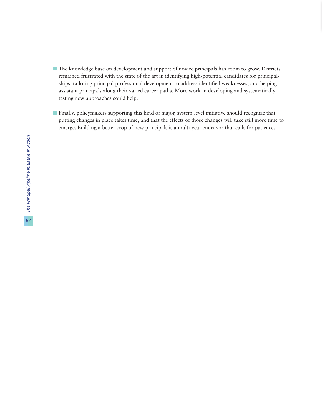- The knowledge base on development and support of novice principals has room to grow. Districts remained frustrated with the state of the art in identifying high-potential candidates for principalships, tailoring principal professional development to address identified weaknesses, and helping assistant principals along their varied career paths. More work in developing and systematically testing new approaches could help.
- Finally, policymakers supporting this kind of major, system-level initiative should recognize that putting changes in place takes time, and that the effects of those changes will take still more time to emerge. Building a better crop of new principals is a multi-year endeavor that calls for patience.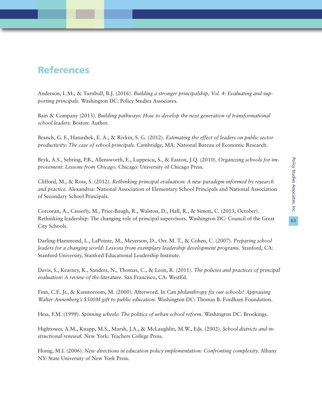# **References**

Anderson, L.M., & Turnbull, B.J. (2016). *Building a stronger principalship, Vol. 4: Evaluating and supporting principals.* Washington DC: Policy Studies Associates.

Bain & Company (2013). *Building pathways: How to develop the next generation of transformational school leaders.* Boston: Author.

Branch, G. F., Hanushek, E. A., & Rivkin, S. G. (2012). *Estimating the effect of leaders on public sector productivity: The case of school principals.* Cambridge, MA: National Bureau of Economic Research.

Bryk, A.S., Sebring, P.B., Allensworth, E., Luppescu, S., & Easton, J.Q. (2010). *Organizing schools for improvement: Lessons from Chicago.* Chicago: University of Chicago Press.

Clifford, M., & Ross, S. (2012). *Rethinking principal evaluation: A new paradigm informed by research and practice.* Alexandria: National Association of Elementary School Principals and National Association of Secondary School Principals.

Corcoran, A., Casserly, M., Price-Baugh, R., Walston, D., Hall, R., & Simon, C. (2013, October). Rethinking leadership: The changing role of principal supervisors. Washington DC: Council of the Great City Schools.

Darling-Hammond, L., LaPointe, M., Meyerson, D., Orr. M. T., & Cohen, C. (2007). *Preparing school leaders for a changing world: Lessons from exemplary leadership development programs.* Stanford, CA: Stanford University, Stanford Educational Leadership Institute.

Davis, S., Kearney, K., Sanders, N., Thomas, C., & Leon, R. (2011). *The policies and practices of principal evaluation: A review of the literature.* San Francisco, CA: WestEd.

Finn, C.E. Jr., & Kanstoroom, M. (2000). Afterword. In *Can philanthropy fix our schools? Appraising Walter Annenberg's \$500M gift to public education.* Washington DC: Thomas B. Fordham Foundation.

Hess, F.M. (1999). *Spinning wheels: The politics of urban school reform.* Washington DC: Brookings.

Hightower, A.M., Knapp, M.S., Marsh, J.A., & McLaughlin, M.W., Eds. (2002). *School districts and instructional renewal.* New York: Teachers College Press.

Honig, M.I. (2006). *New directions in education policy implementation: Confronting complexity.* Albany NY: State University of New York Press.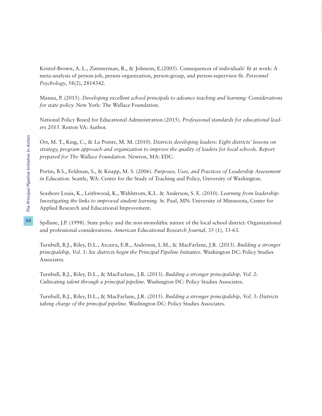Kristof-Brown, A. L., Zimmerman, R., & Johnson, E.(2005). Consequences of individuals' fit at work: A meta-analysis of person-job, person-organization, person-group, and person-supervisor fit. *Personnel Psychology*, 58(2), 2814342.

Manna, P. (2015). *Developing excellent school principals to advance teaching and learning: Considerations for state policy.* New York: The Wallace Foundation.

National Policy Board for Educational Administration (2015). *Professional standards for educational leaders 2015.* Reston VA: Author.

Orr, M. T., King, C., & La Pointe, M. M. (2010). *Districts developing leaders: Eight districts' lessons on strategy, program approach and organization to improve the quality of leaders for local schools. Report prepared for The Wallace Foundation.* Newton, MA: EDC.

Portin, B.S., Feldman, S., & Knapp, M. S. (2006). *Purposes, Uses, and Practices of Leadership Assessment in Education.* Seattle, WA: Center for the Study of Teaching and Policy, University of Washington.

Seashore Louis, K., Leithwood, K., Wahlstrom, K.L. & Anderson, S. E. (2010). *Learning from leadership: Investigating the links to improved student learning.* St. Paul, MN: University of Minnesota, Center for Applied Research and Educational Improvement.

Spillane, J.P. (1998). State policy and the non-monolithic nature of the local school district: Organizational and professional considerations. *American Educational Research Journal, 35* (1), 33-63.

Turnbull, B.J., Riley, D.L., Arcaira, E.R., Anderson, L.M., & MacFarlane, J.R. (2013). *Building a stronger principalship, Vol. 1: Six districts begin the Principal Pipeline Initiative.* Washington DC: Policy Studies Associates.

Turnbull, B.J., Riley, D.L., & MacFarlane, J.R. (2013). *Building a stronger principalship, Vol. 2: Cultivating talent through a principal pipeline.* Washington DC: Policy Studies Associates.

Turnbull, B.J., Riley, D.L., & MacFarlane, J.R. (2015). *Building a stronger principalship, Vol. 3: Districts taking charge of the principal pipeline.* Washington DC: Policy Studies Associates.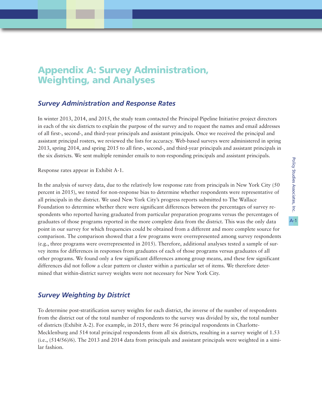# **Appendix A: Survey Administration, Weighting, and Analyses**

## *Survey Administration and Response Rates*

In winter 2013, 2014, and 2015, the study team contacted the Principal Pipeline Initiative project directors in each of the six districts to explain the purpose of the survey and to request the names and email addresses of all first-, second-, and third-year principals and assistant principals. Once we received the principal and assistant principal rosters, we reviewed the lists for accuracy. Web-based surveys were administered in spring 2013, spring 2014, and spring 2015 to all first-, second-, and third-year principals and assistant principals in the six districts. We sent multiple reminder emails to non-responding principals and assistant principals.

Response rates appear in Exhibit A-1.

In the analysis of survey data, due to the relatively low response rate from principals in New York City (50 percent in 2015), we tested for non-response bias to determine whether respondents were representative of all principals in the district. We used New York City's progress reports submitted to The Wallace Foundation to determine whether there were significant differences between the percentages of survey respondents who reported having graduated from particular preparation programs versus the percentages of graduates of those programs reported in the more complete data from the district. This was the only data point in our survey for which frequencies could be obtained from a different and more complete source for comparison. The comparison showed that a few programs were overrepresented among survey respondents (e.g., three programs were overrepresented in 2015). Therefore, additional analyses tested a sample of survey items for differences in responses from graduates of each of those programs versus graduates of all other programs. We found only a few significant differences among group means, and these few significant differences did not follow a clear pattern or cluster within a particular set of items. We therefore determined that within-district survey weights were not necessary for New York City.

# *Survey Weighting by District*

To determine post-stratification survey weights for each district, the inverse of the number of respondents from the district out of the total number of respondents to the survey was divided by six, the total number of districts (Exhibit A-2). For example, in 2015, there were 56 principal respondents in Charlotte-Mecklenburg and 514 total principal respondents from all six districts, resulting in a survey weight of 1.53 (i.e., (514/56)/6). The 2013 and 2014 data from principals and assistant principals were weighted in a similar fashion.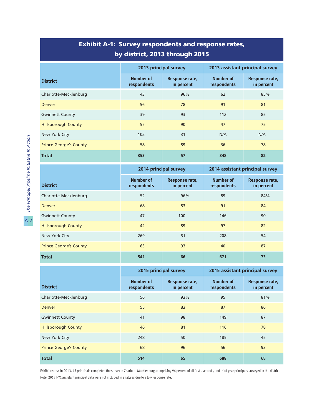| <b>Exhibit A-1: Survey respondents and response rates,</b> |  |
|------------------------------------------------------------|--|
| by district, 2013 through 2015                             |  |

|                               | 2013 principal survey           |                              | 2013 assistant principal survey |                              |
|-------------------------------|---------------------------------|------------------------------|---------------------------------|------------------------------|
| <b>District</b>               | <b>Number of</b><br>respondents | Response rate,<br>in percent | <b>Number of</b><br>respondents | Response rate,<br>in percent |
| Charlotte-Mecklenburg         | 43                              | 96%                          | 62                              | 85%                          |
| <b>Denver</b>                 | 56                              | 78                           | 91                              | 81                           |
| <b>Gwinnett County</b>        | 39                              | 93                           | 112                             | 85                           |
| <b>Hillsborough County</b>    | 55                              | 90                           | 47                              | 75                           |
| New York City                 | 102                             | 31                           | N/A                             | N/A                          |
| <b>Prince George's County</b> | 58                              | 89                           | 36                              | 78                           |
| <b>Total</b>                  | 353                             | 57                           | 348                             | 82                           |

|                               | 2014 principal survey           |                              | 2014 assistant principal survey |                              |
|-------------------------------|---------------------------------|------------------------------|---------------------------------|------------------------------|
| <b>District</b>               | <b>Number of</b><br>respondents | Response rate,<br>in percent | <b>Number of</b><br>respondents | Response rate,<br>in percent |
| Charlotte-Mecklenburg         | 52                              | 96%                          | 89                              | 84%                          |
| <b>Denver</b>                 | 68                              | 83                           | 91                              | 84                           |
| <b>Gwinnett County</b>        | 47                              | 100                          | 146                             | 90                           |
| <b>Hillsborough County</b>    | 42                              | 89                           | 97                              | 82                           |
| New York City                 | 269                             | 51                           | 208                             | 54                           |
| <b>Prince George's County</b> | 63                              | 93                           | 40                              | 87                           |
| <b>Total</b>                  | 541                             | 66                           | 671                             | 73                           |

|                               | 2015 principal survey           |                              | 2015 assistant principal survey |                              |
|-------------------------------|---------------------------------|------------------------------|---------------------------------|------------------------------|
| <b>District</b>               | <b>Number of</b><br>respondents | Response rate,<br>in percent | <b>Number of</b><br>respondents | Response rate,<br>in percent |
| Charlotte-Mecklenburg         | 56                              | 93%                          | 95                              | 81%                          |
| <b>Denver</b>                 | 55                              | 83                           | 87                              | 86                           |
| <b>Gwinnett County</b>        | 41                              | 98                           | 149                             | 87                           |
| <b>Hillsborough County</b>    | 46                              | 81                           | 116                             | 78                           |
| New York City                 | 248                             | 50                           | 185                             | 45                           |
| <b>Prince George's County</b> | 68                              | 96                           | 56                              | 93                           |
| <b>Total</b>                  | 514                             | 65                           | 688                             | 68                           |

Exhibit reads: In 2013, 43 principals completed the survey in Charlotte-Mecklenburg, comprising 96 percent of all first-, second-, and third-year principals surveyed in the district. Note: 2013 NYC assistant principal data were not included in analyses due to a low response rate.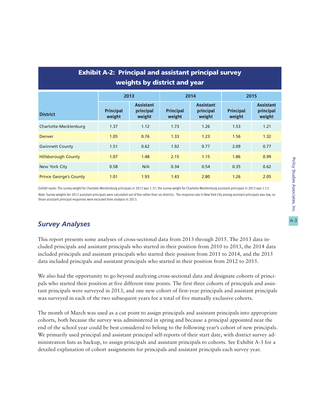| weights by district and year  |                            |                                         |                            |                                         |                     |                                         |  |
|-------------------------------|----------------------------|-----------------------------------------|----------------------------|-----------------------------------------|---------------------|-----------------------------------------|--|
|                               | 2013                       |                                         | 2014                       |                                         | 2015                |                                         |  |
| <b>District</b>               | <b>Principal</b><br>weight | <b>Assistant</b><br>principal<br>weight | <b>Principal</b><br>weight | <b>Assistant</b><br>principal<br>weight | Principal<br>weight | <b>Assistant</b><br>principal<br>weight |  |
| Charlotte-Mecklenburg         | 1.37                       | 1.12                                    | 1.73                       | 1.26                                    | 1.53                | 1.21                                    |  |
| <b>Denver</b>                 | 1.05                       | 0.76                                    | 1.33                       | 1.23                                    | 1.56                | 1.32                                    |  |
| <b>Gwinnett County</b>        | 1.51                       | 0.62                                    | 1.92                       | 0.77                                    | 2.09                | 0.77                                    |  |
| <b>Hillsborough County</b>    | 1.07                       | 1.48                                    | 2.15                       | 1.15                                    | 1.86                | 0.99                                    |  |
| New York City                 | 0.58                       | N/A                                     | 0.34                       | 0.54                                    | 0.35                | 0.62                                    |  |
| <b>Prince George's County</b> | 1.01                       | 1.93                                    | 1.43                       | 2.80                                    | 1.26                | 2.05                                    |  |

# **Exhibit A-2: Principal and assistant principal survey weights by district and year**

Exhibit reads: The survey weight for Charlotte-Mecklenburg principals in 2013 was 1.37; the survey weight for Charlotte-Mecklenburg assistant principals in 2013 was 1.12. Note: Survey weights for 2013 assistant principals were calculated out of five rather than six districts. The response rate in New York City among assistant principals was low, so those assistant principal responses were excluded from analysis in 2013.

# *Survey Analyses*

This report presents some analyses of cross-sectional data from 2013 through 2015. The 2013 data included principals and assistant principals who started in their position from 2010 to 2013, the 2014 data included principals and assistant principals who started their position from 2011 to 2014, and the 2015 data included principals and assistant principals who started in their position from 2012 to 2015.

We also had the opportunity to go beyond analyzing cross-sectional data and designate cohorts of principals who started their position at five different time points. The first three cohorts of principals and assistant principals were surveyed in 2013, and one new cohort of first-year principals and assistant principals was surveyed in each of the two subsequent years for a total of five mutually exclusive cohorts.

The month of March was used as a cut point to assign principals and assistant principals into appropriate cohorts, both because the survey was administered in spring and because a principal appointed near the end of the school year could be best considered to belong to the following year's cohort of new principals. We primarily used principal and assistant principal self-reports of their start date, with district survey administration lists as backup, to assign principals and assistant principals to cohorts. See Exhibit A-3 for a detailed explanation of cohort assignments for principals and assistant principals each survey year.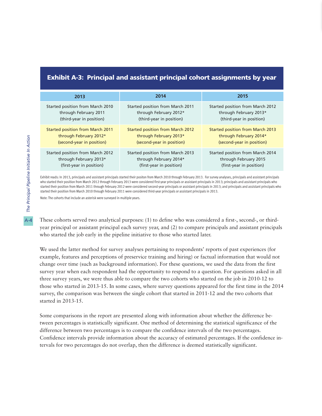#### **Exhibit A-3: Principal and assistant principal cohort assignments by year**

| 2013                                    | 2014                                    | 2015                                    |
|-----------------------------------------|-----------------------------------------|-----------------------------------------|
| Started position from March 2010        | <b>Started position from March 2011</b> | Started position from March 2012        |
| through February 2011                   | through February 2012*                  | through February 2013*                  |
| (third-year in position)                | (third-year in position)                | (third-year in position)                |
| <b>Started position from March 2011</b> | <b>Started position from March 2012</b> | <b>Started position from March 2013</b> |
| through February 2012*                  | through February 2013*                  | through February 2014*                  |
| (second-year in position)               | (second-year in position)               | (second-year in position)               |
| Started position from March 2012        | Started position from March 2013        | Started position from March 2014        |
| through February 2013*                  | through February 2014*                  | through February 2015                   |
| (first-year in position)                | (first-year in position)                | (first-year in position)                |

Exhibit reads: In 2013, principals and assistant principals started their positon from March 2010 through February 2013. For survey analyses, principals and assistant principals who started their position from March 2012 through February 2013 were considered first-year principals or assistant principals in 2013; principals and assistant principals who started their position from March 2011 through February 2012 were considered second-year principals or assistant principals in 2013; and principals and assistant principals who started their position from March 2010 through February 2011 were considered third-year principals or assistant principals in 2013.

Note: The cohorts that include an asterisk were surveyed in multiple years.

These cohorts served two analytical purposes: (1) to define who was considered a first-, second-, or thirdyear principal or assistant principal each survey year, and (2) to compare principals and assistant principals who started the job early in the pipeline initiative to those who started later.

We used the latter method for survey analyses pertaining to respondents' reports of past experiences (for example, features and perceptions of preservice training and hiring) or factual information that would not change over time (such as background information). For these questions, we used the data from the first survey year when each respondent had the opportunity to respond to a question. For questions asked in all three survey years, we were thus able to compare the two cohorts who started on the job in 2010-12 to those who started in 2013-15. In some cases, where survey questions appeared for the first time in the 2014 survey, the comparison was between the single cohort that started in 2011-12 and the two cohorts that started in 2013-15.

Some comparisons in the report are presented along with information about whether the difference between percentages is statistically significant. One method of determining the statistical significance of the difference between two percentages is to compare the confidence intervals of the two percentages. Confidence intervals provide information about the accuracy of estimated percentages. If the confidence intervals for two percentages do not overlap, then the difference is deemed statistically significant.

 $A - 4$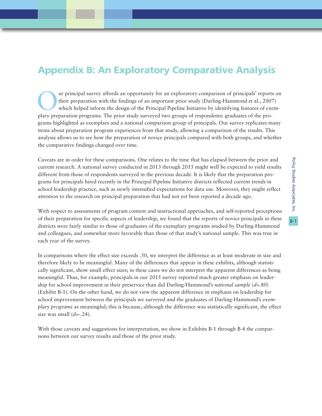# **Appendix B: An Exploratory Comparative Analysis**

ur principal survey affords an opportunity for an exploratory comparison of principals' reports on their preparation with the findings of an important prior study (Darling-Hammond et al., 2007) which helped inform the design of the Principal Pipeline Initiative by identifying features of exemplary preparation programs. The prior study surveyed two groups of respondents: graduates of the programs highlighted as exemplars and a national comparison group of principals. Our survey replicates many items about preparation program experiences from that study, allowing a comparison of the results. This analysis allows us to see how the preparation of novice principals compared with both groups, and whether the comparative findings changed over time.

Caveats are in order for these comparisons. One relates to the time that has elapsed between the prior and current research. A national survey conducted in 2013 through 2015 might well be expected to yield results different from those of respondents surveyed in the previous decade. It is likely that the preparation programs for principals hired recently in the Principal Pipeline Initiative districts reflected current trends in school leadership practice, such as newly intensified expectations for data use. Moreover, they might reflect attention to the research on principal preparation that had not yet been reported a decade ago.

With respect to assessments of program content and instructional approaches, and self-reported perceptions of their preparation for specific aspects of leadership, we found that the reports of novice principals in these districts were fairly similar to those of graduates of the exemplary programs studied by Darling-Hammond and colleagues, and somewhat more favorable than those of that study's national sample. This was true in each year of the survey.

In comparisons where the effect size exceeds .50, we interpret the difference as at least moderate in size and therefore likely to be meaningful. Many of the differences that appear in these exhibits, although statistically significant, show small effect sizes; in these cases we do not interpret the apparent differences as being meaningful. Thus, for example, principals in our 2015 survey reported much greater emphasis on leadership for school improvement in their preservice than did Darling-Hammond's *national sample* (*d*=.80) (Exhibit B-1). On the other hand, we do not view the apparent difference in emphasis on leadership for school improvement between the principals we surveyed and the graduates of Darling-Hammond's *exemplary programs* as meaningful; this is because, although the difference was statistically significant, the effect size was small  $(d=-.24)$ .

With those caveats and suggestions for interpretation, we show in Exhibits B-1 through B-4 the comparisons between our survey results and those of the prior study.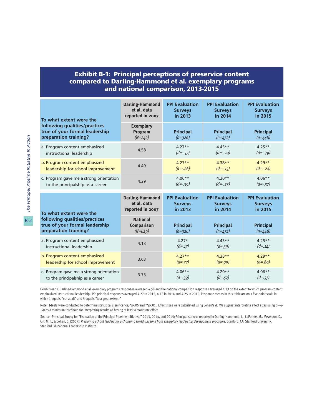### **Exhibit B-1: Principal perceptions of preservice content compared to Darling-Hammond et al. exemplary programs and national comparison, 2013-2015**

| To what extent were the                                                                  | <b>Darling-Hammond</b>                   | <b>PPI Evaluation</b>         | <b>PPI Evaluation</b>         | <b>PPI Evaluation</b>         |
|------------------------------------------------------------------------------------------|------------------------------------------|-------------------------------|-------------------------------|-------------------------------|
|                                                                                          | et al. data                              | <b>Surveys</b>                | <b>Surveys</b>                | <b>Surveys</b>                |
|                                                                                          | reported in 2007                         | in 2013                       | in 2014                       | in 2015                       |
| following qualities/practices<br>true of your formal leadership<br>preparation training? | <b>Exemplary</b><br>Program<br>$(N=242)$ | <b>Principal</b><br>$(n=326)$ | <b>Principal</b><br>$(n=472)$ | <b>Principal</b><br>$(n=448)$ |
| a. Program content emphasized                                                            | 4.58                                     | $4.27**$                      | $4.43**$                      | $4.25**$                      |
| instructional leadership                                                                 |                                          | $(d=-37)$                     | $(d=-.20)$                    | $(d=-39)$                     |
| b. Program content emphasized                                                            | 4.49                                     | $4.27**$                      | $4.38**$                      | $4.29**$                      |
| leadership for school improvement                                                        |                                          | $(d=-.26)$                    | $(d=-.15)$                    | $(d=-.24)$                    |
| c. Program gave me a strong orientation                                                  | 4.39                                     | $4.06**$                      | $4.20**$                      | $4.06**$                      |
| to the principalship as a career                                                         |                                          | $(d=-39)$                     | $(d=-.23)$                    | $(d=-.37)$                    |

| To what extent were the                                                                  | <b>Darling-Hammond</b>                            | <b>PPI Evaluation</b>         | <b>PPI Evaluation</b>         | <b>PPI Evaluation</b>         |
|------------------------------------------------------------------------------------------|---------------------------------------------------|-------------------------------|-------------------------------|-------------------------------|
|                                                                                          | et al. data                                       | <b>Surveys</b>                | <b>Surveys</b>                | <b>Surveys</b>                |
|                                                                                          | reported in 2007                                  | in 2013                       | in 2014                       | in 2015                       |
| following qualities/practices<br>true of your formal leadership<br>preparation training? | <b>National</b><br><b>Comparison</b><br>$(N=629)$ | <b>Principal</b><br>$(n=326)$ | <b>Principal</b><br>$(n=472)$ | <b>Principal</b><br>$(n=448)$ |
| a. Program content emphasized                                                            | 4.13                                              | $4.27*$                       | $4.43**$                      | $4.25**$                      |
| instructional leadership                                                                 |                                                   | $(d=17)$                      | $(d=39)$                      | $(d=1.14)$                    |
| b. Program content emphasized                                                            | 3.63                                              | $4.27**$                      | $4.38**$                      | $4.29**$                      |
| leadership for school improvement                                                        |                                                   | $(d=.77)$                     | $(d=.99)$                     | $(d=.80)$                     |
| c. Program gave me a strong orientation                                                  | 3.73                                              | $4.06**$                      | $4.20**$                      | $4.06**$                      |
| to the principalship as a career                                                         |                                                   | $(d=39)$                      | $(d=.57)$                     | $(d=37)$                      |

Exhibit reads: Darling-Hammond et al. exemplary programs responses averaged 4.58 and the national comparison responses averaged 4.13 on the extent to which program content emphasized instructional leadership. PPI principal responses averaged 4.27 in 2013, 4.43 in 2014 and 4.25 in 2015. Response means in this table are on a five-point scale in which 1 equals "not at all" and 5 equals "to a great extent."

Note: T-tests were conducted to determine statistical significance; \*p<05 and \*\*p<01. Effect sizes were calculated using Cohen's *d.* We suggest interpreting effect sizes using  $d=+/-$ .50 as a minimum threshold for interpreting results as having at least a moderate effect.

Source: Principal Surveyfor "Evaluation of the Principal Pipeline Initiative," 2013, 2014, and 2015; Principal surveys reported in Darling-Hammond,L.,LaPointe, M., Meyerson, D., Orr. M. T., & Cohen, C. (2007). Preparing school leaders for a changing world: Lessons from exemplary leadership development programs. Stanford, CA: Stanford University, Stanford Educational Leadership Institute.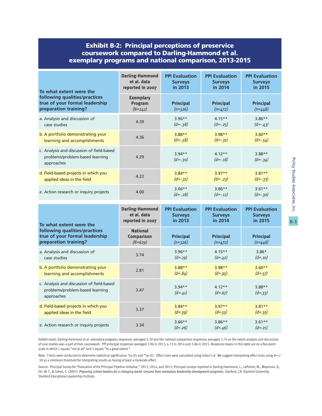### **Exhibit B-2: Principal perceptions of preservice coursework compared to Darling-Hammond et al. exemplary programs and national comparison, 2013-2015**

| To what extent were the                                                                    | Darling-Hammond                          | <b>PPI Evaluation</b>         | <b>PPI Evaluation</b>         | <b>PPI Evaluation</b>         |
|--------------------------------------------------------------------------------------------|------------------------------------------|-------------------------------|-------------------------------|-------------------------------|
|                                                                                            | et al. data                              | <b>Surveys</b>                | <b>Surveys</b>                | <b>Surveys</b>                |
|                                                                                            | reported in 2007                         | in 2013                       | in 2014                       | in 2015                       |
| following qualities/practices<br>true of your formal leadership<br>preparation training?   | <b>Exemplary</b><br>Program<br>$(N=242)$ | <b>Principal</b><br>$(n=326)$ | <b>Principal</b><br>$(n=472)$ | <b>Principal</b><br>$(n=448)$ |
| a. Analysis and discussion of                                                              | 4.39                                     | $3.96**$                      | $4.15***$                     | $3.86***$                     |
| case studies                                                                               |                                          | $(d=-38)$                     | $(d=-.25)$                    | $(d=-.43)$                    |
| b. A portfolio demonstrating your                                                          | 4.36                                     | $3.88**$                      | $3.98**$                      | $3.60**$                      |
| learning and accomplishments                                                               |                                          | $(d=-38)$                     | $(d=-31)$                     | $(d=-.54)$                    |
| c. Analysis and discussion of field-based<br>problems/problem-based learning<br>approaches | 4.29                                     | $3.94**$<br>$(d=-30)$         | $4.12**$<br>$(d=-.18)$        | $3.88**$<br>$(d=-34)$         |
| d. Field-based projects in which you                                                       | 4.22                                     | $3.84**$                      | $3.97**$                      | $3.81***$                     |
| applied ideas in the field                                                                 |                                          | $(d=-31)$                     | $(d=-.23)$                    | $(d=-33)$                     |
| e. Action research or inquiry projects                                                     | 4.00                                     | $3.66**$<br>$(d=-.28)$        | $3.86**$<br>$(d=-.12)$        | $3.61**$<br>$(d=-30)$         |

| To what extent were the<br>following qualities/practices<br>true of your formal leadership<br>preparation training? | <b>Darling-Hammond</b><br>et al. data<br>reported in 2007 | <b>PPI Evaluation</b><br><b>Surveys</b><br>in 2013 | <b>PPI Evaluation</b><br><b>Surveys</b><br>in 2014 | <b>PPI Evaluation</b><br><b>Surveys</b><br>in 2015 |
|---------------------------------------------------------------------------------------------------------------------|-----------------------------------------------------------|----------------------------------------------------|----------------------------------------------------|----------------------------------------------------|
|                                                                                                                     | <b>National</b><br><b>Comparison</b><br>$(N=629)$         | <b>Principal</b><br>$(n=326)$                      | <b>Principal</b><br>$(n=472)$                      | <b>Principal</b><br>$(n=448)$                      |
| a. Analysis and discussion of<br>case studies                                                                       | 3.74                                                      | $3.96**$<br>$(d=19)$                               | $4.15***$<br>$(d=42)$                              | $3.86*$<br>$(d=10)$                                |
| b. A portfolio demonstrating your<br>learning and accomplishments                                                   | 2.81                                                      | $3.88**$<br>$(d=.84)$                              | $3.98**$<br>$(d=95)$                               | $3.60**$<br>$(d=57)$                               |
| c. Analysis and discussion of field-based<br>problems/problem-based learning<br>approaches                          | 3.47                                                      | $3.94**$<br>$(d=41)$                               | $4.12**$<br>$(d=.67)$                              | $3.88**$<br>$(d=33)$                               |
| d. Field-based projects in which you<br>applied ideas in the field                                                  | 3.37                                                      | $3.84**$<br>$(d=39)$                               | $3.97**$<br>$(d=55)$                               | $3.81**$<br>$(d=35)$                               |
| e. Action research or inquiry projects                                                                              | 3.34                                                      | $3.66**$<br>$(d=.26)$                              | $3.86**$<br>$(d=46)$                               | $3.61**$<br>$(d=0.21)$                             |

Exhibit reads: Darling-Hammond et al. exemplary programs responses averaged 4.39 and the national comparison responses averaged 3.74 on the extent analysis and discussion ofcase studies was a part of theircoursework. PPI principal responses averaged 3.96 in 2013, 4.15 in 2014 and 3.86 in 2015. Response means in this table are on a five-point scale in which 1 equals "not at all" and 5 equals "to a great extent."

Note: T-tests were conducted to determine statistical significance; \*p<.05 and \*\*p<.01. Effect sizes were calculated using Cohen's *d*. We suggest interpreting effect sizes using  $d=+/-$ .50 as a minimum threshold for interpreting results as having at least a moderate effect.

Source: Principal Survey for "Evaluation of the Principal Pipeline Initiative," 2013, 2014, and 2015; Principal surveys reported in Darling-Hammond, L., LaPointe, M., Meyerson, D., Orr. M. T., & Cohen, C. (2007). Preparing school leaders for a changing world: Lessons from exemplary leadership development programs. Stanford, CA: Stanford University, Stanford Educational Leadership Institute.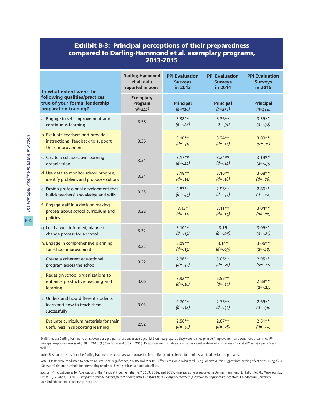### **Exhibit B-3: Principal perceptions of their preparedness compared to Darling-Hammond et al. exemplary programs, 2013-2015**

| To what extent were the<br>following qualities/practices<br>true of your formal leadership<br>preparation training? | <b>Darling-Hammond</b><br>et al. data<br>reported in 2007 | <b>PPI Evaluation</b><br><b>Surveys</b><br>in 2013 | <b>PPI Evaluation</b><br><b>Surveys</b><br>in 2014 | <b>PPI Evaluation</b><br><b>Surveys</b><br>in 2015 |
|---------------------------------------------------------------------------------------------------------------------|-----------------------------------------------------------|----------------------------------------------------|----------------------------------------------------|----------------------------------------------------|
|                                                                                                                     | <b>Exemplary</b><br>Program<br>$(N=242)$                  | <b>Principal</b><br>$(n=326)$                      | <b>Principal</b><br>$(n=476)$                      | <b>Principal</b><br>$(n=444)$                      |
| a. Engage in self-improvement and                                                                                   | 3.58                                                      | $3.38**$                                           | $3.36**$                                           | $3.35**$                                           |
| continuous learning                                                                                                 |                                                           | $(d = -.28)$                                       | $(d = -31)$                                        | $(d = -32)$                                        |
| b. Evaluate teachers and provide<br>instructional feedback to support<br>their improvement                          | 3.36                                                      | $3.10**$<br>$(d=-31)$                              | $3.24**$<br>$(d = -.16)$                           | $3.09**$<br>$(d=-31)$                              |
| c. Create a collaborative learning                                                                                  | 3.34                                                      | $3.17**$                                           | $3.24**$                                           | $3.19**$                                           |
| organization                                                                                                        |                                                           | $(d=-.22)$                                         | $(d=-.12)$                                         | $(d = -.19)$                                       |
| d. Use data to monitor school progress,                                                                             | 3.31                                                      | $3.18**$                                           | $3.16***$                                          | $3.08**$                                           |
| identify problems and propose solutions                                                                             |                                                           | $(d = -.15)$                                       | $(d = -.18)$                                       | $(d=-.26)$                                         |
| e. Design professional development that                                                                             | 3.25                                                      | $2.87**$                                           | $2.96**$                                           | $2.86**$                                           |
| builds teachers' knowledge and skills                                                                               |                                                           | $(d = -.44)$                                       | $(d=-.32)$                                         | $(d = -.44)$                                       |
| f. Engage staff in a decision making<br>process about school curriculum and<br>policies                             | 3.22                                                      | $3.13*$<br>$(d=-.11)$                              | $3.11**$<br>$(d = -.14)$                           | $3.04**$<br>$(d=-.23)$                             |
| g. Lead a well-informed, planned                                                                                    | 3.22                                                      | $3.10**$                                           | 3.16                                               | $3.05**$                                           |
| change process for a school                                                                                         |                                                           | $(d = -.15)$                                       | $(d = -0.08)$                                      | $(d = -0.21)$                                      |
| h. Engage in comprehensive planning                                                                                 | 3.22                                                      | $3.09**$                                           | $3.14*$                                            | $3.06***$                                          |
| for school improvement                                                                                              |                                                           | $(d = -.15)$                                       | $(d=-.09)$                                         | $(d=-.18)$                                         |
| i. Create a coherent educational                                                                                    | 3.22                                                      | $2.96**$                                           | $3.05**$                                           | $2.95**$                                           |
| program across the school                                                                                           |                                                           | $(d=-.32)$                                         | $(d = -0.21)$                                      | $(d = -33)$                                        |
| j. Redesign school organizations to<br>enhance productive teaching and<br>learning                                  | 3.06                                                      | $2.92**$<br>$(d=-.16)$                             | $2.93**$<br>$(d = -.15)$                           | $2.88**$<br>$(d=-.21)$                             |
| k. Understand how different students<br>learn and how to teach them<br>successfully                                 | 3.03                                                      | $2.70**$<br>$(d = -38)$                            | $2.75**$<br>$(d=-.32)$                             | $2.69**$<br>$(d=-.36)$                             |
| I. Evaluate curriculum materials for their                                                                          | 2.92                                                      | $2.56**$                                           | $2.67**$                                           | $2.51**$                                           |
| usefulness in supporting learning                                                                                   |                                                           | $(d = -39)$                                        | $(d=-.28)$                                         | $(d = -.44)$                                       |

Exhibit reads: Darling-Hammond et al. exemplary programs responses averaged 3.58 on how prepared they were to engage in self-improvement and continuous learning. PPI principal responses averaged 3.38 in 2013, 3.36 in 2014 and 3.35 in 2015. Responses on this table are on a four-point scale in which 1 equals "not at all" and 4 equals "very well."

Note: Response means from the Darling-Hammond et al. survey were converted from a five-point scale to a four-point scale to allow forcomparisons.

Note: T-tests were conducted to determine statistical significance; \*p<.05 and \*\*p<.01. Effect sizes were calculated using Cohen's *d*. We suggest interpreting effect sizes using  $d=+/-$ .50 as a minimum threshold for interpreting results as having at least a moderate effect.

Source: Principal Survey for "Evaluation of the Principal Pipeline Initiative," 2013, 2014, and 2015; Principal surveys reported in Darling-Hammond, L., LaPointe, M., Meyerson, D., Orr. M. T., & Cohen, C. (2007). Preparing school leaders for a changing world: Lessons from exemplary leadership development programs. Stanford, CA: Stanford University, Stanford Educational Leadership Institute.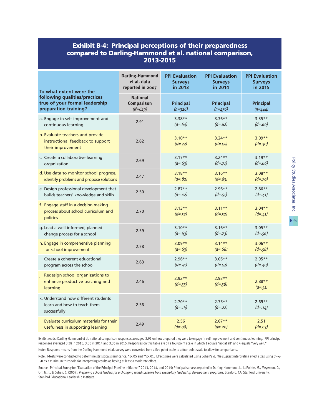### **Exhibit B-4: Principal perceptions of their preparedness compared to Darling-Hammond et al. national comparison, 2013-2015**

| To what extent were the<br>following qualities/practices<br>true of your formal leadership<br>preparation training? | <b>Darling-Hammond</b><br>et al. data<br>reported in 2007 | <b>PPI Evaluation</b><br><b>Surveys</b><br>in 2013 | <b>PPI Evaluation</b><br><b>Surveys</b><br>in 2014 | <b>PPI Evaluation</b><br><b>Surveys</b><br>in 2015 |
|---------------------------------------------------------------------------------------------------------------------|-----------------------------------------------------------|----------------------------------------------------|----------------------------------------------------|----------------------------------------------------|
|                                                                                                                     | <b>National</b><br>Comparison<br>$(N=629)$                | <b>Principal</b><br>$(n=326)$                      | <b>Principal</b><br>$(n=476)$                      | <b>Principal</b><br>$(n=444)$                      |
| a. Engage in self-improvement and                                                                                   | 2.91                                                      | $3.38**$                                           | $3.36**$                                           | $3.35**$                                           |
| continuous learning                                                                                                 |                                                           | $(d=64)$                                           | $(d=62)$                                           | $(d=60)$                                           |
| b. Evaluate teachers and provide<br>instructional feedback to support<br>their improvement                          | 2.82                                                      | $3.10**$<br>$(d=33)$                               | $3.24**$<br>$(d=54)$                               | $3.09**$<br>$(d=30)$                               |
| c. Create a collaborative learning                                                                                  | 2.69                                                      | $3.17**$                                           | $3.24**$                                           | $3.19**$                                           |
| organization                                                                                                        |                                                           | $(d=63)$                                           | $(d=.71)$                                          | $(d=66)$                                           |
| d. Use data to monitor school progress,                                                                             | 2.47                                                      | $3.18**$                                           | $3.16***$                                          | $3.08**$                                           |
| identify problems and propose solutions                                                                             |                                                           | $(d=.82)$                                          | $(d=.83)$                                          | $(d=.70)$                                          |
| e. Design professional development that                                                                             | 2.50                                                      | $2.87**$                                           | $2.96**$                                           | $2.86**$                                           |
| builds teachers' knowledge and skills                                                                               |                                                           | $(d=42)$                                           | $(d=51)$                                           | $(d=41)$                                           |
| f. Engage staff in a decision making<br>process about school curriculum and<br>policies                             | 2.70                                                      | $3.13***$<br>$(d=.52)$                             | $3.11**$<br>$(d=52)$                               | $3.04**$<br>$(d=41)$                               |
| g. Lead a well-informed, planned                                                                                    | 2.59                                                      | $3.10**$                                           | $3.16**$                                           | $3.05**$                                           |
| change process for a school                                                                                         |                                                           | $(d=63)$                                           | $(d=73)$                                           | $(d=56)$                                           |
| h. Engage in comprehensive planning                                                                                 | 2.58                                                      | $3.09**$                                           | $3.14**$                                           | $3.06**$                                           |
| for school improvement                                                                                              |                                                           | $(d=63)$                                           | $(d=.68)$                                          | $(d=58)$                                           |
| i. Create a coherent educational                                                                                    | 2.63                                                      | $2.96**$                                           | $3.05**$                                           | $2.95**$                                           |
| program across the school                                                                                           |                                                           | $(d=41)$                                           | $(d=53)$                                           | $(d=40)$                                           |
| j. Redesign school organizations to<br>enhance productive teaching and<br>learning                                  | 2.46                                                      | $2.92**$<br>$(d=55)$                               | $2.93**$<br>$(d=58)$                               | $2.88**$<br>$(d=51)$                               |
| k. Understand how different students<br>learn and how to teach them<br>successfully                                 | 2.56                                                      | $2.70**$<br>$(d=.16)$                              | $2.75**$<br>$(d=0.22)$                             | $2.69**$<br>$(d=1.14)$                             |
| I. Evaluate curriculum materials for their                                                                          | 2.49                                                      | 2.56                                               | $2.67**$                                           | 2.51                                               |
| usefulness in supporting learning                                                                                   |                                                           | $(d=.08)$                                          | $(d=20)$                                           | $(d=.03)$                                          |

Exhibit reads: Darling-Hammond et al. nationalcomparison responses averaged 2.91 on how prepared they were to engage in self-improvement and continuous learning. PPI principal responses averaged 3.38 in 2013, 3.36 in 2014 and 3.35 in 2015. Responses on this table are on a four-point scale in which 1 equals "not at all" and 4 equals "very well."

Note: Response means from the Darling-Hammond et al. survey were converted from a five-point scale to a four-point scale to allow forcomparisons.

Note: T-tests were conducted to determine statistical significance; \*p<.05 and \*\*p<.01. Effect sizes were calculated using Cohen's *d.* We suggest interpreting effect sizes using  $d=+/-$ .50 as a minimum threshold for interpreting results as having at least a moderate effect.

Source: Principal Survey for "Evaluation of the Principal Pipeline Initiative," 2013, 2014, and 2015; Principal surveys reported in Darling-Hammond, L., LaPointe, M., Meyerson, D., Orr. M. T., & Cohen, C. (2007). Preparing school leaders for a changing world: Lessons from exemplary leadership development programs. Stanford, CA: Stanford University, Stanford Educational Leadership Institute.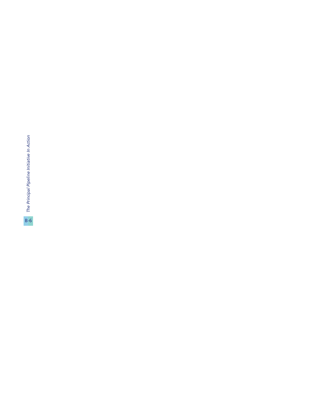The Principal Pipeline Initiative In Action *The Principal Pipeline Initiative In Action* B-6